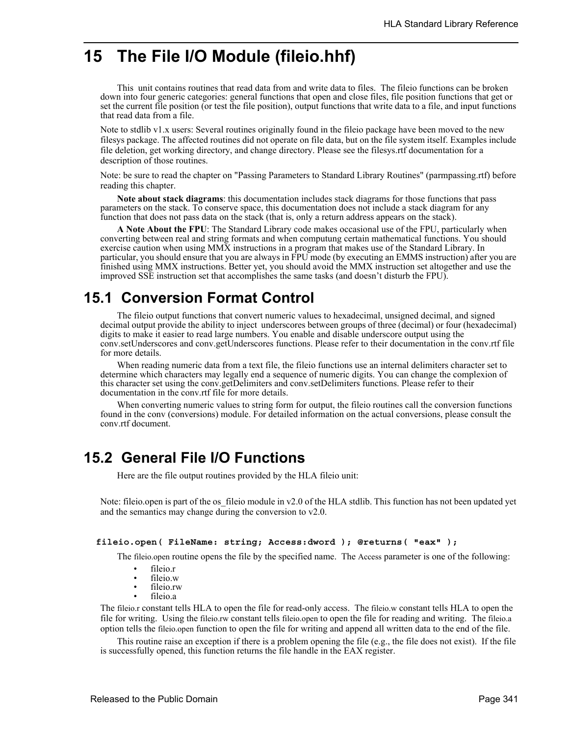# **15 The File I/O Module (fileio.hhf)**

This unit contains routines that read data from and write data to files. The fileio functions can be broken down into four generic categories: general functions that open and close files, file position functions that get or set the current file position (or test the file position), output functions that write data to a file, and input functions that read data from a file.

Note to stdlib v1.x users: Several routines originally found in the fileio package have been moved to the new filesys package. The affected routines did not operate on file data, but on the file system itself. Examples include file deletion, get working directory, and change directory. Please see the filesys.rtf documentation for a description of those routines.

Note: be sure to read the chapter on "Passing Parameters to Standard Library Routines" (parmpassing.rtf) before reading this chapter.

**Note about stack diagrams**: this documentation includes stack diagrams for those functions that pass parameters on the stack. To conserve space, this documentation does not include a stack diagram for any function that does not pass data on the stack (that is, only a return address appears on the stack).

**A Note About the FPU**: The Standard Library code makes occasional use of the FPU, particularly when converting between real and string formats and when computung certain mathematical functions. You should exercise caution when using MMX instructions in a program that makes use of the Standard Library. In particular, you should ensure that you are always in FPU mode (by executing an EMMS instruction) after you are finished using MMX instructions. Better yet, you should avoid the MMX instruction set altogether and use the improved SSE instruction set that accomplishes the same tasks (and doesn't disturb the FPU).

# **15.1 Conversion Format Control**

The fileio output functions that convert numeric values to hexadecimal, unsigned decimal, and signed decimal output provide the ability to inject underscores between groups of three (decimal) or four (hexadecimal) digits to make it easier to read large numbers. You enable and disable underscore output using the conv.setUnderscores and conv.getUnderscores functions. Please refer to their documentation in the conv.rtf file for more details.

When reading numeric data from a text file, the fileio functions use an internal delimiters character set to determine which characters may legally end a sequence of numeric digits. You can change the complexion of this character set using the conv.getDelimiters and conv.setDelimiters functions. Please refer to their documentation in the conv.rtf file for more details.

When converting numeric values to string form for output, the fileio routines call the conversion functions found in the conv (conversions) module. For detailed information on the actual conversions, please consult the conv.rtf document.

# **15.2 General File I/O Functions**

Here are the file output routines provided by the HLA fileio unit:

Note: fileio.open is part of the os-fileio module in v2.0 of the HLA stdlib. This function has not been updated yet and the semantics may change during the conversion to v2.0.

### **fileio.open( FileName: string; Access:dword ); @returns( "eax" );**

The fileio.open routine opens the file by the specified name. The Access parameter is one of the following:

- fileio.r
- fileio.w
- fileio.rw
- fileio.a

The fileio.r constant tells HLA to open the file for read-only access. The fileio.w constant tells HLA to open the file for writing. Using the fileio.rw constant tells fileio.open to open the file for reading and writing. The fileio.a option tells the fileio.open function to open the file for writing and append all written data to the end of the file.

This routine raise an exception if there is a problem opening the file (e.g., the file does not exist). If the file is successfully opened, this function returns the file handle in the EAX register.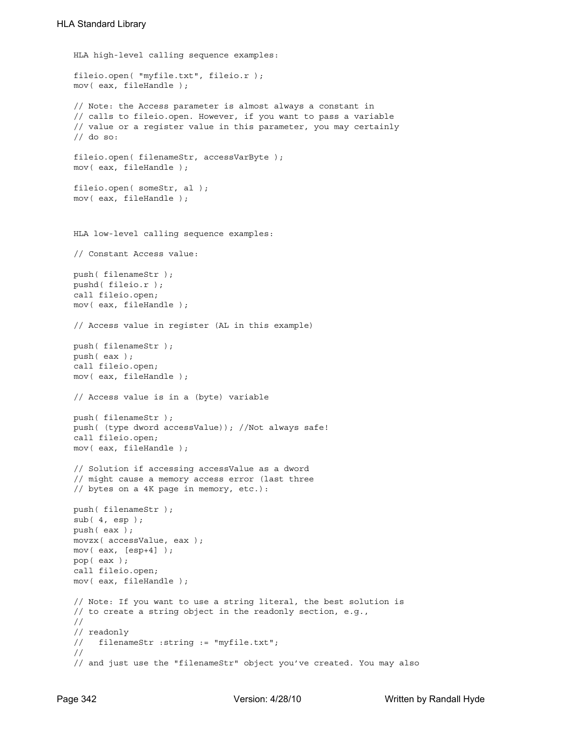```
HLA high-level calling sequence examples:
fileio.open( "myfile.txt", fileio.r );
mov( eax, fileHandle );
// Note: the Access parameter is almost always a constant in
// calls to fileio.open. However, if you want to pass a variable
// value or a register value in this parameter, you may certainly
// do so:
fileio.open( filenameStr, accessVarByte );
mov( eax, fileHandle );
fileio.open( someStr, al );
mov( eax, fileHandle );
HLA low-level calling sequence examples:
// Constant Access value:
push( filenameStr );
pushd( fileio.r );
call fileio.open;
mov( eax, fileHandle );
// Access value in register (AL in this example)
push( filenameStr );
push( eax );
call fileio.open;
mov( eax, fileHandle );
// Access value is in a (byte) variable
push( filenameStr );
push( (type dword accessValue)); //Not always safe!
call fileio.open;
mov( eax, fileHandle );
// Solution if accessing accessValue as a dword
// might cause a memory access error (last three
// bytes on a 4K page in memory, etc.):
push( filenameStr );
sub(4, esp);push( eax );
movzx( accessValue, eax );
mov( eax, [esp+4] );
pop( eax );
call fileio.open;
mov( eax, fileHandle );
// Note: If you want to use a string literal, the best solution is
// to create a string object in the readonly section, e.g.,
//
// readonly
// filenameStr :string := "myfile.txt";
//
// and just use the "filenameStr" object you've created. You may also
```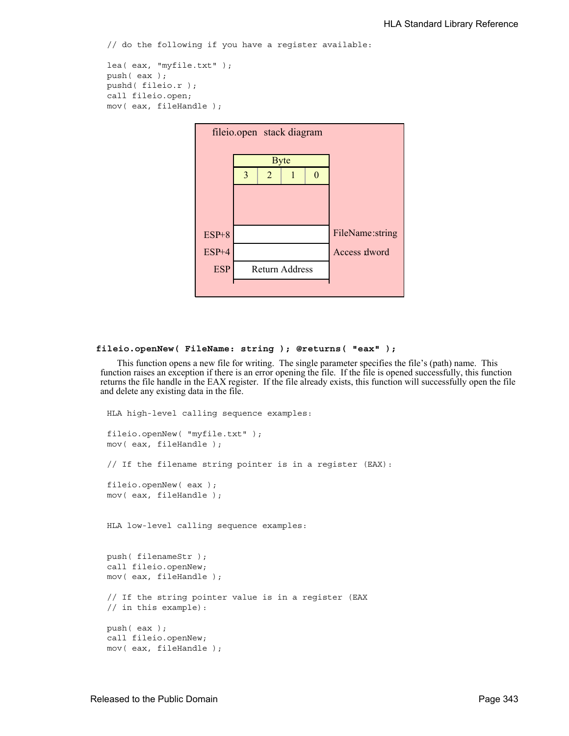// do the following if you have a register available:

```
lea( eax, "myfile.txt" );
push( eax );
pushd( fileio.r );
call fileio.open;
mov( eax, fileHandle );
```


### **fileio.openNew( FileName: string ); @returns( "eax" );**

This function opens a new file for writing. The single parameter specifies the file's (path) name. This function raises an exception if there is an error opening the file. If the file is opened successfully, this function returns the file handle in the EAX register. If the file already exists, this function will successfully open the file and delete any existing data in the file.

```
HLA high-level calling sequence examples:
fileio.openNew( "myfile.txt" );
mov( eax, fileHandle );
// If the filename string pointer is in a register (EAX):
fileio.openNew( eax );
mov( eax, fileHandle );
HLA low-level calling sequence examples:
push( filenameStr );
call fileio.openNew;
mov( eax, fileHandle );
// If the string pointer value is in a register (EAX
// in this example):
push( eax );
call fileio.openNew;
mov( eax, fileHandle );
```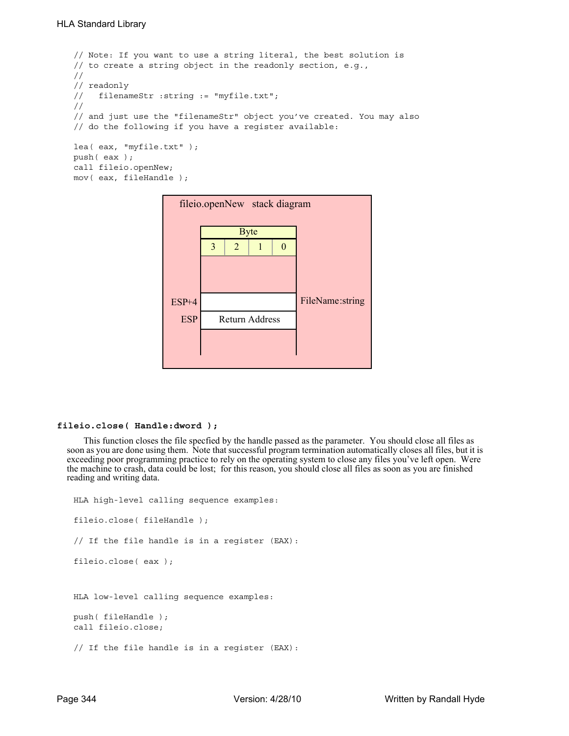```
// Note: If you want to use a string literal, the best solution is
// to create a string object in the readonly section, e.g.,
//
// readonly
// filenameStr :string := "myfile.txt";
//
// and just use the "filenameStr" object you've created. You may also
// do the following if you have a register available:
lea( eax, "myfile.txt" );
push( eax );
call fileio.openNew;
mov( eax, fileHandle );
```

| fileio.openNew stack diagram |                       |   |             |                   |                 |  |
|------------------------------|-----------------------|---|-------------|-------------------|-----------------|--|
|                              |                       |   | <b>Byte</b> |                   |                 |  |
|                              | 3                     | 2 |             | $\mathbf{\Omega}$ |                 |  |
|                              |                       |   |             |                   |                 |  |
|                              |                       |   |             |                   |                 |  |
| $ESP+4$                      |                       |   |             |                   | FileName:string |  |
| <b>ESP</b>                   | <b>Return Address</b> |   |             |                   |                 |  |
|                              |                       |   |             |                   |                 |  |
|                              |                       |   |             |                   |                 |  |

### **fileio.close( Handle:dword );**

This function closes the file specfied by the handle passed as the parameter. You should close all files as soon as you are done using them. Note that successful program termination automatically closes all files, but it is exceeding poor programming practice to rely on the operating system to close any files you've left open. Were the machine to crash, data could be lost; for this reason, you should close all files as soon as you are finished reading and writing data.

```
HLA high-level calling sequence examples:
fileio.close( fileHandle );
// If the file handle is in a register (EAX):
fileio.close( eax );
HLA low-level calling sequence examples:
push( fileHandle );
call fileio.close;
// If the file handle is in a register (EAX):
```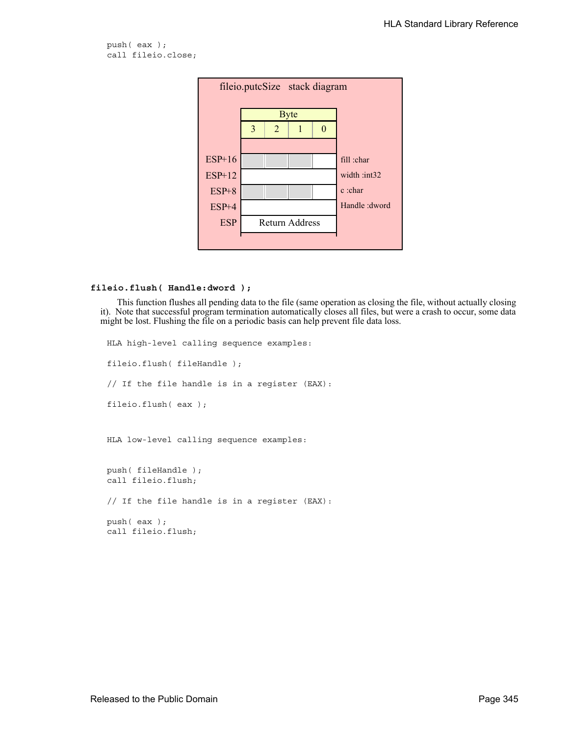```
push( eax );
call fileio.close;
```


### **fileio.flush( Handle:dword );**

This function flushes all pending data to the file (same operation as closing the file, without actually closing it). Note that successful program termination automatically closes all files, but were a crash to occur, some data might be lost. Flushing the file on a periodic basis can help prevent file data loss.

```
HLA high-level calling sequence examples:
fileio.flush( fileHandle );
// If the file handle is in a register (EAX):
fileio.flush( eax );
HLA low-level calling sequence examples:
push( fileHandle );
call fileio.flush;
// If the file handle is in a register (EAX):
push( eax );
call fileio.flush;
```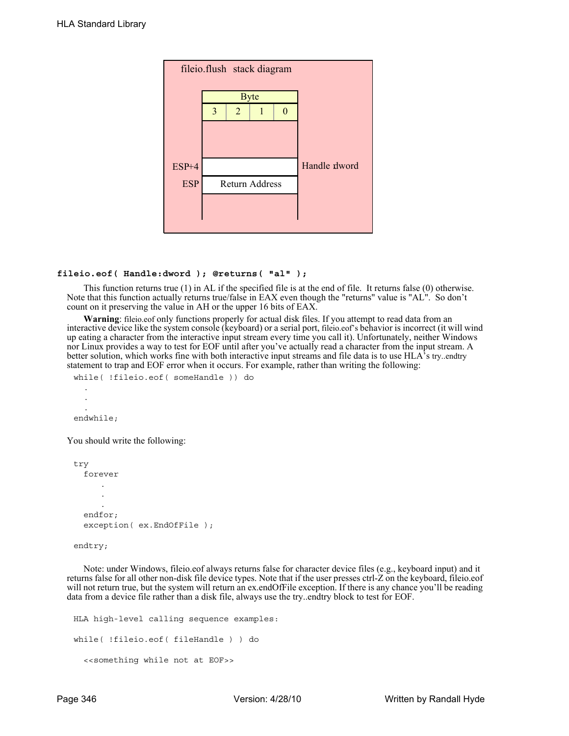

### **fileio.eof( Handle:dword ); @returns( "al" );**

This function returns true (1) in AL if the specified file is at the end of file. It returns false (0) otherwise. Note that this function actually returns true/false in EAX even though the "returns" value is "AL". So don't count on it preserving the value in AH or the upper 16 bits of EAX.

**Warning**: fileio.eof only functions properly for actual disk files. If you attempt to read data from an interactive device like the system console (keyboard) or a serial port, fileio.eof's behavior is incorrect (it will wind up eating a character from the interactive input stream every time you call it). Unfortunately, neither Windows nor Linux provides a way to test for EOF until after you've actually read a character from the input stream. A better solution, which works fine with both interactive input streams and file data is to use HLA's try..endtry statement to trap and EOF error when it occurs. For example, rather than writing the following:

```
while( !fileio.eof( someHandle )) do
  .
  .
  .
endwhile;
```
You should write the following:

```
try
  forever
      .
      .
      .
  endfor;
   exception( ex.EndOfFile );
```

```
endtry;
```
Note: under Windows, fileio.eof always returns false for character device files (e.g., keyboard input) and it returns false for all other non-disk file device types. Note that if the user presses ctrl-Z on the keyboard, fileio.eof will not return true, but the system will return an ex.endOfFile exception. If there is any chance you'll be reading data from a device file rather than a disk file, always use the try..endtry block to test for EOF.

```
HLA high-level calling sequence examples:
while( !fileio.eof( fileHandle ) ) do
  <<something while not at EOF>>
```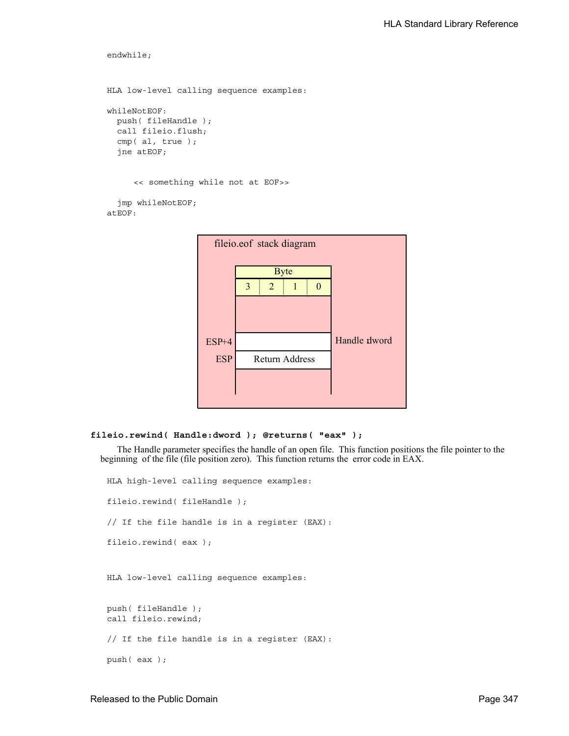```
endwhile;
HLA low-level calling sequence examples:
whileNotEOF:
  push( fileHandle );
  call fileio.flush;
  cmp( al, true );
  jne atEOF;
     << something while not at EOF>>
  jmp whileNotEOF;
atEOF:
```


## **fileio.rewind( Handle:dword ); @returns( "eax" );**

The Handle parameter specifies the handle of an open file. This function positions the file pointer to the beginning of the file (file position zero). This function returns the error code in EAX.

HLA high-level calling sequence examples: fileio.rewind( fileHandle ); // If the file handle is in a register (EAX): fileio.rewind( eax ); HLA low-level calling sequence examples: push( fileHandle ); call fileio.rewind; // If the file handle is in a register (EAX): push( eax );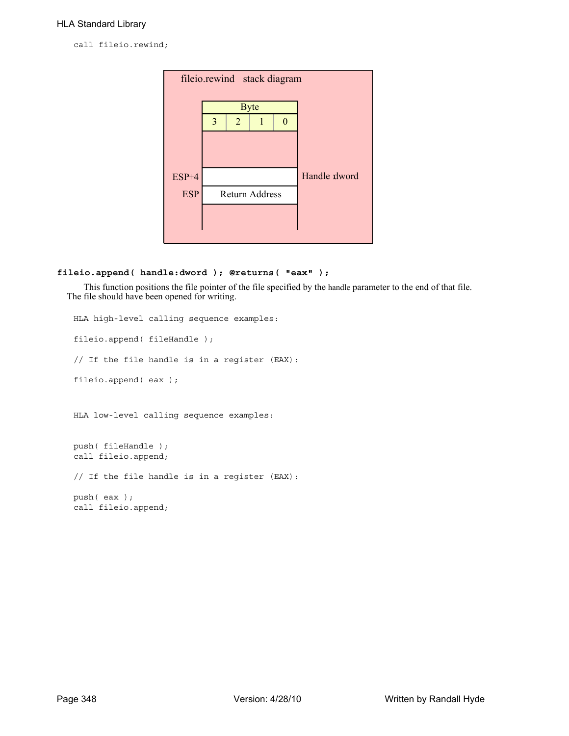call fileio.rewind;



### **fileio.append( handle:dword ); @returns( "eax" );**

This function positions the file pointer of the file specified by the handle parameter to the end of that file. The file should have been opened for writing.

```
HLA high-level calling sequence examples:
fileio.append( fileHandle );
// If the file handle is in a register (EAX):
fileio.append( eax );
HLA low-level calling sequence examples:
push( fileHandle );
call fileio.append;
// If the file handle is in a register (EAX):
push( eax );
call fileio.append;
```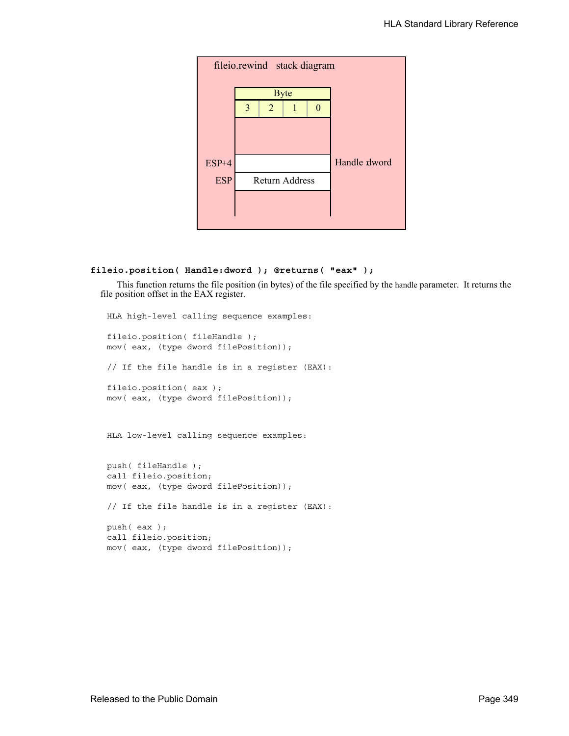

# **fileio.position( Handle:dword ); @returns( "eax" );**

This function returns the file position (in bytes) of the file specified by the handle parameter. It returns the file position offset in the EAX register.

```
HLA high-level calling sequence examples:
fileio.position( fileHandle );
mov( eax, (type dword filePosition));
// If the file handle is in a register (EAX):
fileio.position( eax );
mov( eax, (type dword filePosition));
HLA low-level calling sequence examples:
push( fileHandle );
call fileio.position;
mov( eax, (type dword filePosition));
// If the file handle is in a register (EAX):
push( eax );
call fileio.position;
mov( eax, (type dword filePosition));
```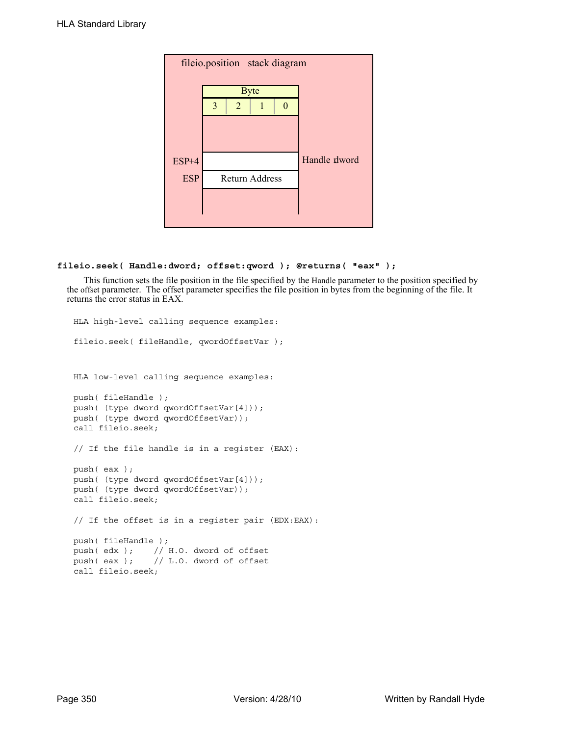

### **fileio.seek( Handle:dword; offset:qword ); @returns( "eax" );**

This function sets the file position in the file specified by the Handle parameter to the position specified by the offset parameter. The offset parameter specifies the file position in bytes from the beginning of the file. It returns the error status in EAX.

```
HLA high-level calling sequence examples:
fileio.seek( fileHandle, qwordOffsetVar );
HLA low-level calling sequence examples:
push( fileHandle );
push( (type dword qwordOffsetVar[4]));
push( (type dword qwordOffsetVar));
call fileio.seek;
// If the file handle is in a register (EAX):
push( eax );
push( (type dword qwordOffsetVar[4]));
push( (type dword qwordOffsetVar));
call fileio.seek;
// If the offset is in a register pair (EDX:EAX):
push( fileHandle );
push( edx ); // H.O. dword of offset
push( eax ); // L.O. dword of offset
call fileio.seek;
```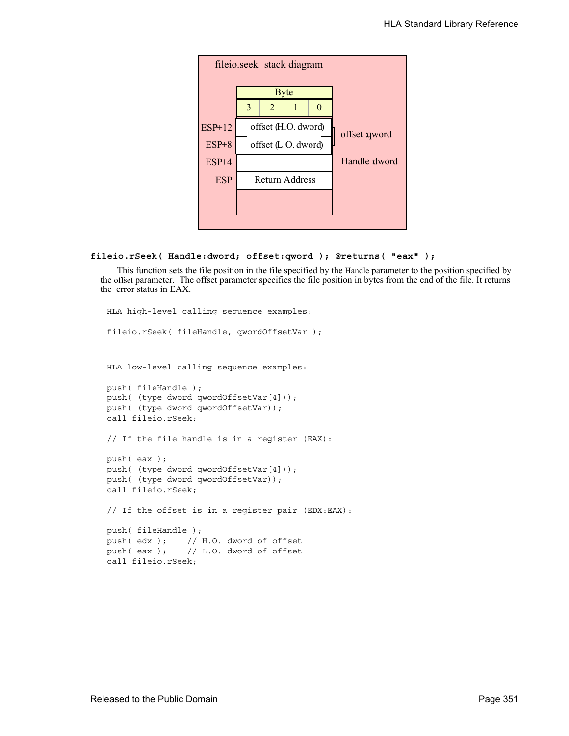

# **fileio.rSeek( Handle:dword; offset:qword ); @returns( "eax" );**

This function sets the file position in the file specified by the Handle parameter to the position specified by the offset parameter. The offset parameter specifies the file position in bytes from the end of the file. It returns the error status in EAX.

```
HLA high-level calling sequence examples:
fileio.rSeek( fileHandle, qwordOffsetVar );
HLA low-level calling sequence examples:
push( fileHandle );
push( (type dword qwordOffsetVar[4]));
push( (type dword qwordOffsetVar));
call fileio.rSeek;
// If the file handle is in a register (EAX):
push( eax );
push( (type dword qwordOffsetVar[4]));
push( (type dword qwordOffsetVar));
call fileio.rSeek;
// If the offset is in a register pair (EDX:EAX):
push( fileHandle );
push( edx ); // H.O. dword of offset
push( eax ); // L.O. dword of offset
call fileio.rSeek;
```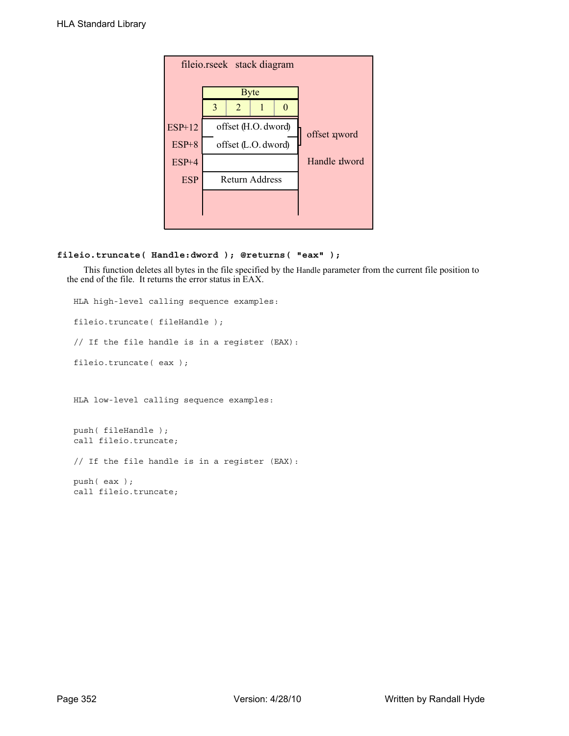

### **fileio.truncate( Handle:dword ); @returns( "eax" );**

This function deletes all bytes in the file specified by the Handle parameter from the current file position to the end of the file. It returns the error status in EAX.

```
HLA high-level calling sequence examples:
fileio.truncate( fileHandle );
// If the file handle is in a register (EAX):
fileio.truncate( eax );
HLA low-level calling sequence examples:
push( fileHandle );
call fileio.truncate;
// If the file handle is in a register (EAX):
push( eax );
call fileio.truncate;
```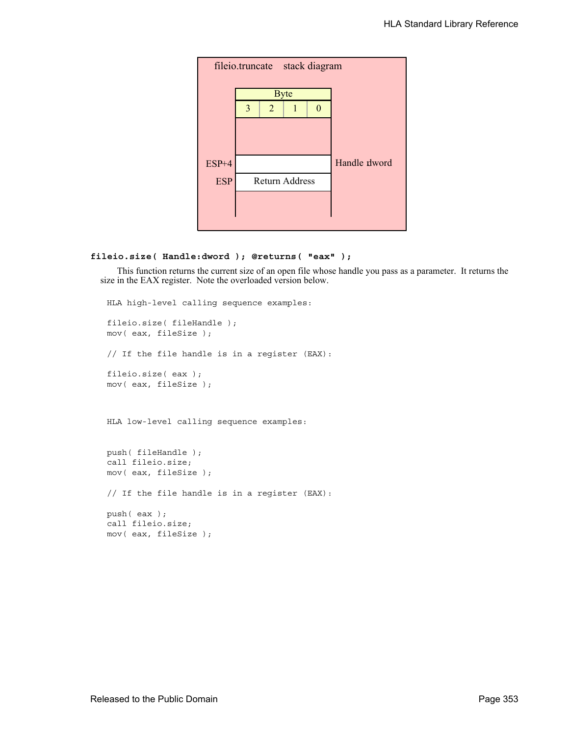

### **fileio.size( Handle:dword ); @returns( "eax" );**

This function returns the current size of an open file whose handle you pass as a parameter. It returns the size in the EAX register. Note the overloaded version below.

```
HLA high-level calling sequence examples:
fileio.size( fileHandle );
mov( eax, fileSize );
// If the file handle is in a register (EAX):
fileio.size( eax );
mov( eax, fileSize );
HLA low-level calling sequence examples:
push( fileHandle );
call fileio.size;
mov( eax, fileSize );
// If the file handle is in a register (EAX):
push( eax );
call fileio.size;
mov( eax, fileSize );
```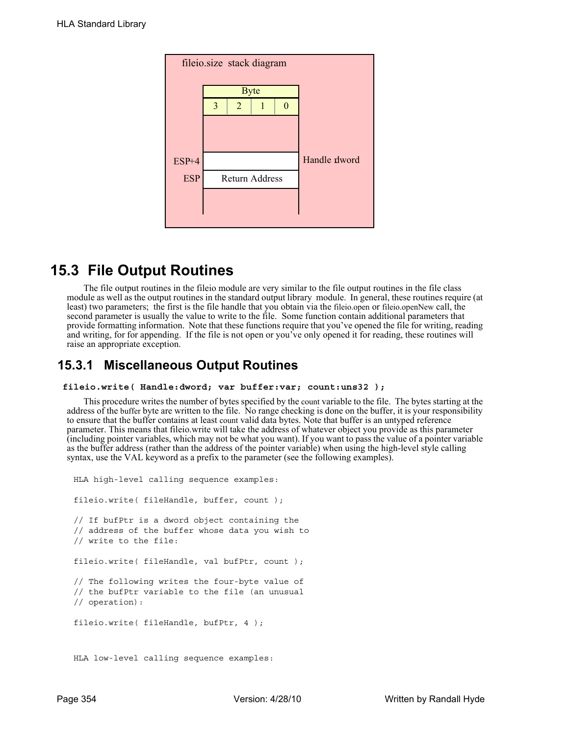

# **15.3 File Output Routines**

The file output routines in the fileio module are very similar to the file output routines in the file class module as well as the output routines in the standard output library module. In general, these routines require (at least) two parameters; the first is the file handle that you obtain via the fileio.open or fileio.openNew call, the second parameter is usually the value to write to the file. Some function contain additional parameters that provide formatting information. Note that these functions require that you've opened the file for writing, reading and writing, for for appending. If the file is not open or you've only opened it for reading, these routines will raise an appropriate exception.

# **15.3.1 Miscellaneous Output Routines**

### **fileio.write( Handle:dword; var buffer:var; count:uns32 );**

This procedure writes the number of bytes specified by the count variable to the file. The bytes starting at the address of the buffer byte are written to the file. No range checking is done on the buffer, it is your responsibility to ensure that the buffer contains at least count valid data bytes. Note that buffer is an untyped reference parameter. This means that fileio.write will take the address of whatever object you provide as this parameter (including pointer variables, which may not be what you want). If you want to pass the value of a pointer variable as the buffer address (rather than the address of the pointer variable) when using the high-level style calling syntax, use the VAL keyword as a prefix to the parameter (see the following examples).

```
HLA high-level calling sequence examples:
fileio.write( fileHandle, buffer, count );
// If bufPtr is a dword object containing the
// address of the buffer whose data you wish to
// write to the file:
fileio.write( fileHandle, val bufPtr, count );
// The following writes the four-byte value of
// the bufPtr variable to the file (an unusual
// operation):
fileio.write( fileHandle, bufPtr, 4 );
HLA low-level calling sequence examples:
```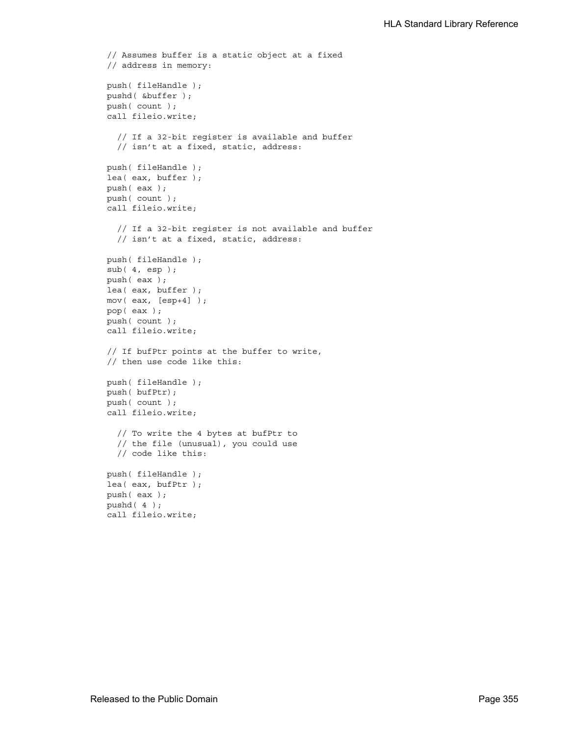```
// Assumes buffer is a static object at a fixed
// address in memory:
push( fileHandle );
pushd( &buffer );
push( count );
call fileio.write;
  // If a 32-bit register is available and buffer
  // isn't at a fixed, static, address:
push( fileHandle );
lea( eax, buffer );
push( eax );
push( count );
call fileio.write;
  // If a 32-bit register is not available and buffer
  // isn't at a fixed, static, address:
push( fileHandle );
sub( 4, esp );
push( eax );
lea( eax, buffer );
mov( eax, [esp+4] );
pop( eax );
push( count );
call fileio.write;
// If bufPtr points at the buffer to write,
// then use code like this:
push( fileHandle );
push( bufPtr);
push( count );
call fileio.write;
  // To write the 4 bytes at bufPtr to
  // the file (unusual), you could use
  // code like this:
push( fileHandle );
lea( eax, bufPtr );
push( eax );
pushd( 4 );
call fileio.write;
```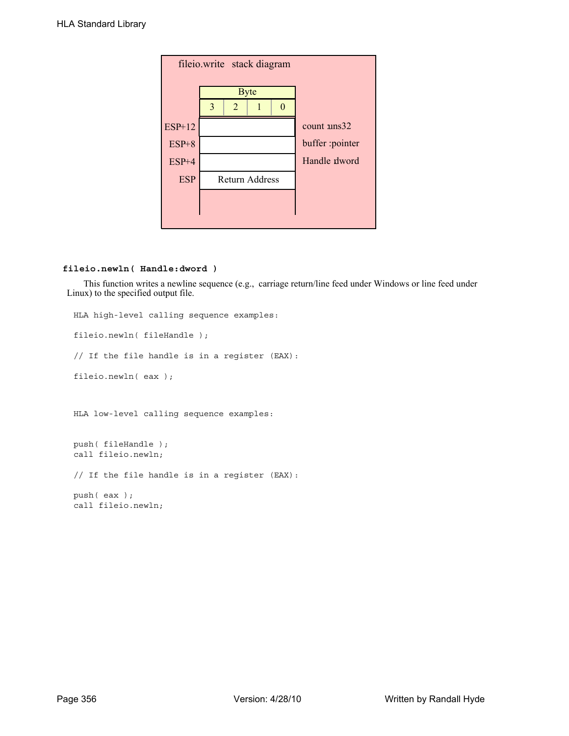| fileio.write stack diagram |               |                       |             |                 |  |  |  |
|----------------------------|---------------|-----------------------|-------------|-----------------|--|--|--|
|                            |               |                       | <b>Byte</b> |                 |  |  |  |
|                            | $\mathcal{E}$ | $\overline{2}$        |             |                 |  |  |  |
| ESP+12                     |               |                       |             | count uns32     |  |  |  |
| $ESP+8$                    |               |                       |             | buffer :pointer |  |  |  |
| $ESP+4$                    |               |                       |             | Handle dword    |  |  |  |
| <b>ESP</b>                 |               | <b>Return Address</b> |             |                 |  |  |  |
|                            |               |                       |             |                 |  |  |  |
|                            |               |                       |             |                 |  |  |  |

### **fileio.newln( Handle:dword )**

This function writes a newline sequence (e.g., carriage return/line feed under Windows or line feed under Linux) to the specified output file.

```
HLA high-level calling sequence examples:
fileio.newln( fileHandle );
// If the file handle is in a register (EAX):
fileio.newln( eax );
HLA low-level calling sequence examples:
push( fileHandle );
call fileio.newln;
// If the file handle is in a register (EAX):
push( eax );
call fileio.newln;
```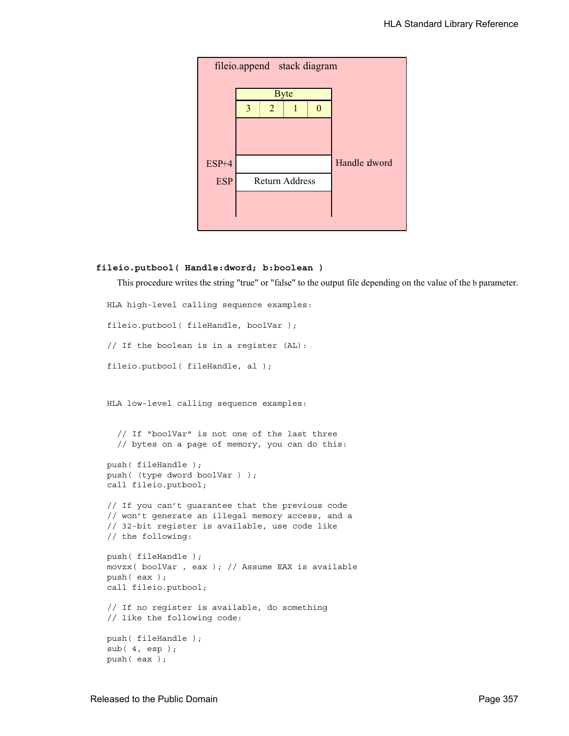

### **fileio.putbool( Handle:dword; b:boolean )**

This procedure writes the string "true" or "false" to the output file depending on the value of the b parameter.

```
HLA high-level calling sequence examples:
fileio.putbool( fileHandle, boolVar );
// If the boolean is in a register (AL):
fileio.putbool( fileHandle, al );
HLA low-level calling sequence examples:
  // If "boolVar" is not one of the last three
  // bytes on a page of memory, you can do this:
push( fileHandle );
push( (type dword boolVar ) );
call fileio.putbool;
// If you can't guarantee that the previous code
// won't generate an illegal memory access, and a
// 32-bit register is available, use code like
// the following:
push( fileHandle );
movzx( boolVar , eax ); // Assume EAX is available
push( eax );
call fileio.putbool;
// If no register is available, do something
// like the following code:
push( fileHandle );
sub( 4, esp );
push( eax );
```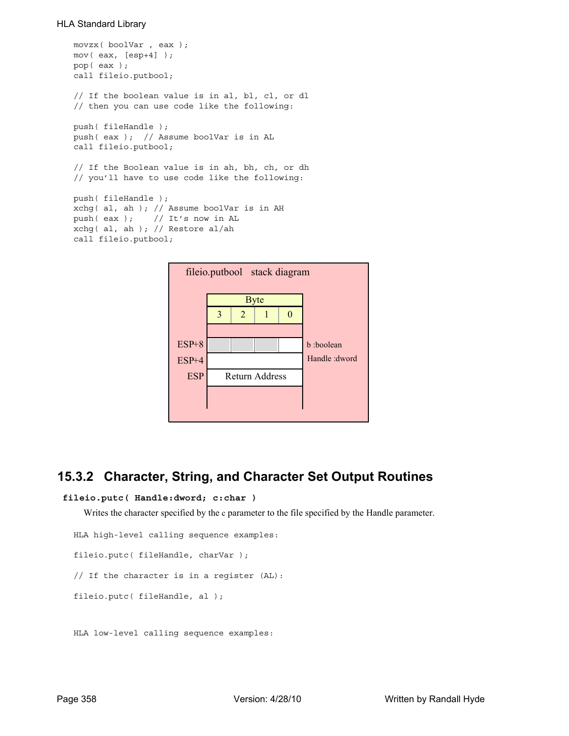```
movzx( boolVar , eax );
mov( eax, [esp+4] );
pop( eax );
call fileio.putbool;
// If the boolean value is in al, bl, cl, or dl
// then you can use code like the following:
push( fileHandle );
push( eax ); // Assume boolVar is in AL
call fileio.putbool;
// If the Boolean value is in ah, bh, ch, or dh
// you'll have to use code like the following:
push( fileHandle );
xchg( al, ah ); // Assume boolVar is in AH
push( eax ); // It's now in AL
xchg( al, ah ); // Restore al/ah
call fileio.putbool;
```


# **15.3.2 Character, String, and Character Set Output Routines**

```
 fileio.putc( Handle:dword; c:char )
```
Writes the character specified by the c parameter to the file specified by the Handle parameter.

```
HLA high-level calling sequence examples:
fileio.putc( fileHandle, charVar );
// If the character is in a register (AL):
fileio.putc( fileHandle, al );
```
HLA low-level calling sequence examples: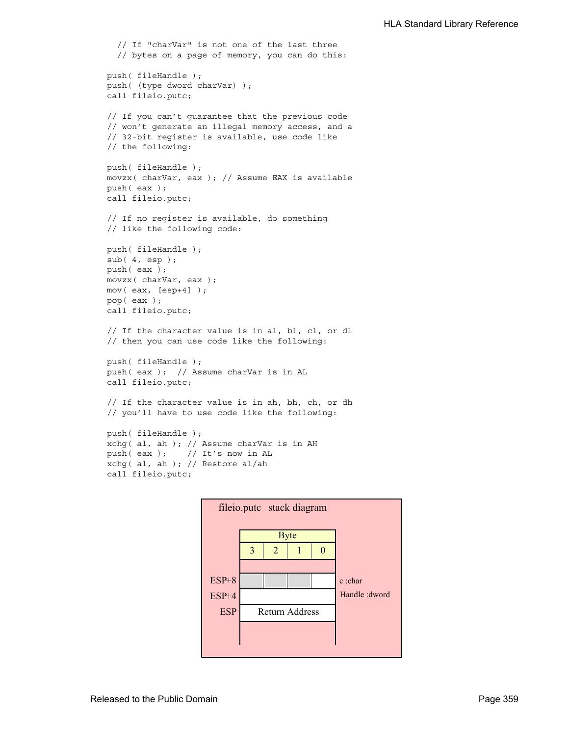```
// If "charVar" is not one of the last three
  // bytes on a page of memory, you can do this:
push( fileHandle );
push( (type dword charVar) );
call fileio.putc;
// If you can't guarantee that the previous code
// won't generate an illegal memory access, and a
// 32-bit register is available, use code like
// the following:
push( fileHandle );
movzx( charVar, eax ); // Assume EAX is available
push( eax );
call fileio.putc;
// If no register is available, do something
// like the following code:
push( fileHandle );
sub( 4, esp );
push( eax );
movzx( charVar, eax );
mov( eax, [esp+4] );
pop( eax );
call fileio.putc;
// If the character value is in al, bl, cl, or dl
// then you can use code like the following:
push( fileHandle );
push( eax ); // Assume charVar is in AL
call fileio.putc;
// If the character value is in ah, bh, ch, or dh
// you'll have to use code like the following:
push( fileHandle );
xchg( al, ah ); // Assume charVar is in AH
push( eax ); // It's now in AL
xchg( al, ah ); // Restore al/ah
```


call fileio.putc;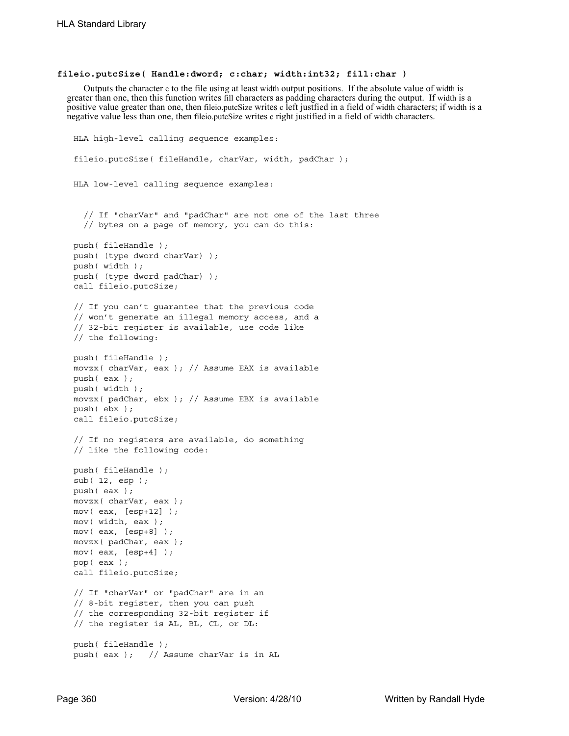### **fileio.putcSize( Handle:dword; c:char; width:int32; fill:char )**

Outputs the character c to the file using at least width output positions. If the absolute value of width is greater than one, then this function writes fill characters as padding characters during the output. If width is a positive value greater than one, then fileio.putcSize writes c left justfied in a field of width characters; if width is a negative value less than one, then fileio.putcSize writes c right justified in a field of width characters.

```
HLA high-level calling sequence examples:
fileio.putcSize( fileHandle, charVar, width, padChar );
HLA low-level calling sequence examples:
  // If "charVar" and "padChar" are not one of the last three
  // bytes on a page of memory, you can do this:
push( fileHandle );
push( (type dword charVar) );
push( width );
push( (type dword padChar) );
call fileio.putcSize;
// If you can't guarantee that the previous code
// won't generate an illegal memory access, and a
// 32-bit register is available, use code like
// the following:
push( fileHandle );
movzx( charVar, eax ); // Assume EAX is available
push( eax );
push( width );
movzx( padChar, ebx ); // Assume EBX is available
push( ebx );
call fileio.putcSize;
// If no registers are available, do something
// like the following code:
push( fileHandle );
sub( 12, esp );
push( eax );
movzx( charVar, eax );
mov( eax, [esp+12] );
mov( width, eax );
mov( eax, [esp+8] );
movzx( padChar, eax );
mov( eax, [esp+4] );
pop( eax );
call fileio.putcSize;
// If "charVar" or "padChar" are in an
// 8-bit register, then you can push
// the corresponding 32-bit register if
// the register is AL, BL, CL, or DL:
push( fileHandle );
push( eax ); // Assume charVar is in AL
```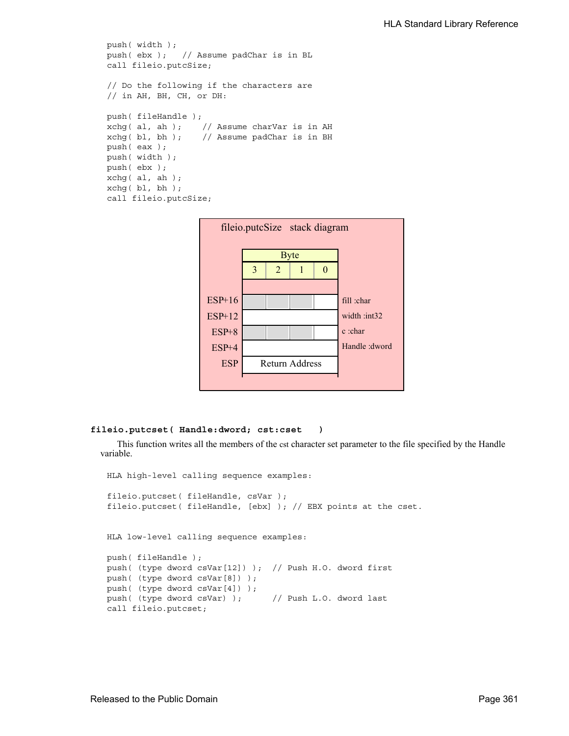```
push( width );
push( ebx ); // Assume padChar is in BL
call fileio.putcSize;
// Do the following if the characters are
// in AH, BH, CH, or DH:
push( fileHandle );
xchg( al, ah ); // Assume charVar is in AH
xchg( bl, bh ); // Assume padChar is in BH
push( eax ); 
push( width );
push( ebx );
xchg( al, ah );
xchg( bl, bh );
call fileio.putcSize;
```


### **fileio.putcset( Handle:dword; cst:cset )**

This function writes all the members of the cst character set parameter to the file specified by the Handle variable.

```
HLA high-level calling sequence examples:
fileio.putcset( fileHandle, csVar );
fileio.putcset( fileHandle, [ebx] ); // EBX points at the cset.
HLA low-level calling sequence examples:
push( fileHandle );
push( (type dword csVar[12]) ); // Push H.O. dword first
push( (type dword csVar[8]) );
push( (type dword csVar[4]) );
push( (type dword csVar) ); // Push L.O. dword last
call fileio.putcset;
```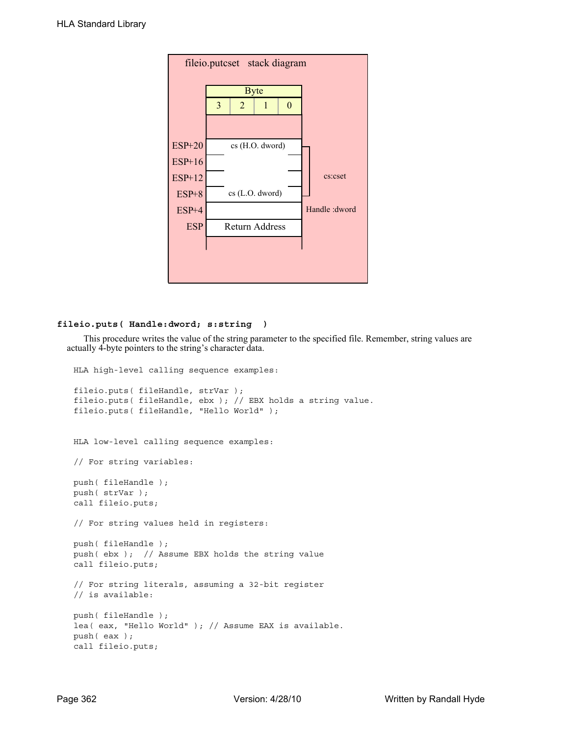| fileio.putcset stack diagram |               |                 |                       |  |  |  |  |
|------------------------------|---------------|-----------------|-----------------------|--|--|--|--|
|                              |               | <b>Byte</b>     |                       |  |  |  |  |
|                              | 3             | $\overline{2}$  |                       |  |  |  |  |
|                              |               |                 |                       |  |  |  |  |
| <b>ESP+20</b>                |               | cs (H.O. dword) |                       |  |  |  |  |
| $ESP+16$                     |               |                 |                       |  |  |  |  |
| <b>ESP+12</b>                | cs:cset       |                 |                       |  |  |  |  |
| $ESP+8$                      |               |                 | cs (L.O. dword)       |  |  |  |  |
| $ESP+4$                      | Handle: dword |                 |                       |  |  |  |  |
| <b>ESP</b>                   |               |                 | <b>Return Address</b> |  |  |  |  |
|                              |               |                 |                       |  |  |  |  |
|                              |               |                 |                       |  |  |  |  |
|                              |               |                 |                       |  |  |  |  |

### **fileio.puts( Handle:dword; s:string )**

This procedure writes the value of the string parameter to the specified file. Remember, string values are actually 4-byte pointers to the string's character data.

```
HLA high-level calling sequence examples:
fileio.puts( fileHandle, strVar );
fileio.puts( fileHandle, ebx ); // EBX holds a string value.
fileio.puts( fileHandle, "Hello World" );
HLA low-level calling sequence examples:
// For string variables:
push( fileHandle );
push( strVar );
call fileio.puts;
// For string values held in registers:
push( fileHandle );
push( ebx ); // Assume EBX holds the string value
call fileio.puts;
// For string literals, assuming a 32-bit register
// is available:
push( fileHandle );
lea( eax, "Hello World" ); // Assume EAX is available.
push( eax );
call fileio.puts;
```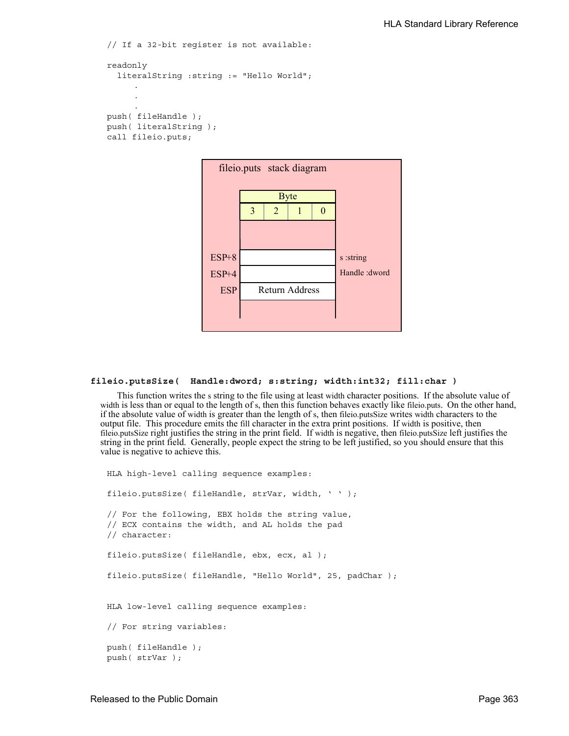```
// If a 32-bit register is not available:
readonly
  literalString :string := "Hello World";
     .
     .
     .
push( fileHandle );
push( literalString );
call fileio.puts;
```


### **fileio.putsSize( Handle:dword; s:string; width:int32; fill:char )**

This function writes the s string to the file using at least width character positions. If the absolute value of width is less than or equal to the length of s, then this function behaves exactly like fileio.puts. On the other hand, if the absolute value of width is greater than the length of s, then fileio.putsSize writes width characters to the output file. This procedure emits the fill character in the extra print positions. If width is positive, then fileio.putsSize right justifies the string in the print field. If width is negative, then fileio.putsSize left justifies the string in the print field. Generally, people expect the string to be left justified, so you should ensure that this value is negative to achieve this.

```
HLA high-level calling sequence examples:
fileio.putsSize( fileHandle, strVar, width, ' ' );
// For the following, EBX holds the string value,
// ECX contains the width, and AL holds the pad
// character:
fileio.putsSize( fileHandle, ebx, ecx, al );
fileio.putsSize( fileHandle, "Hello World", 25, padChar );
HLA low-level calling sequence examples:
// For string variables:
push( fileHandle );
push( strVar );
```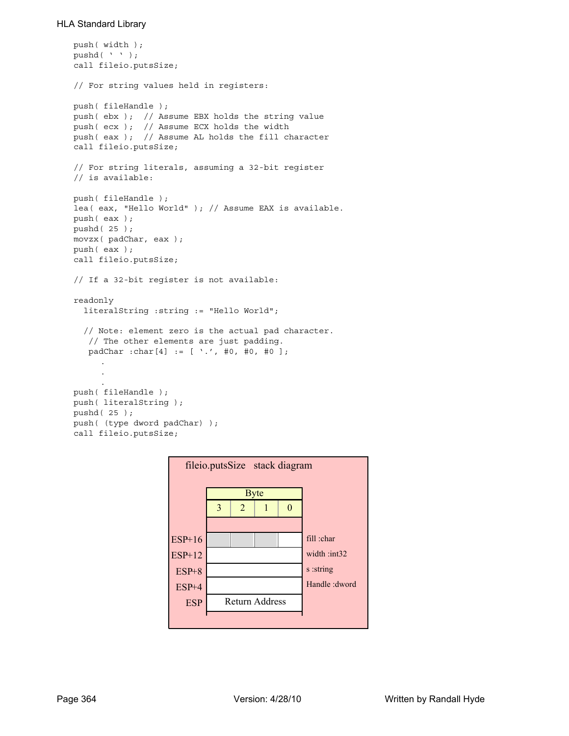```
push( width );
pushd( ' ' );
call fileio.putsSize;
// For string values held in registers:
push( fileHandle );
push( ebx ); // Assume EBX holds the string value
push( ecx ); // Assume ECX holds the width
push( eax ); // Assume AL holds the fill character
call fileio.putsSize;
// For string literals, assuming a 32-bit register
// is available:
push( fileHandle );
lea( eax, "Hello World" ); // Assume EAX is available.
push( eax );
pushd( 25 );
movzx( padChar, eax );
push( eax );
call fileio.putsSize;
// If a 32-bit register is not available:
readonly
  literalString :string := "Hello World";
  // Note: element zero is the actual pad character.
    // The other elements are just padding.
   padChar :char[4] := [ '.', #0, #0, #0 ];
     .
     .
     .
push( fileHandle );
push( literalString );
pushd( 25 );
push( (type dword padChar) );
call fileio.putsSize;
```
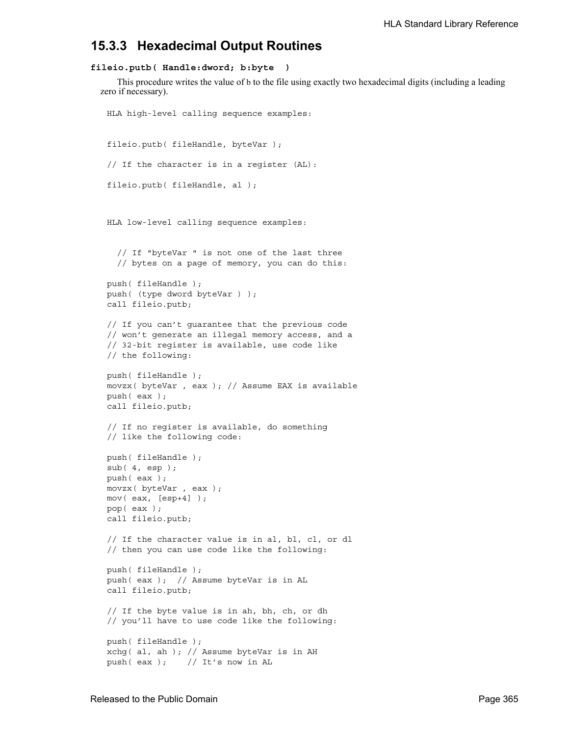# **15.3.3 Hexadecimal Output Routines**

### **fileio.putb( Handle:dword; b:byte )**

This procedure writes the value of b to the file using exactly two hexadecimal digits (including a leading zero if necessary).

```
HLA high-level calling sequence examples:
fileio.putb( fileHandle, byteVar );
// If the character is in a register (AL):
fileio.putb( fileHandle, al );
HLA low-level calling sequence examples:
  // If "byteVar " is not one of the last three
  // bytes on a page of memory, you can do this:
push( fileHandle );
push( (type dword byteVar ) );
call fileio.putb;
// If you can't guarantee that the previous code
// won't generate an illegal memory access, and a
// 32-bit register is available, use code like
// the following:
push( fileHandle );
movzx( byteVar , eax ); // Assume EAX is available
push( eax );
call fileio.putb;
// If no register is available, do something
// like the following code:
push( fileHandle );
sub( 4, esp );
push( eax );
movzx( byteVar , eax );
mov( eax, [esp+4] );
pop( eax );
call fileio.putb;
// If the character value is in al, bl, cl, or dl
// then you can use code like the following:
push( fileHandle );
push( eax ); // Assume byteVar is in AL
call fileio.putb;
// If the byte value is in ah, bh, ch, or dh
// you'll have to use code like the following:
push( fileHandle );
xchg( al, ah ); // Assume byteVar is in AH
push(eax ); // It's now in AL
```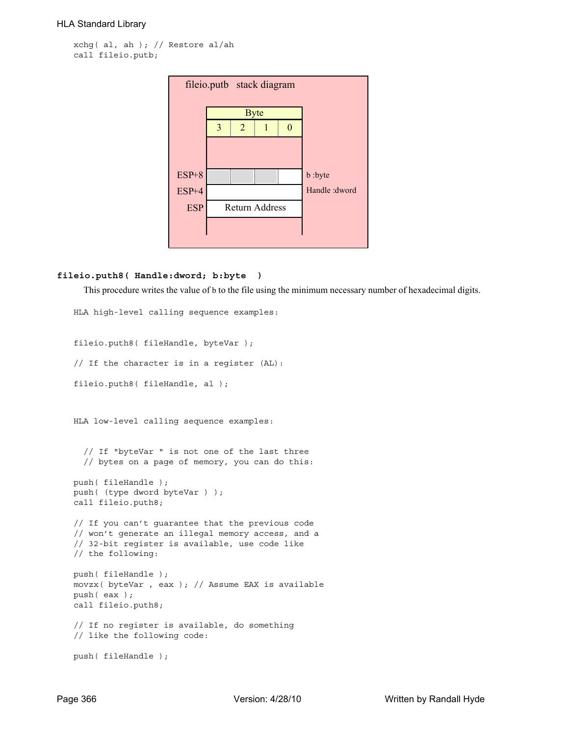```
xchg( al, ah ); // Restore al/ah
call fileio.putb;
```

| fileio.putb stack diagram |                       |             |  |   |                |  |  |
|---------------------------|-----------------------|-------------|--|---|----------------|--|--|
|                           |                       | <b>Byte</b> |  |   |                |  |  |
|                           | 3                     | 2           |  | 0 |                |  |  |
|                           |                       |             |  |   |                |  |  |
|                           |                       |             |  |   |                |  |  |
| $ESP+8$                   |                       |             |  |   | b :byte        |  |  |
| $ESP+4$                   |                       |             |  |   | Handle : dword |  |  |
| <b>ESP</b>                | <b>Return Address</b> |             |  |   |                |  |  |
|                           |                       |             |  |   |                |  |  |
|                           |                       |             |  |   |                |  |  |

# **fileio.puth8( Handle:dword; b:byte )**

This procedure writes the value of b to the file using the minimum necessary number of hexadecimal digits.

```
HLA high-level calling sequence examples:
fileio.puth8( fileHandle, byteVar );
// If the character is in a register (AL):
fileio.puth8( fileHandle, al );
HLA low-level calling sequence examples:
  // If "byteVar " is not one of the last three
  // bytes on a page of memory, you can do this:
push( fileHandle );
push( (type dword byteVar ) );
call fileio.puth8;
// If you can't guarantee that the previous code
// won't generate an illegal memory access, and a
// 32-bit register is available, use code like
// the following:
push( fileHandle );
movzx( byteVar , eax ); // Assume EAX is available
push( eax );
call fileio.puth8;
// If no register is available, do something
// like the following code:
push( fileHandle );
```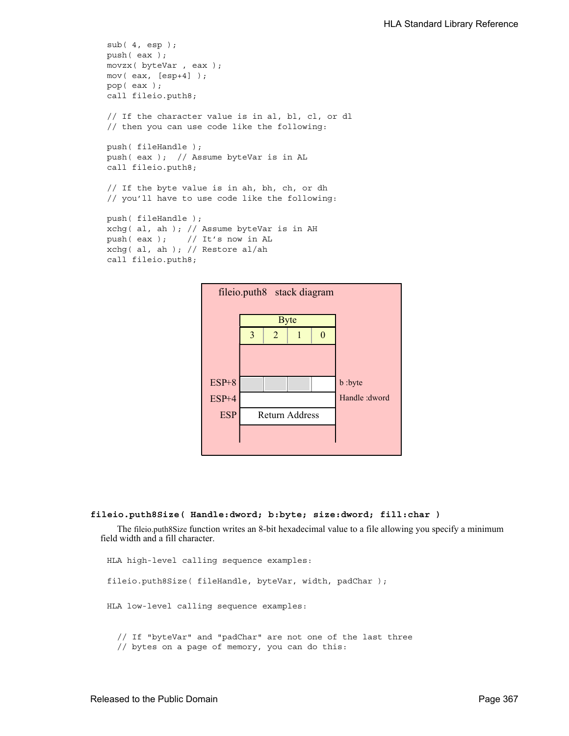```
sub( 4, esp );
push( eax );
movzx( byteVar , eax );
mov( eax, [esp+4] );
pop( eax );
call fileio.puth8;
// If the character value is in al, bl, cl, or dl
// then you can use code like the following:
push( fileHandle );
push( eax ); // Assume byteVar is in AL
call fileio.puth8;
// If the byte value is in ah, bh, ch, or dh
// you'll have to use code like the following:
push( fileHandle );
xchg( al, ah ); // Assume byteVar is in AH
push( eax ); // It's now in AL
xchg( al, ah ); // Restore al/ah
call fileio.puth8;
```


#### **fileio.puth8Size( Handle:dword; b:byte; size:dword; fill:char )**

The fileio.puth8Size function writes an 8-bit hexadecimal value to a file allowing you specify a minimum field width and a fill character.

```
HLA high-level calling sequence examples:
fileio.puth8Size( fileHandle, byteVar, width, padChar );
HLA low-level calling sequence examples:
  // If "byteVar" and "padChar" are not one of the last three
  // bytes on a page of memory, you can do this:
```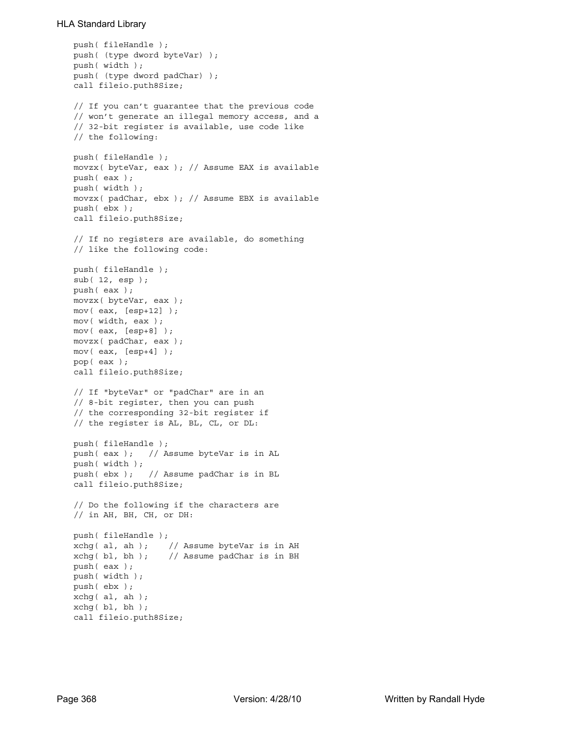```
push( fileHandle );
push( (type dword byteVar) );
push( width );
push( (type dword padChar) );
call fileio.puth8Size;
// If you can't guarantee that the previous code
// won't generate an illegal memory access, and a
// 32-bit register is available, use code like
// the following:
push( fileHandle );
movzx( byteVar, eax ); // Assume EAX is available
push( eax );
push( width );
movzx( padChar, ebx ); // Assume EBX is available
push( ebx );
call fileio.puth8Size;
// If no registers are available, do something
// like the following code:
push( fileHandle );
sub( 12, esp );
push( eax );
movzx( byteVar, eax );
mov( eax, [esp+12] );
mov( width, eax );
mov( eax, [esp+8] );
movzx( padChar, eax );
mov( eax, [esp+4] );
pop( eax );
call fileio.puth8Size;
// If "byteVar" or "padChar" are in an
// 8-bit register, then you can push
// the corresponding 32-bit register if
// the register is AL, BL, CL, or DL:
push( fileHandle );
push( eax ); // Assume byteVar is in AL
push( width );
push( ebx ); // Assume padChar is in BL
call fileio.puth8Size;
// Do the following if the characters are
// in AH, BH, CH, or DH:
push( fileHandle );
xchg( al, ah ); // Assume byteVar is in AH
xchg( bl, bh ); // Assume padChar is in BH
push( eax ); 
push( width );
push( ebx );
xchg( al, ah );
xchg( bl, bh );
call fileio.puth8Size;
```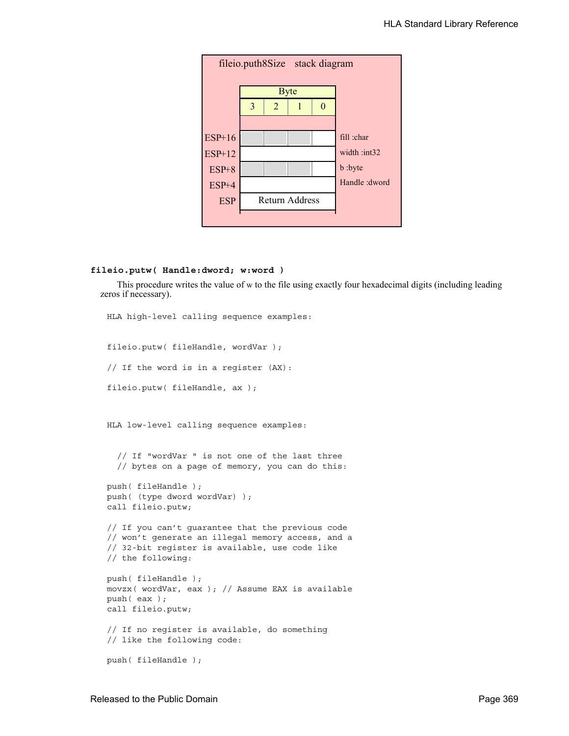

### **fileio.putw( Handle:dword; w:word )**

This procedure writes the value of w to the file using exactly four hexadecimal digits (including leading zeros if necessary).

```
HLA high-level calling sequence examples:
fileio.putw( fileHandle, wordVar );
// If the word is in a register (AX):
fileio.putw( fileHandle, ax );
HLA low-level calling sequence examples:
  // If "wordVar " is not one of the last three
  // bytes on a page of memory, you can do this:
push( fileHandle );
push( (type dword wordVar) );
call fileio.putw;
// If you can't guarantee that the previous code
// won't generate an illegal memory access, and a
// 32-bit register is available, use code like
// the following:
push( fileHandle );
movzx( wordVar, eax ); // Assume EAX is available
push( eax );
call fileio.putw;
// If no register is available, do something
// like the following code:
push( fileHandle );
```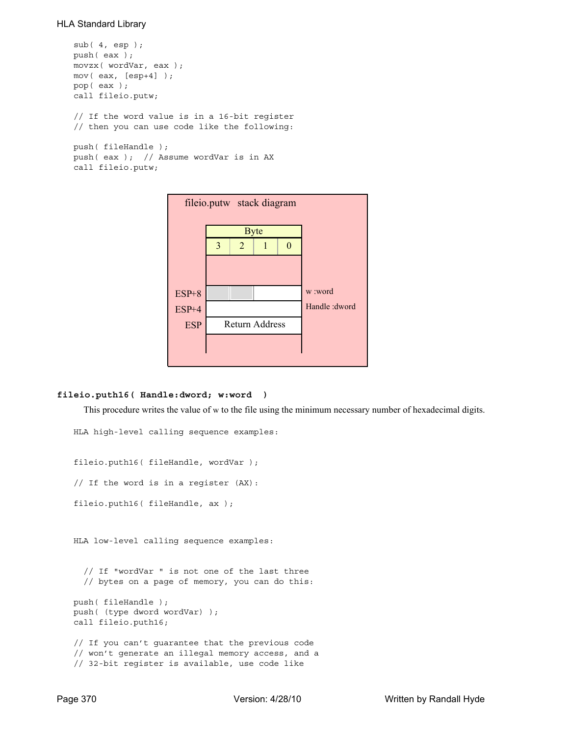```
sub( 4, esp );
push( eax );
movzx( wordVar, eax );
mov( eax, [esp+4] );
pop( eax );
call fileio.putw;
// If the word value is in a 16-bit register
// then you can use code like the following:
push( fileHandle );
push( eax ); // Assume wordVar is in AX
call fileio.putw;
```


### **fileio.puth16( Handle:dword; w:word )**

This procedure writes the value of w to the file using the minimum necessary number of hexadecimal digits.

```
HLA high-level calling sequence examples:
fileio.puth16( fileHandle, wordVar );
// If the word is in a register (AX):
fileio.puth16( fileHandle, ax );
HLA low-level calling sequence examples:
  // If "wordVar " is not one of the last three
  // bytes on a page of memory, you can do this:
push( fileHandle );
push( (type dword wordVar) );
call fileio.puth16;
// If you can't guarantee that the previous code
// won't generate an illegal memory access, and a
// 32-bit register is available, use code like
```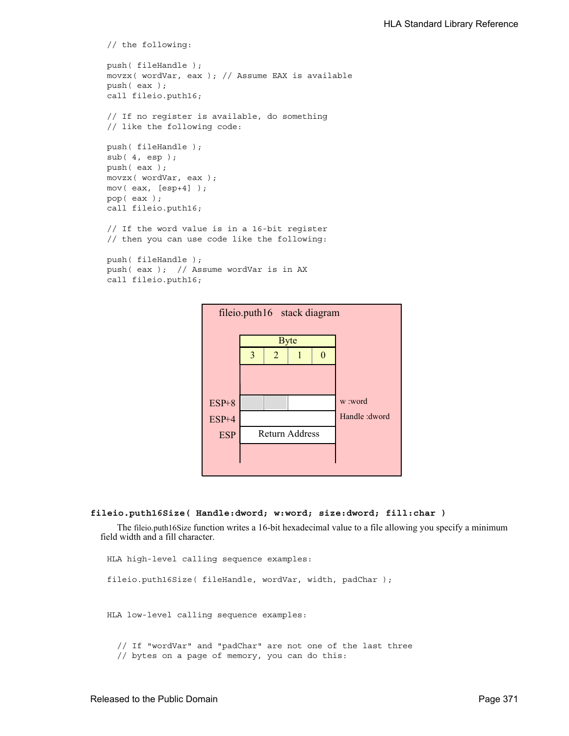```
// the following:
push( fileHandle );
movzx( wordVar, eax ); // Assume EAX is available
push( eax );
call fileio.puth16;
// If no register is available, do something
// like the following code:
push( fileHandle );
sub(4, esp);push( eax );
movzx( wordVar, eax );
mov( eax, [esp+4] );
pop( eax );
call fileio.puth16;
// If the word value is in a 16-bit register
// then you can use code like the following:
push( fileHandle );
push( eax ); // Assume wordVar is in AX
call fileio.puth16;
```


### **fileio.puth16Size( Handle:dword; w:word; size:dword; fill:char )**

The fileio.puth16Size function writes a 16-bit hexadecimal value to a file allowing you specify a minimum field width and a fill character.

```
HLA high-level calling sequence examples:
fileio.puth16Size( fileHandle, wordVar, width, padChar );
HLA low-level calling sequence examples:
  // If "wordVar" and "padChar" are not one of the last three
  // bytes on a page of memory, you can do this:
```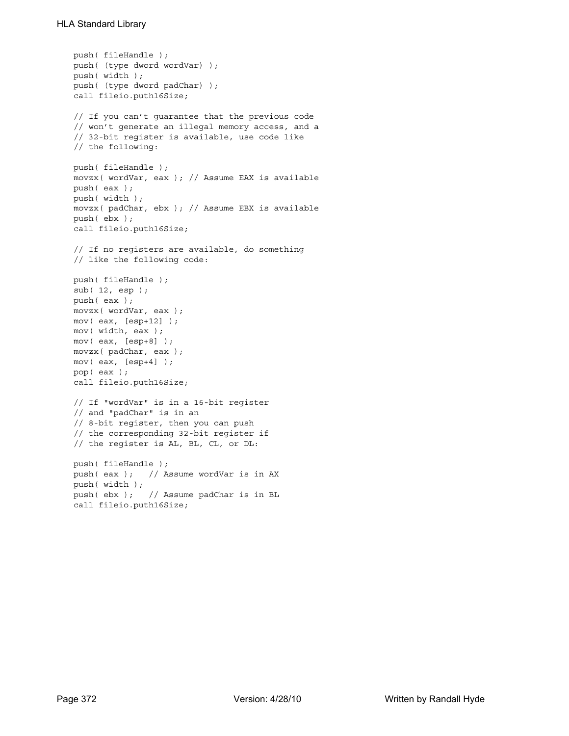```
push( fileHandle );
push( (type dword wordVar) );
push( width );
push( (type dword padChar) );
call fileio.puth16Size;
// If you can't guarantee that the previous code
// won't generate an illegal memory access, and a
// 32-bit register is available, use code like
// the following:
push( fileHandle );
movzx( wordVar, eax ); // Assume EAX is available
push( eax );
push( width );
movzx( padChar, ebx ); // Assume EBX is available
push( ebx );
call fileio.puth16Size;
// If no registers are available, do something
// like the following code:
push( fileHandle );
sub( 12, esp );
push( eax );
movzx( wordVar, eax );
mov( eax, [esp+12] );
mov( width, eax );
mov( eax, [esp+8] );
movzx( padChar, eax );
mov( eax, [esp+4] );
pop( eax );
call fileio.puth16Size;
// If "wordVar" is in a 16-bit register
// and "padChar" is in an
// 8-bit register, then you can push
// the corresponding 32-bit register if
// the register is AL, BL, CL, or DL:
push( fileHandle );
push( eax ); // Assume wordVar is in AX
push( width );
push( ebx ); // Assume padChar is in BL
call fileio.puth16Size;
```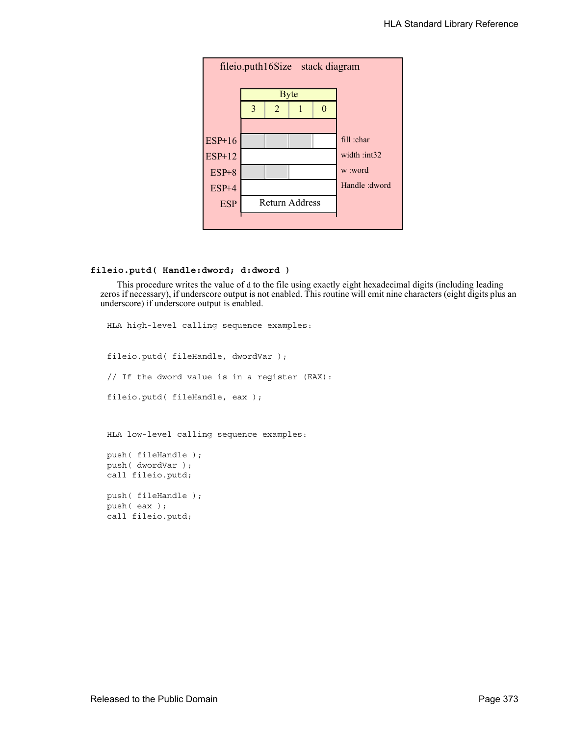

# **fileio.putd( Handle:dword; d:dword )**

This procedure writes the value of d to the file using exactly eight hexadecimal digits (including leading zeros if necessary), if underscore output is not enabled. This routine will emit nine characters (eight digits plus an underscore) if underscore output is enabled.

```
HLA high-level calling sequence examples:
fileio.putd( fileHandle, dwordVar );
// If the dword value is in a register (EAX):
fileio.putd( fileHandle, eax );
HLA low-level calling sequence examples:
push( fileHandle );
push( dwordVar );
call fileio.putd;
push( fileHandle );
push( eax );
call fileio.putd;
```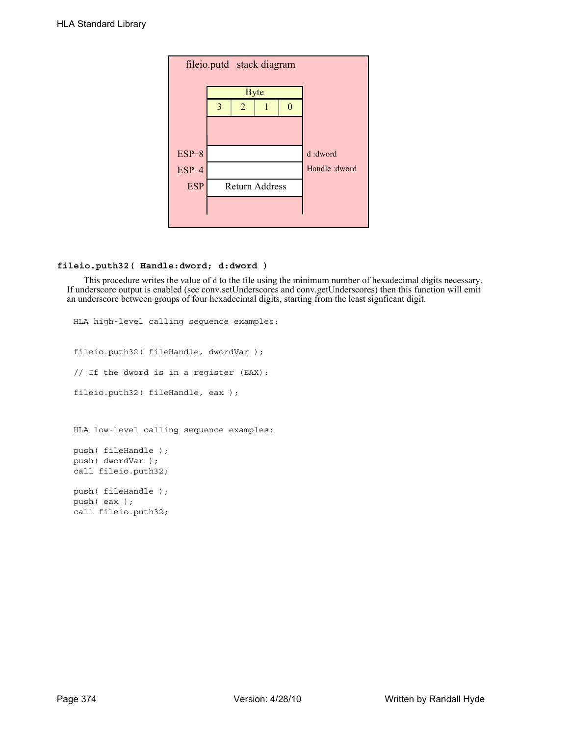| fileio.putd stack diagram |   |                |                       |         |                |  |  |
|---------------------------|---|----------------|-----------------------|---------|----------------|--|--|
|                           |   | <b>Byte</b>    |                       |         |                |  |  |
|                           | 3 | $\overline{2}$ |                       | ∩       |                |  |  |
|                           |   |                |                       |         |                |  |  |
|                           |   |                |                       |         |                |  |  |
| $ESP+8$                   |   |                |                       | d:dword |                |  |  |
| ESP+4                     |   |                |                       |         | Handle : dword |  |  |
| <b>ESP</b>                |   |                | <b>Return Address</b> |         |                |  |  |
|                           |   |                |                       |         |                |  |  |
|                           |   |                |                       |         |                |  |  |

# **fileio.puth32( Handle:dword; d:dword )**

This procedure writes the value of d to the file using the minimum number of hexadecimal digits necessary. If underscore output is enabled (see conv.setUnderscores and conv.getUnderscores) then this function will emit an underscore between groups of four hexadecimal digits, starting from the least signficant digit.

```
HLA high-level calling sequence examples:
fileio.puth32( fileHandle, dwordVar );
// If the dword is in a register (EAX):
fileio.puth32( fileHandle, eax );
HLA low-level calling sequence examples:
push( fileHandle );
push( dwordVar );
call fileio.puth32;
push( fileHandle );
push( eax );
call fileio.puth32;
```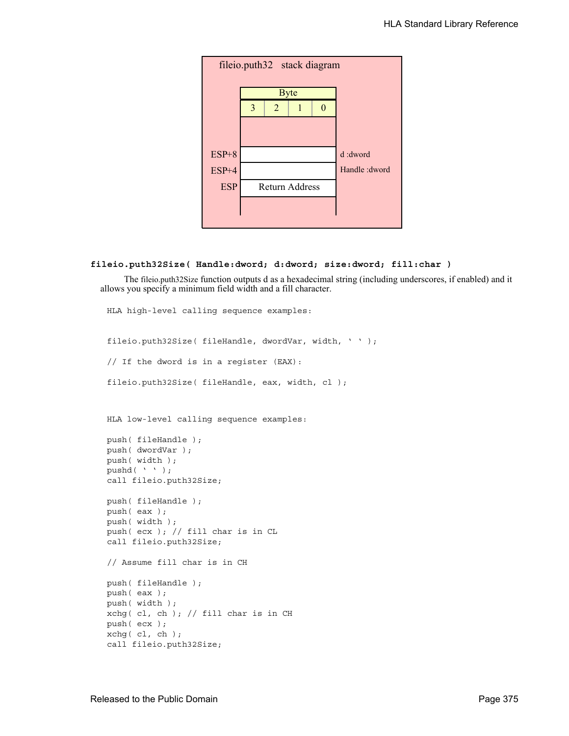

```
fileio.puth32Size( Handle:dword; d:dword; size:dword; fill:char )
```
 The fileio.puth32Size function outputs d as a hexadecimal string (including underscores, if enabled) and it allows you specify a minimum field width and a fill character.

HLA high-level calling sequence examples: fileio.puth32Size( fileHandle, dwordVar, width, ' ' ); // If the dword is in a register (EAX): fileio.puth32Size( fileHandle, eax, width, cl ); HLA low-level calling sequence examples: push( fileHandle ); push( dwordVar ); push( width ); pushd( ' ' ); call fileio.puth32Size; push( fileHandle ); push( eax ); push( width ); push( ecx ); // fill char is in CL call fileio.puth32Size; // Assume fill char is in CH push( fileHandle ); push( eax ); push( width ); xchg( cl, ch ); // fill char is in CH push( ecx ); xchg( cl, ch ); call fileio.puth32Size;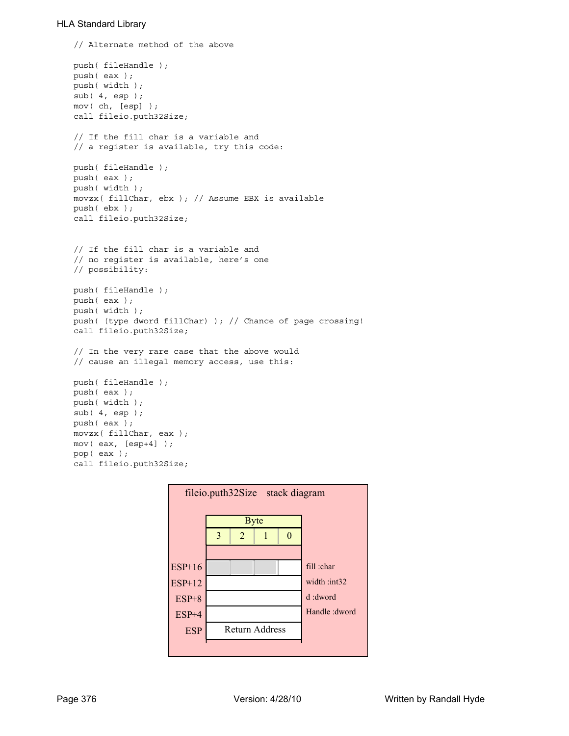```
// Alternate method of the above
push( fileHandle );
push( eax );
push( width );
sub(4, esp);mov( ch, [esp] );
call fileio.puth32Size;
// If the fill char is a variable and
// a register is available, try this code:
push( fileHandle );
push( eax );
push( width );
movzx( fillChar, ebx ); // Assume EBX is available
push( ebx );
call fileio.puth32Size;
// If the fill char is a variable and
// no register is available, here's one
// possibility:
push( fileHandle );
push( eax );
push( width );
push( (type dword fillChar) ); // Chance of page crossing!
call fileio.puth32Size;
// In the very rare case that the above would
// cause an illegal memory access, use this:
push( fileHandle );
push( eax );
push( width );
sub( 4, esp );
push( eax );
movzx( fillChar, eax );
mov( eax, [esp+4] );
pop( eax );
call fileio.puth32Size;
```
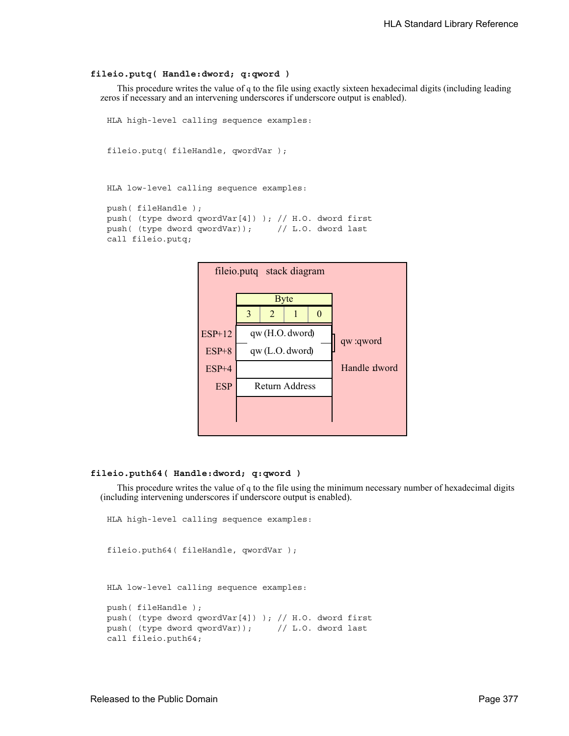#### **fileio.putq( Handle:dword; q:qword )**

This procedure writes the value of q to the file using exactly sixteen hexadecimal digits (including leading zeros if necessary and an intervening underscores if underscore output is enabled).

```
HLA high-level calling sequence examples:
```

```
fileio.putq( fileHandle, qwordVar );
```

```
HLA low-level calling sequence examples:
```

```
push( fileHandle );
push( (type dword qwordVar[4]) ); // H.O. dword first
push( (type dword qwordVar)); // L.O. dword last
call fileio.putq;
```


#### **fileio.puth64( Handle:dword; q:qword )**

This procedure writes the value of q to the file using the minimum necessary number of hexadecimal digits (including intervening underscores if underscore output is enabled).

```
HLA high-level calling sequence examples:
fileio.puth64( fileHandle, qwordVar );
HLA low-level calling sequence examples:
```

```
push( fileHandle );
push( (type dword qwordVar[4]) ); // H.O. dword first
push( (type dword qwordVar)); // L.O. dword last
call fileio.puth64;
```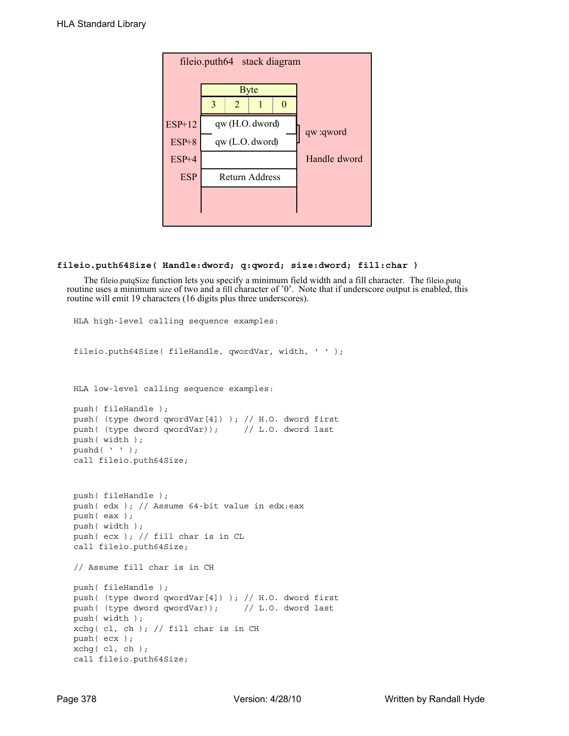

## **fileio.puth64Size( Handle:dword; q:qword; size:dword; fill:char )**

The fileio.putqSize function lets you specify a minimum field width and a fill character. The fileio.putq routine uses a minimum size of two and a fill character of '0'. Note that if underscore output is enabled, this routine will emit 19 characters (16 digits plus three underscores).

```
fileio.puth64Size( fileHandle, qwordVar, width, ' ' );
HLA low-level calling sequence examples:
push( fileHandle );
push( (type dword qwordVar[4]) ); // H.O. dword first
push( (type dword qwordVar)); // L.O. dword last
push( width );
pushd(' ' );
call fileio.puth64Size;
push( fileHandle );
push( edx ); // Assume 64-bit value in edx:eax
push( eax );
push( width );
push( ecx ); // fill char is in CL
call fileio.puth64Size;
// Assume fill char is in CH
push( fileHandle );
push( (type dword qwordVar[4]) ); // H.O. dword first
push( (type dword qwordVar)); // L.O. dword last
push( width );
xchg( cl, ch ); // fill char is in CH
push( ecx ); 
xchg( cl, ch );
call fileio.puth64Size;
```
HLA high-level calling sequence examples: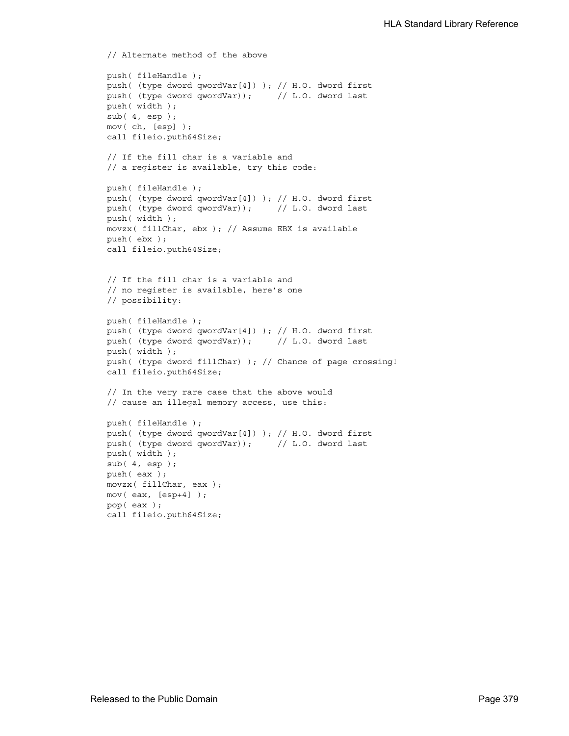```
// Alternate method of the above
push( fileHandle );
push( (type dword qwordVar[4]) ); // H.O. dword first
push( (type dword qwordVar)); // L.O. dword last
push( width );
sub( 4, esp );
mov( ch, [esp] );
call fileio.puth64Size;
// If the fill char is a variable and
// a register is available, try this code:
push( fileHandle );
push( (type dword qwordVar[4]) ); // H.O. dword first
push( (type dword qwordVar)); // L.O. dword last
push( width );
movzx( fillChar, ebx ); // Assume EBX is available
push( ebx );
call fileio.puth64Size;
// If the fill char is a variable and
// no register is available, here's one
// possibility:
push( fileHandle );
push( (type dword qwordVar[4]) ); // H.O. dword first
push( (type dword qwordVar)); // L.O. dword last
push( width );
push( (type dword fillChar) ); // Chance of page crossing!
call fileio.puth64Size;
// In the very rare case that the above would
// cause an illegal memory access, use this:
push( fileHandle );
push( (type dword qwordVar[4]) ); // H.O. dword first
push( (type dword qwordVar)); // L.O. dword last
push( width );
sub(4, esp);push( eax );
movzx( fillChar, eax );
mov( eax, [esp+4] );
pop( eax );
call fileio.puth64Size;
```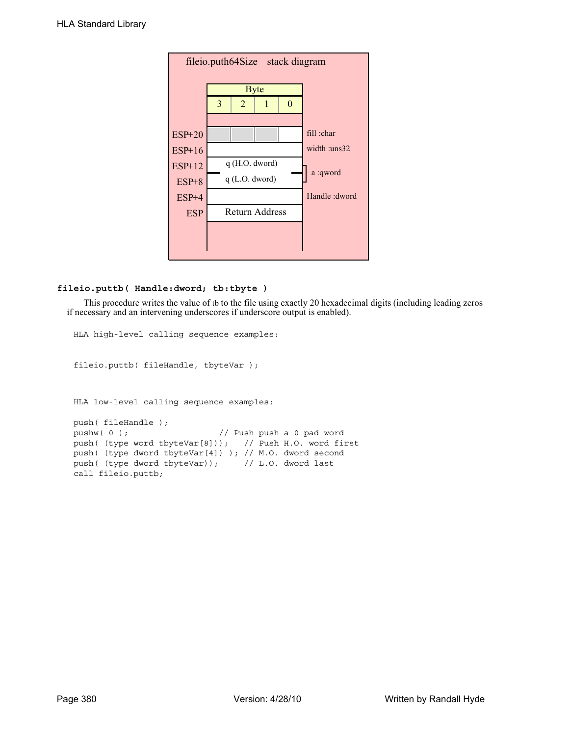| fileio.puth64Size stack diagram |   |                  |                       |  |                 |  |  |
|---------------------------------|---|------------------|-----------------------|--|-----------------|--|--|
|                                 |   | <b>Byte</b>      |                       |  |                 |  |  |
|                                 | 3 | 2                | 1                     |  |                 |  |  |
|                                 |   |                  |                       |  |                 |  |  |
| <b>ESP+20</b>                   |   |                  |                       |  | fill :char      |  |  |
| $ESP+16$                        |   |                  |                       |  | width : $uns32$ |  |  |
| $ESP+12$                        |   |                  | $q$ (H.O. dword)      |  | a :qword        |  |  |
| $ESP+8$                         |   | $q$ (L.O. dword) |                       |  |                 |  |  |
| $ESP+4$                         |   |                  |                       |  | Handle : dword  |  |  |
| <b>ESP</b>                      |   |                  | <b>Return Address</b> |  |                 |  |  |
|                                 |   |                  |                       |  |                 |  |  |
|                                 |   |                  |                       |  |                 |  |  |

## **fileio.puttb( Handle:dword; tb:tbyte )**

This procedure writes the value of tb to the file using exactly 20 hexadecimal digits (including leading zeros if necessary and an intervening underscores if underscore output is enabled).

```
HLA high-level calling sequence examples:
fileio.puttb( fileHandle, tbyteVar );
HLA low-level calling sequence examples:
push( fileHandle );
pushw(0); \frac{1}{2} // Push push a 0 pad word
push( (type word tbyteVar[8])); // Push H.O. word first
push( (type dword tbyteVar[4]) ); // M.O. dword second
push( (type dword tbyteVar)); // L.O. dword last
call fileio.puttb;
```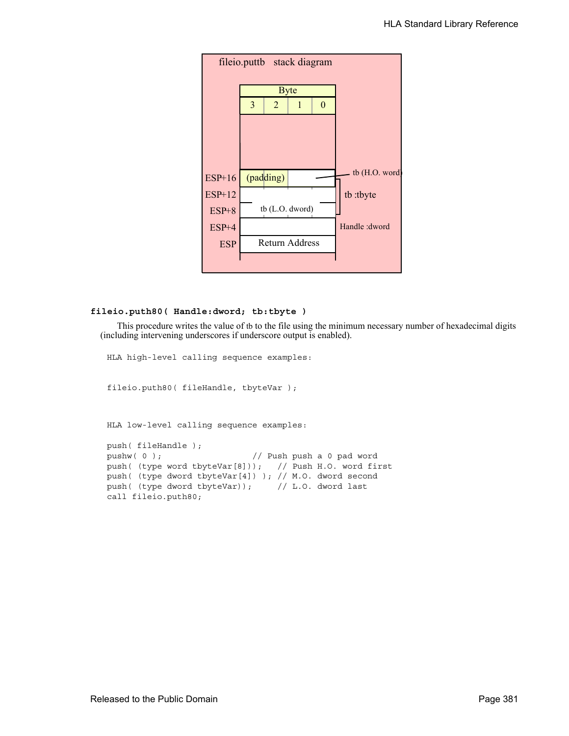

#### **fileio.puth80( Handle:dword; tb:tbyte )**

This procedure writes the value of tb to the file using the minimum necessary number of hexadecimal digits (including intervening underscores if underscore output is enabled).

HLA high-level calling sequence examples:

fileio.puth80( fileHandle, tbyteVar );

HLA low-level calling sequence examples:

push( fileHandle ); pushw(0);  $\frac{1}{2}$  // Push push a 0 pad word push( (type word tbyteVar[8])); // Push H.O. word first push( (type dword tbyteVar[4]) ); // M.O. dword second push( (type dword tbyteVar)); // L.O. dword last call fileio.puth80;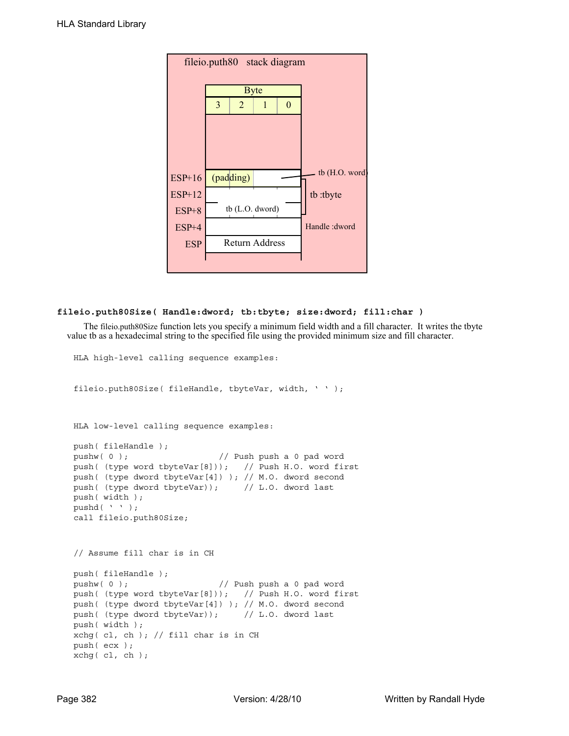| fileio.puth80 stack diagram |   |                       |   |                |                |  |  |  |
|-----------------------------|---|-----------------------|---|----------------|----------------|--|--|--|
|                             |   | <b>Byte</b>           |   |                |                |  |  |  |
|                             | 3 | $\overline{2}$        | 1 | $\overline{0}$ |                |  |  |  |
|                             |   |                       |   |                |                |  |  |  |
|                             |   |                       |   |                |                |  |  |  |
|                             |   |                       |   |                |                |  |  |  |
| $ESP+16$                    |   | (padding)             |   |                | tb (H.O. word) |  |  |  |
| <b>ESP+12</b>               |   |                       |   |                | tb:tbyte       |  |  |  |
| $ESP+8$                     |   | tb $(L.O.$ dword)     |   |                |                |  |  |  |
| $ESP+4$                     |   |                       |   |                | Handle: dword  |  |  |  |
| <b>ESP</b>                  |   | <b>Return Address</b> |   |                |                |  |  |  |
|                             |   |                       |   |                |                |  |  |  |

## **fileio.puth80Size( Handle:dword; tb:tbyte; size:dword; fill:char )**

HLA high-level calling sequence examples:

The fileio.puth80Size function lets you specify a minimum field width and a fill character. It writes the tbyte value tb as a hexadecimal string to the specified file using the provided minimum size and fill character.

```
fileio.puth80Size( fileHandle, tbyteVar, width, ' ' );
HLA low-level calling sequence examples:
push( fileHandle );
pushw( 0 ); // Push push a 0 pad word
push( (type word tbyteVar[8])); // Push H.O. word first
push( (type dword tbyteVar[4]) ); // M.O. dword second
push( (type dword tbyteVar)); // L.O. dword last
push( width );
pushd(' ' );
call fileio.puth80Size;
// Assume fill char is in CH
push( fileHandle );
pushw( 0 ); // Push push a 0 pad word
push( (type word tbyteVar[8])); // Push H.O. word first
push( (type dword tbyteVar[4]) ); // M.O. dword second
push( (type dword tbyteVar)); // L.O. dword last
push( width );
xchg( cl, ch ); // fill char is in CH
push( ecx ); 
xchg( cl, ch );
```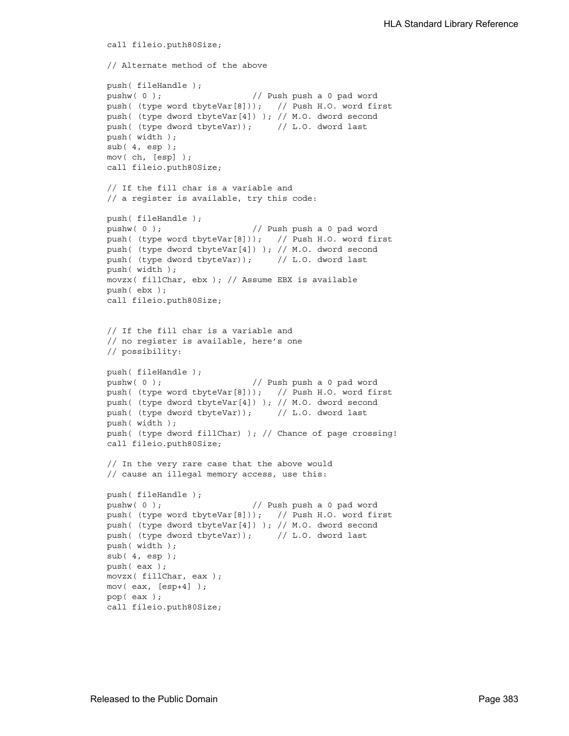```
call fileio.puth80Size;
// Alternate method of the above
push( fileHandle );
pushw( 0 ); // Push push a 0 pad word
push( (type word tbyteVar[8])); // Push H.O. word first
push( (type dword tbyteVar[4]) ); // M.O. dword second
push( (type dword tbyteVar)); // L.O. dword last
push( width );
sub(4, esp);mov( ch, [esp] );
call fileio.puth80Size;
// If the fill char is a variable and
// a register is available, try this code:
push( fileHandle );
pushw( 0 ); \frac{1}{2} // Push push a 0 pad word
push( (type word tbyteVar[8])); // Push H.O. word first
push( (type dword tbyteVar[4]) ); // M.O. dword second
push( (type dword tbyteVar)); // L.O. dword last
push( width );
movzx( fillChar, ebx ); // Assume EBX is available
push( ebx );
call fileio.puth80Size;
// If the fill char is a variable and
// no register is available, here's one
// possibility:
push( fileHandle );
pushw( 0 ); // Push push a 0 pad word
push( (type word tbyteVar[8])); // Push H.O. word first
push( (type dword tbyteVar[4]) ); // M.O. dword second
push( (type dword tbyteVar)); // L.O. dword last
push( width );
push( (type dword fillChar) ); // Chance of page crossing!
call fileio.puth80Size;
// In the very rare case that the above would
// cause an illegal memory access, use this:
push( fileHandle );
pushw( 0 ); // Push push a 0 pad word
push( (type word tbyteVar[8])); // Push H.O. word first
push( (type dword tbyteVar[4]) ); // M.O. dword second
push( (type dword tbyteVar)); // L.O. dword last
push( width );
sub( 4, esp );
push( eax );
movzx( fillChar, eax );
mov( eax, [esp+4] );
pop( eax );
call fileio.puth80Size;
```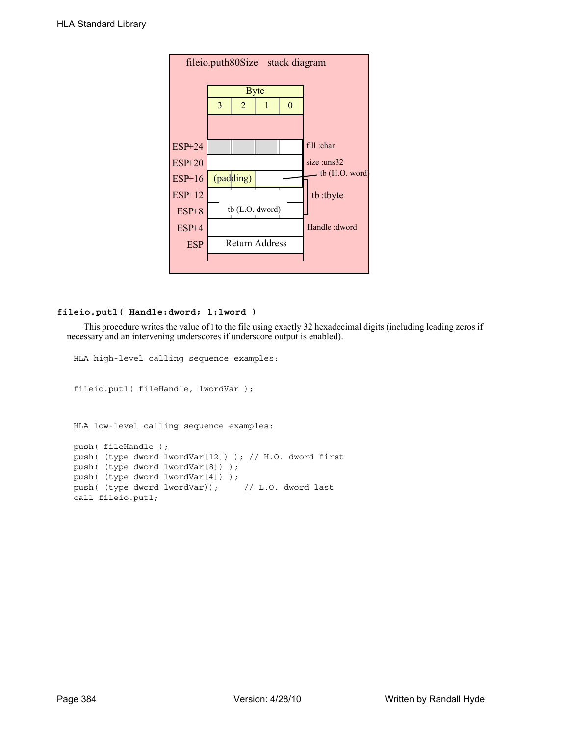| fileio.puth80Size stack diagram |   |                |                       |          |                  |  |  |
|---------------------------------|---|----------------|-----------------------|----------|------------------|--|--|
|                                 |   | <b>Byte</b>    |                       |          |                  |  |  |
|                                 | 3 | $\overline{2}$ | 1                     | $\Omega$ |                  |  |  |
|                                 |   |                |                       |          |                  |  |  |
| <b>ESP+24</b>                   |   |                |                       |          | fill :char       |  |  |
| $ESP+20$                        |   |                |                       |          | $size$ : $uns32$ |  |  |
| $ESP+16$                        |   | (padding)      |                       |          | th $(H.O. word)$ |  |  |
| $ESP+12$                        |   |                |                       |          | tb:tbyte         |  |  |
| $ESP+8$                         |   |                | tb $(L.O.$ dword)     |          |                  |  |  |
| $ESP+4$                         |   |                |                       |          | Handle: dword    |  |  |
| <b>ESP</b>                      |   |                | <b>Return Address</b> |          |                  |  |  |
|                                 |   |                |                       |          |                  |  |  |

# **fileio.putl( Handle:dword; l:lword )**

This procedure writes the value of l to the file using exactly 32 hexadecimal digits (including leading zeros if necessary and an intervening underscores if underscore output is enabled).

```
HLA high-level calling sequence examples:
fileio.putl( fileHandle, lwordVar );
HLA low-level calling sequence examples:
push( fileHandle );
push( (type dword lwordVar[12]) ); // H.O. dword first
push( (type dword lwordVar[8]) ); 
push( (type dword lwordVar[4]) );
push( (type dword lwordVar)); // L.O. dword last
call fileio.putl;
```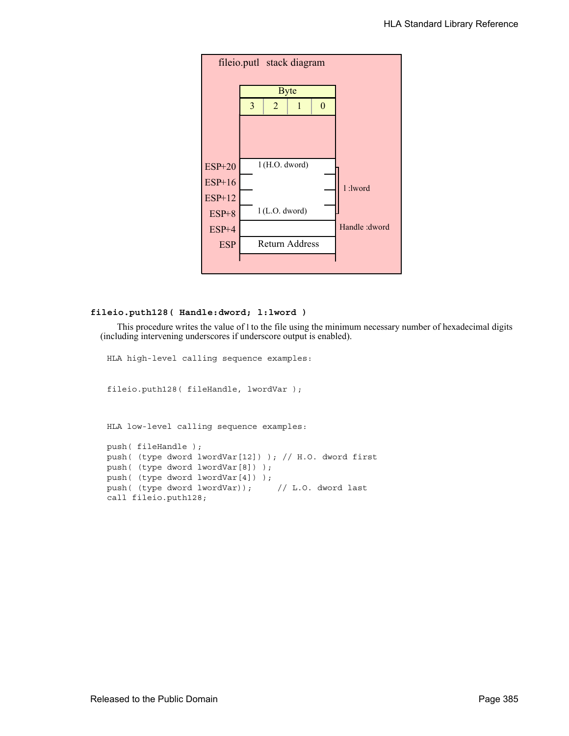

# **fileio.puth128( Handle:dword; l:lword )**

This procedure writes the value of l to the file using the minimum necessary number of hexadecimal digits (including intervening underscores if underscore output is enabled).

HLA high-level calling sequence examples:

fileio.puth128( fileHandle, lwordVar );

HLA low-level calling sequence examples:

```
push( fileHandle );
push( (type dword lwordVar[12]) ); // H.O. dword first
push( (type dword lwordVar[8]) ); 
push( (type dword lwordVar[4]) );
push( (type dword lwordVar)); // L.O. dword last
call fileio.puth128;
```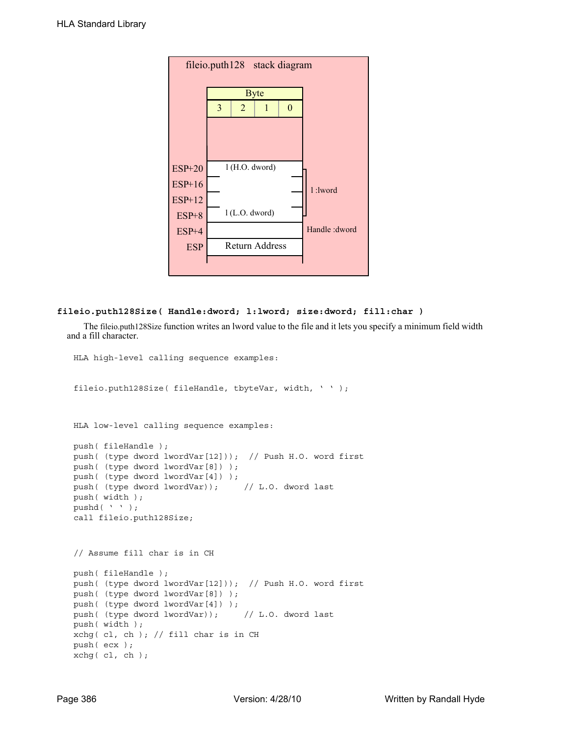|            |   |                  | fileio.puth128 stack diagram |          |               |
|------------|---|------------------|------------------------------|----------|---------------|
|            |   |                  | <b>Byte</b>                  |          |               |
|            | 3 | $\overline{2}$   | 1                            | $\theta$ |               |
|            |   |                  |                              |          |               |
|            |   |                  |                              |          |               |
| $ESP+20$   |   | l (H.O. dword)   |                              |          |               |
| $ESP+16$   |   |                  |                              |          |               |
| $ESP+12$   |   |                  |                              |          | 1:1word       |
| $ESP+8$    |   | $1$ (L.O. dword) |                              |          |               |
| ESP+4      |   |                  |                              |          | Handle: dword |
| <b>ESP</b> |   |                  | <b>Return Address</b>        |          |               |
|            |   |                  |                              |          |               |

## **fileio.puth128Size( Handle:dword; l:lword; size:dword; fill:char )**

The fileio.puth128Size function writes an lword value to the file and it lets you specify a minimum field width and a fill character.

```
HLA high-level calling sequence examples:
fileio.puth128Size( fileHandle, tbyteVar, width, ' ' );
HLA low-level calling sequence examples:
push( fileHandle );
push( (type dword lwordVar[12])); // Push H.O. word first
push( (type dword lwordVar[8]) );
push( (type dword lwordVar[4]) );
push( (type dword lwordVar)); // L.O. dword last
push( width );
pushd(' ' );
call fileio.puth128Size;
// Assume fill char is in CH
push( fileHandle );
push( (type dword lwordVar[12])); // Push H.O. word first
push( (type dword lwordVar[8]) );
push( (type dword lwordVar[4]) );
push( (type dword lwordVar)); // L.O. dword last
push( width );
xchg( cl, ch ); // fill char is in CH
push( ecx ); 
xchg( cl, ch );
```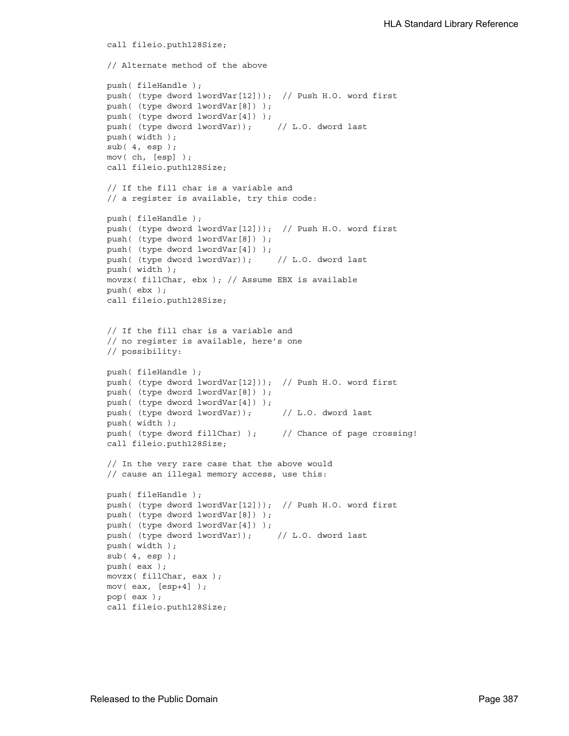```
call fileio.puth128Size;
// Alternate method of the above
push( fileHandle );
push( (type dword lwordVar[12])); // Push H.O. word first
push( (type dword lwordVar[8]) );
push( (type dword lwordVar[4]) );
push( (type dword lwordVar)); // L.O. dword last
push( width );
sub(4, esp);mov( ch, [esp] );
call fileio.puth128Size;
// If the fill char is a variable and
// a register is available, try this code:
push( fileHandle );
push( (type dword lwordVar[12])); // Push H.O. word first
push( (type dword lwordVar[8]) );
push( (type dword lwordVar[4]) );
push( (type dword lwordVar)); // L.O. dword last
push( width );
movzx( fillChar, ebx ); // Assume EBX is available
push( ebx );
call fileio.puth128Size;
// If the fill char is a variable and
// no register is available, here's one
// possibility:
push( fileHandle );
push( (type dword lwordVar[12])); // Push H.O. word first
push( (type dword lwordVar[8]) );
push( (type dword lwordVar[4]) );
push( (type dword lwordVar)); // L.O. dword last
push( width );
push( (type dword fillChar) ); // Chance of page crossing!
call fileio.puth128Size;
// In the very rare case that the above would
// cause an illegal memory access, use this:
push( fileHandle );
push( (type dword lwordVar[12])); // Push H.O. word first
push( (type dword lwordVar[8]) );
push( (type dword lwordVar[4]) );
push( (type dword lwordVar)); // L.O. dword last
push( width );
sub( 4, esp );
push( eax );
movzx( fillChar, eax );
mov( eax, [esp+4] );
pop( eax );
call fileio.puth128Size;
```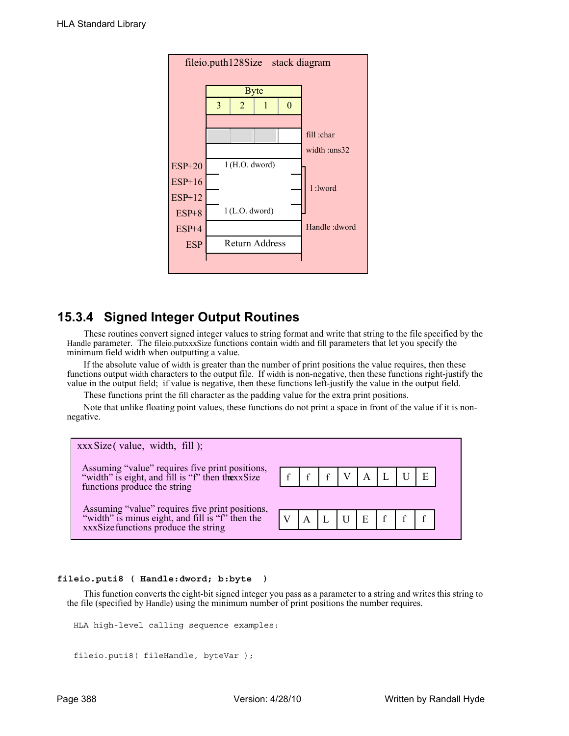| fileio.puth128Size stack diagram |   |                  |                |   |                 |  |  |
|----------------------------------|---|------------------|----------------|---|-----------------|--|--|
|                                  |   |                  |                |   |                 |  |  |
|                                  |   |                  | <b>Byte</b>    |   |                 |  |  |
|                                  | 3 | $\overline{2}$   | 1              | 0 |                 |  |  |
|                                  |   |                  |                |   |                 |  |  |
|                                  |   |                  |                |   | fill :char      |  |  |
|                                  |   |                  |                |   | width : $uns32$ |  |  |
| $ESP+20$                         |   | l (H.O. dword)   |                |   |                 |  |  |
| $ESP+16$                         |   |                  |                |   | 1:1word         |  |  |
| $ESP+12$                         |   |                  |                |   |                 |  |  |
| $ESP+8$                          |   | $1$ (L.O. dword) |                |   |                 |  |  |
| $ESP+4$                          |   |                  |                |   | Handle: dword   |  |  |
| <b>ESP</b>                       |   |                  | Return Address |   |                 |  |  |
|                                  |   |                  |                |   |                 |  |  |
|                                  |   |                  |                |   |                 |  |  |

# **15.3.4 Signed Integer Output Routines**

These routines convert signed integer values to string format and write that string to the file specified by the Handle parameter. The fileio.putxxxSize functions contain width and fill parameters that let you specify the minimum field width when outputting a value.

If the absolute value of width is greater than the number of print positions the value requires, then these functions output width characters to the output file. If width is non-negative, then these functions right-justify the value in the output field; if value is negative, then these functions left-justify the value in the output field.

These functions print the fill character as the padding value for the extra print positions.

Note that unlike floating point values, these functions do not print a space in front of the value if it is nonnegative.

| $xxxSize$ (value, width, fill);                                                                                                             |                                                                                                                                                                            |  |  |  |  |
|---------------------------------------------------------------------------------------------------------------------------------------------|----------------------------------------------------------------------------------------------------------------------------------------------------------------------------|--|--|--|--|
| Assuming "value" requires five print positions,<br>"width" is eight, and fill is "f" then thexxSize<br>functions produce the string         | $\left  \begin{array}{c} f \\ f \end{array} \right $ $f$ $\left  \begin{array}{c} V \\ A \end{array} \right $ $L$ $\left  \begin{array}{c} U \\ U \end{array} \right $ $E$ |  |  |  |  |
|                                                                                                                                             |                                                                                                                                                                            |  |  |  |  |
| Assuming "value" requires five print positions,<br>"width" is minus eight, and fill is "f" then the<br>xxxSize functions produce the string | V A L U E f f f                                                                                                                                                            |  |  |  |  |

# **fileio.puti8 ( Handle:dword; b:byte )**

This function converts the eight-bit signed integer you pass as a parameter to a string and writes this string to the file (specified by Handle) using the minimum number of print positions the number requires.

```
HLA high-level calling sequence examples:
```

```
fileio.puti8( fileHandle, byteVar );
```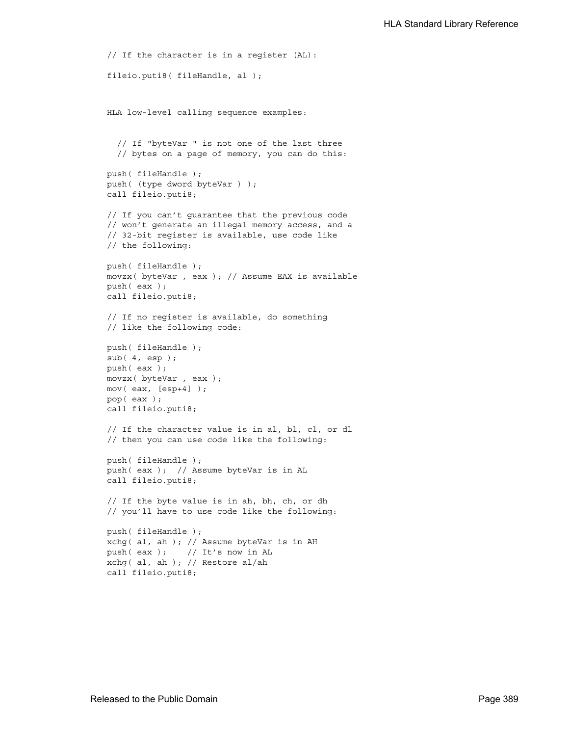```
// If the character is in a register (AL):
fileio.puti8( fileHandle, al );
HLA low-level calling sequence examples:
  // If "byteVar " is not one of the last three
  // bytes on a page of memory, you can do this:
push( fileHandle );
push( (type dword byteVar ) );
call fileio.puti8;
// If you can't guarantee that the previous code
// won't generate an illegal memory access, and a
// 32-bit register is available, use code like
// the following:
push( fileHandle );
movzx( byteVar , eax ); // Assume EAX is available
push( eax );
call fileio.puti8;
// If no register is available, do something
// like the following code:
push( fileHandle );
sub(4, esp);push( eax );
movzx( byteVar , eax );
mov( eax, [esp+4] );
pop( eax );
call fileio.puti8;
// If the character value is in al, bl, cl, or dl
// then you can use code like the following:
push( fileHandle );
push( eax ); // Assume byteVar is in AL
call fileio.puti8;
// If the byte value is in ah, bh, ch, or dh
// you'll have to use code like the following:
push( fileHandle );
xchg( al, ah ); // Assume byteVar is in AH
push( eax ); // It's now in AL
xchg( al, ah ); // Restore al/ah
call fileio.puti8;
```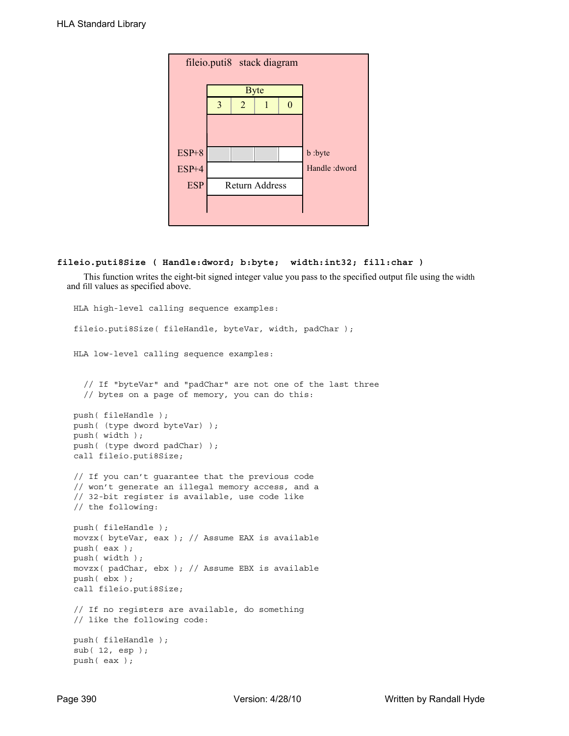| fileio.puti8 stack diagram |   |                       |             |   |                |  |  |  |  |
|----------------------------|---|-----------------------|-------------|---|----------------|--|--|--|--|
|                            |   |                       | <b>Byte</b> |   |                |  |  |  |  |
|                            | 3 | $\overline{2}$        |             | ∩ |                |  |  |  |  |
|                            |   |                       |             |   |                |  |  |  |  |
|                            |   |                       |             |   |                |  |  |  |  |
| $ESP+8$                    |   |                       |             |   | b :byte        |  |  |  |  |
| ESP+4                      |   |                       |             |   | Handle : dword |  |  |  |  |
| <b>ESP</b>                 |   | <b>Return Address</b> |             |   |                |  |  |  |  |
|                            |   |                       |             |   |                |  |  |  |  |
|                            |   |                       |             |   |                |  |  |  |  |

## **fileio.puti8Size ( Handle:dword; b:byte; width:int32; fill:char )**

This function writes the eight-bit signed integer value you pass to the specified output file using the width and fill values as specified above.

```
HLA high-level calling sequence examples:
fileio.puti8Size( fileHandle, byteVar, width, padChar );
HLA low-level calling sequence examples:
  // If "byteVar" and "padChar" are not one of the last three
  // bytes on a page of memory, you can do this:
push( fileHandle );
push( (type dword byteVar) );
push( width );
push( (type dword padChar) );
call fileio.puti8Size;
// If you can't guarantee that the previous code
// won't generate an illegal memory access, and a
// 32-bit register is available, use code like
// the following:
push( fileHandle );
movzx( byteVar, eax ); // Assume EAX is available
push( eax );
push( width );
movzx( padChar, ebx ); // Assume EBX is available
push( ebx );
call fileio.puti8Size;
// If no registers are available, do something
// like the following code:
push( fileHandle );
sub( 12, esp );
push( eax );
```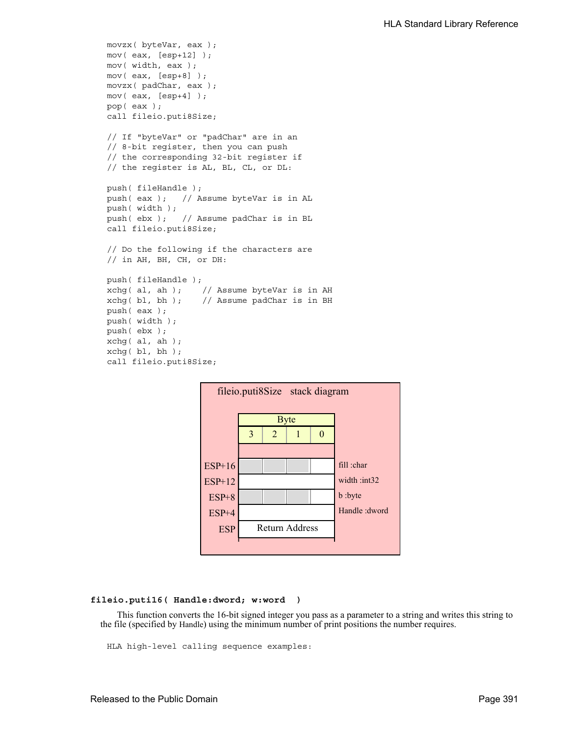```
movzx( byteVar, eax );
mov( eax, [esp+12] );
mov( width, eax );
mov( eax, [esp+8] );
movzx( padChar, eax );
mov( eax, [esp+4] );
pop( eax );
call fileio.puti8Size;
// If "byteVar" or "padChar" are in an
// 8-bit register, then you can push
// the corresponding 32-bit register if
// the register is AL, BL, CL, or DL:
push( fileHandle );
push( eax ); // Assume byteVar is in AL
push( width );
push( ebx ); // Assume padChar is in BL
call fileio.puti8Size;
// Do the following if the characters are
// in AH, BH, CH, or DH:
push( fileHandle );
xchg( al, ah ); // Assume byteVar is in AH
xchg( bl, bh ); // Assume padChar is in BH
push( eax ); 
push( width );
push( ebx );
xchg( al, ah );
xchg( bl, bh );
call fileio.puti8Size;
```


#### **fileio.puti16( Handle:dword; w:word )**

This function converts the 16-bit signed integer you pass as a parameter to a string and writes this string to the file (specified by Handle) using the minimum number of print positions the number requires.

HLA high-level calling sequence examples: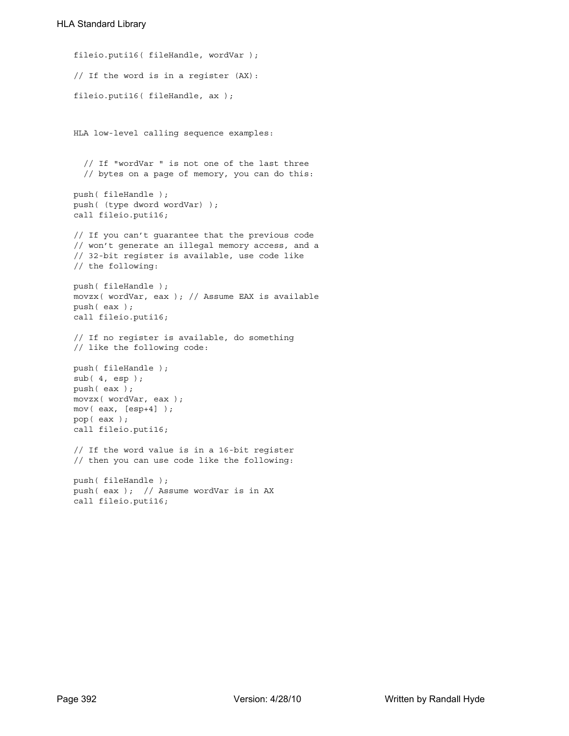```
fileio.puti16( fileHandle, wordVar );
// If the word is in a register (AX):
fileio.puti16( fileHandle, ax );
HLA low-level calling sequence examples:
  // If "wordVar " is not one of the last three
  // bytes on a page of memory, you can do this:
push( fileHandle );
push( (type dword wordVar) );
call fileio.puti16;
// If you can't guarantee that the previous code
// won't generate an illegal memory access, and a
// 32-bit register is available, use code like
// the following:
push( fileHandle );
movzx( wordVar, eax ); // Assume EAX is available
push( eax );
call fileio.puti16;
// If no register is available, do something
// like the following code:
push( fileHandle );
sub( 4, esp );
push( eax );
movzx( wordVar, eax );
mov( eax, [esp+4] );
pop( eax );
call fileio.puti16;
// If the word value is in a 16-bit register
// then you can use code like the following:
push( fileHandle );
push( eax ); // Assume wordVar is in AX
call fileio.puti16;
```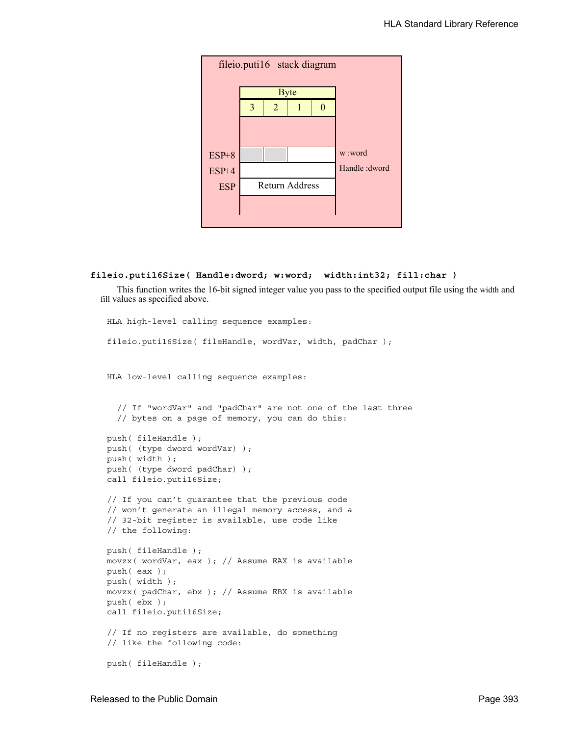

#### **fileio.puti16Size( Handle:dword; w:word; width:int32; fill:char )**

This function writes the 16-bit signed integer value you pass to the specified output file using the width and fill values as specified above.

```
HLA high-level calling sequence examples:
fileio.puti16Size( fileHandle, wordVar, width, padChar );
HLA low-level calling sequence examples:
  // If "wordVar" and "padChar" are not one of the last three
  // bytes on a page of memory, you can do this:
push( fileHandle );
push( (type dword wordVar) );
push( width );
push( (type dword padChar) );
call fileio.puti16Size;
// If you can't guarantee that the previous code
// won't generate an illegal memory access, and a
// 32-bit register is available, use code like
// the following:
push( fileHandle );
movzx( wordVar, eax ); // Assume EAX is available
push( eax );
push( width );
movzx( padChar, ebx ); // Assume EBX is available
push( ebx );
call fileio.puti16Size;
// If no registers are available, do something
// like the following code:
push( fileHandle );
```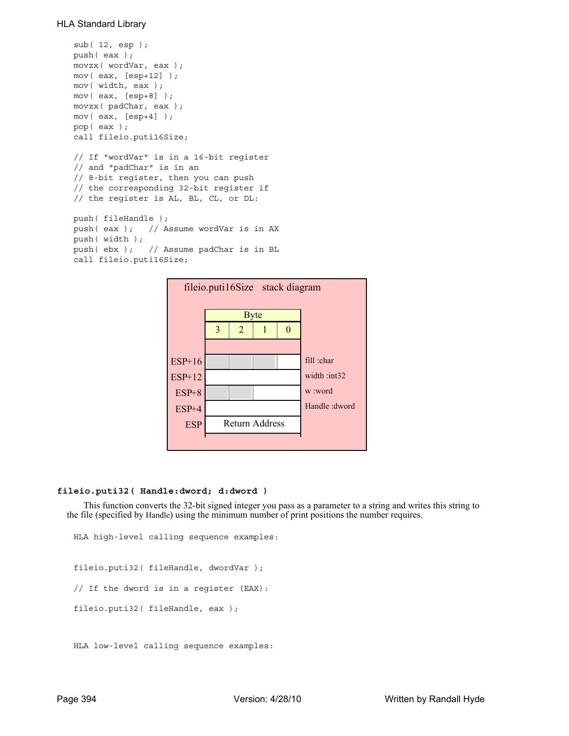```
sub( 12, esp );
push( eax );
movzx( wordVar, eax );
mov( eax, [esp+12] );
mov( width, eax );
mov( eax, [esp+8] );
movzx( padChar, eax );
mov( eax, [esp+4] );
pop( eax );
call fileio.puti16Size;
// If "wordVar" is in a 16-bit register
// and "padChar" is in an
// 8-bit register, then you can push
// the corresponding 32-bit register if
// the register is AL, BL, CL, or DL:
push( fileHandle );
push( eax ); // Assume wordVar is in AX
push( width );
push( ebx ); // Assume padChar is in BL
```
call fileio.puti16Size;



## **fileio.puti32( Handle:dword; d:dword )**

This function converts the 32-bit signed integer you pass as a parameter to a string and writes this string to the file (specified by Handle) using the minimum number of print positions the number requires.

```
HLA high-level calling sequence examples:
fileio.puti32( fileHandle, dwordVar );
// If the dword is in a register (EAX):
fileio.puti32( fileHandle, eax );
```

```
HLA low-level calling sequence examples:
```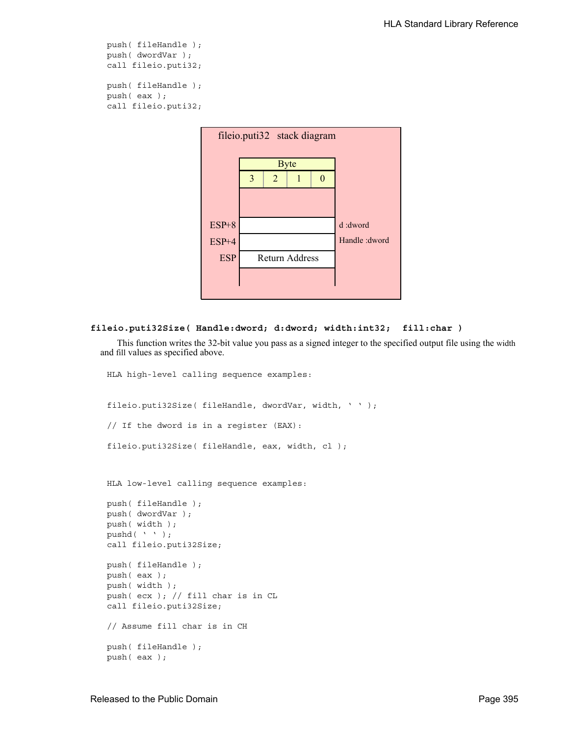```
push( fileHandle );
push( dwordVar );
call fileio.puti32;
push( fileHandle );
push( eax );
call fileio.puti32;
```


#### **fileio.puti32Size( Handle:dword; d:dword; width:int32; fill:char )**

This function writes the 32-bit value you pass as a signed integer to the specified output file using the width and fill values as specified above.

```
fileio.puti32Size( fileHandle, dwordVar, width, ' ' );
// If the dword is in a register (EAX):
fileio.puti32Size( fileHandle, eax, width, cl );
HLA low-level calling sequence examples:
push( fileHandle );
push( dwordVar );
push( width );
pushd(' ' );
call fileio.puti32Size;
push( fileHandle );
push( eax );
push( width );
push( ecx ); // fill char is in CL
call fileio.puti32Size;
// Assume fill char is in CH
push( fileHandle );
push( eax );
```
HLA high-level calling sequence examples: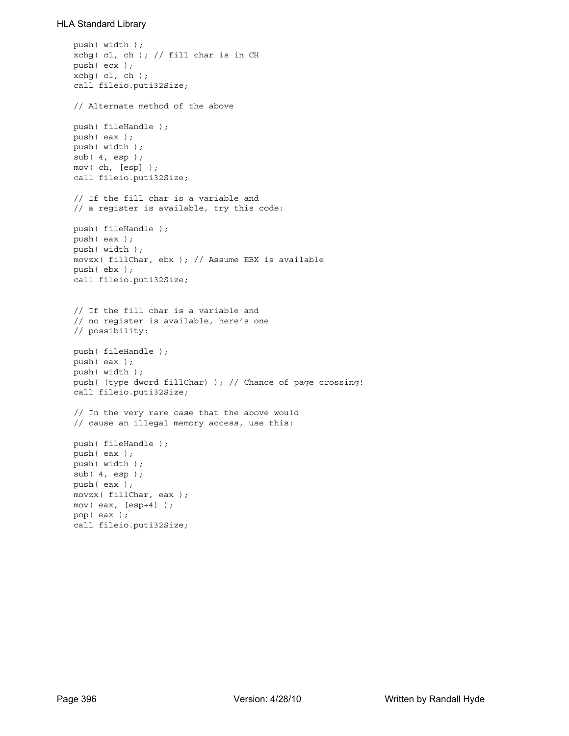```
push( width );
xchg( cl, ch ); // fill char is in CH
push( ecx ); 
xchg( cl, ch );
call fileio.puti32Size;
// Alternate method of the above
push( fileHandle );
push( eax );
push( width );
sub(4, esp);mov( ch, [esp] );
call fileio.puti32Size;
// If the fill char is a variable and
// a register is available, try this code:
push( fileHandle );
push( eax );
push( width );
movzx( fillChar, ebx ); // Assume EBX is available
push( ebx );
call fileio.puti32Size;
// If the fill char is a variable and
// no register is available, here's one
// possibility:
push( fileHandle );
push( eax );
push( width );
push( (type dword fillChar) ); // Chance of page crossing!
call fileio.puti32Size;
// In the very rare case that the above would
// cause an illegal memory access, use this:
push( fileHandle );
push( eax );
push( width );
sub( 4, esp );
push( eax );
movzx( fillChar, eax );
mov( eax, [esp+4] );
pop( eax );
call fileio.puti32Size;
```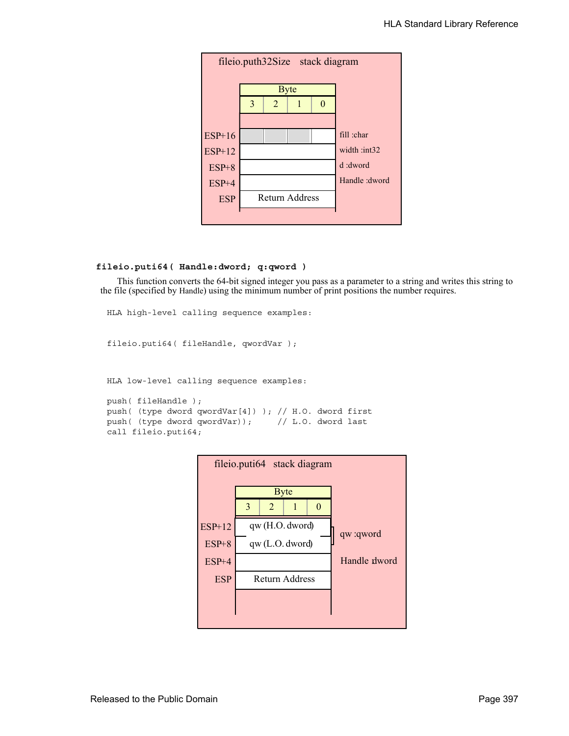

## **fileio.puti64( Handle:dword; q:qword )**

This function converts the 64-bit signed integer you pass as a parameter to a string and writes this string to the file (specified by Handle) using the minimum number of print positions the number requires.

```
HLA high-level calling sequence examples:
fileio.puti64( fileHandle, qwordVar );
HLA low-level calling sequence examples:
push( fileHandle );
push( (type dword qwordVar[4]) ); // H.O. dword first
push( (type dword qwordVar)); // L.O. dword last
call fileio.puti64;
```
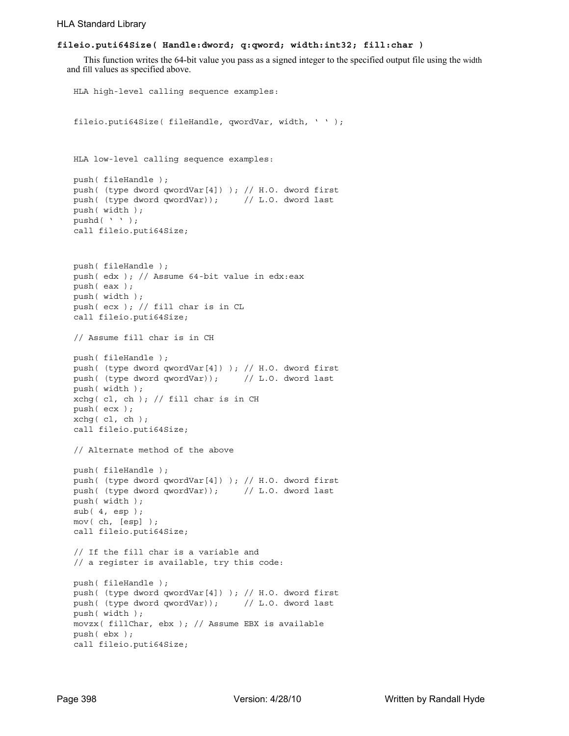## **fileio.puti64Size( Handle:dword; q:qword; width:int32; fill:char )**

This function writes the 64-bit value you pass as a signed integer to the specified output file using the width and fill values as specified above.

```
HLA high-level calling sequence examples:
fileio.puti64Size( fileHandle, qwordVar, width, ' ' );
HLA low-level calling sequence examples:
push( fileHandle );
push( (type dword qwordVar[4]) ); // H.O. dword first
push( (type dword qwordVar)); // L.O. dword last
push( width );
pushd( ' ' );
call fileio.puti64Size;
push( fileHandle );
push( edx ); // Assume 64-bit value in edx:eax
push( eax );
push( width );
push( ecx ); // fill char is in CL
call fileio.puti64Size;
// Assume fill char is in CH
push( fileHandle );
push( (type dword qwordVar[4]) ); // H.O. dword first
push( (type dword qwordVar)); // L.O. dword last
push( width );
xchg( cl, ch ); // fill char is in CH
push( ecx ); 
xchg(|c1, ch|);call fileio.puti64Size;
// Alternate method of the above
push( fileHandle );
push( (type dword qwordVar[4]) ); // H.O. dword first
push( (type dword qwordVar)); // L.O. dword last
push( width );
sub( 4, esp );
mov( ch, [esp] );
call fileio.puti64Size;
// If the fill char is a variable and
// a register is available, try this code:
push( fileHandle );
push( (type dword qwordVar[4]) ); // H.O. dword first
push( (type dword qwordVar)); // L.O. dword last
push( width );
movzx( fillChar, ebx ); // Assume EBX is available
push( ebx );
call fileio.puti64Size;
```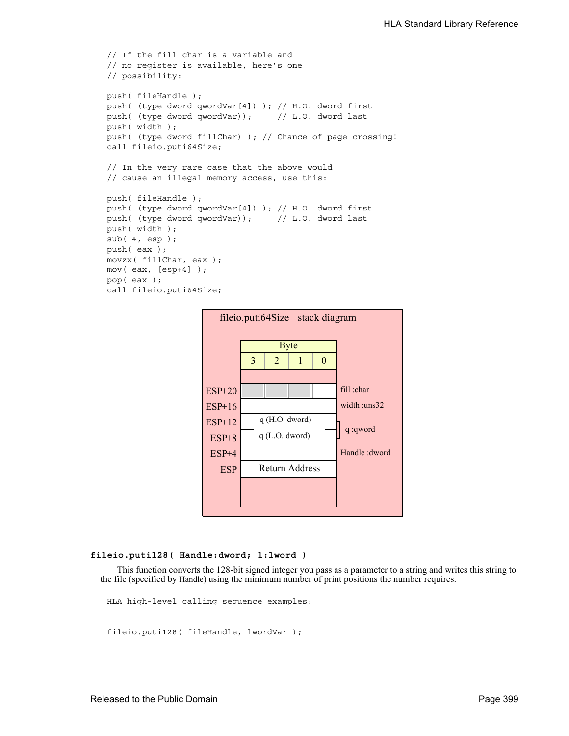```
// If the fill char is a variable and
// no register is available, here's one
// possibility:
push( fileHandle );
push( (type dword qwordVar[4]) ); // H.O. dword first
push( (type dword qwordVar)); // L.O. dword last
push( width );
push( (type dword fillChar) ); // Chance of page crossing!
call fileio.puti64Size;
// In the very rare case that the above would
// cause an illegal memory access, use this:
push( fileHandle );
push( (type dword qwordVar[4]) ); // H.O. dword first
push( (type dword qwordVar)); // L.O. dword last
push( width );
sub( 4, esp );
push( eax );
movzx( fillChar, eax );
mov( eax, [esp+4] );
pop( eax );
call fileio.puti64Size;
```


#### **fileio.puti128( Handle:dword; l:lword )**

This function converts the 128-bit signed integer you pass as a parameter to a string and writes this string to the file (specified by Handle) using the minimum number of print positions the number requires.

HLA high-level calling sequence examples:

```
fileio.puti128( fileHandle, lwordVar );
```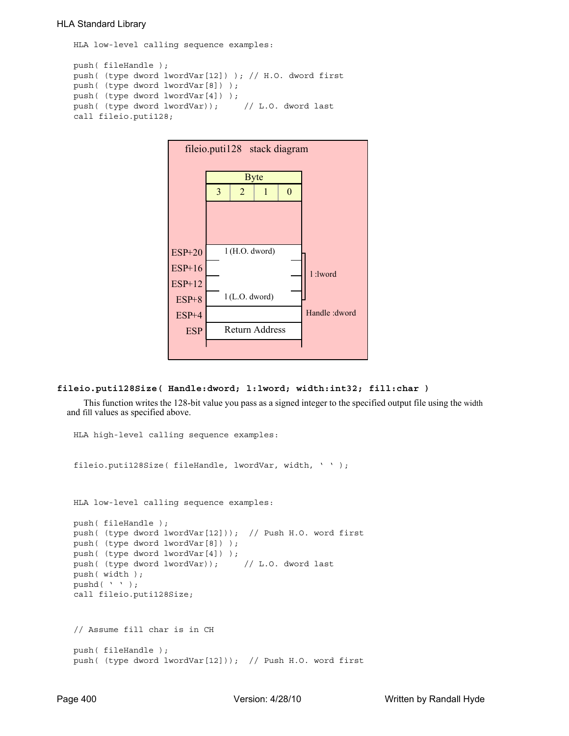HLA low-level calling sequence examples:

```
push( fileHandle );
push( (type dword lwordVar[12]) ); // H.O. dword first
push( (type dword lwordVar[8]) ); 
push( (type dword lwordVar[4]) );
push( (type dword lwordVar)); // L.O. dword last
call fileio.puti128;
```


#### **fileio.puti128Size( Handle:dword; l:lword; width:int32; fill:char )**

This function writes the 128-bit value you pass as a signed integer to the specified output file using the width and fill values as specified above.

```
HLA high-level calling sequence examples:
fileio.puti128Size( fileHandle, lwordVar, width, ' ' );
HLA low-level calling sequence examples:
push( fileHandle );
push( (type dword lwordVar[12])); // Push H.O. word first
push( (type dword lwordVar[8]) );
push( (type dword lwordVar[4]) );
push( (type dword lwordVar)); // L.O. dword last
push( width );
pushd( ' ' );
call fileio.puti128Size;
// Assume fill char is in CH
push( fileHandle );
push( (type dword lwordVar[12])); // Push H.O. word first
```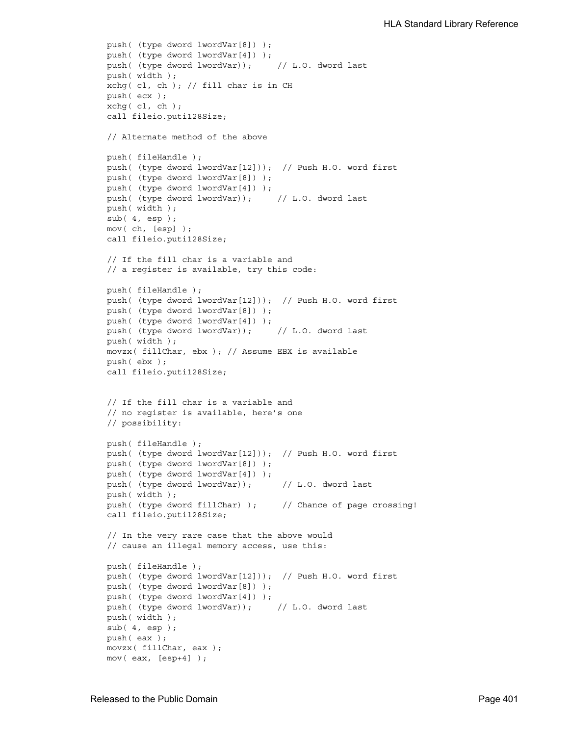```
push( (type dword lwordVar[8]) );
push( (type dword lwordVar[4]) );
push( (type dword lwordVar)); // L.O. dword last
push( width );
xchg( cl, ch ); // fill char is in CH
push( ecx ); 
xchg( cl, ch );
call fileio.puti128Size;
// Alternate method of the above
push( fileHandle );
push( (type dword lwordVar[12])); // Push H.O. word first
push( (type dword lwordVar[8]) );
push( (type dword lwordVar[4]) );
push( (type dword lwordVar)); // L.O. dword last
push( width );
sub(4, esp);mov( ch, [esp] );
call fileio.puti128Size;
// If the fill char is a variable and
// a register is available, try this code:
push( fileHandle );
push( (type dword lwordVar[12])); // Push H.O. word first
push( (type dword lwordVar[8]) );
push( (type dword lwordVar[4]) );
push( (type dword lwordVar)); // L.O. dword last
push( width );
movzx( fillChar, ebx ); // Assume EBX is available
push( ebx );
call fileio.puti128Size;
// If the fill char is a variable and
// no register is available, here's one
// possibility:
push( fileHandle );
push( (type dword lwordVar[12])); // Push H.O. word first
push( (type dword lwordVar[8]) );
push( (type dword lwordVar[4]) );
push( (type dword lwordVar)); // L.O. dword last
push( width );
push( (type dword fillChar) ); // Chance of page crossing!
call fileio.puti128Size;
// In the very rare case that the above would
// cause an illegal memory access, use this:
push( fileHandle );
push( (type dword lwordVar[12])); // Push H.O. word first
push( (type dword lwordVar[8]) );
push( (type dword lwordVar[4]) );
push( (type dword lwordVar)); // L.O. dword last
push( width );
sub( 4, esp );
push( eax );
movzx( fillChar, eax );
mov( eax, [esp+4] );
```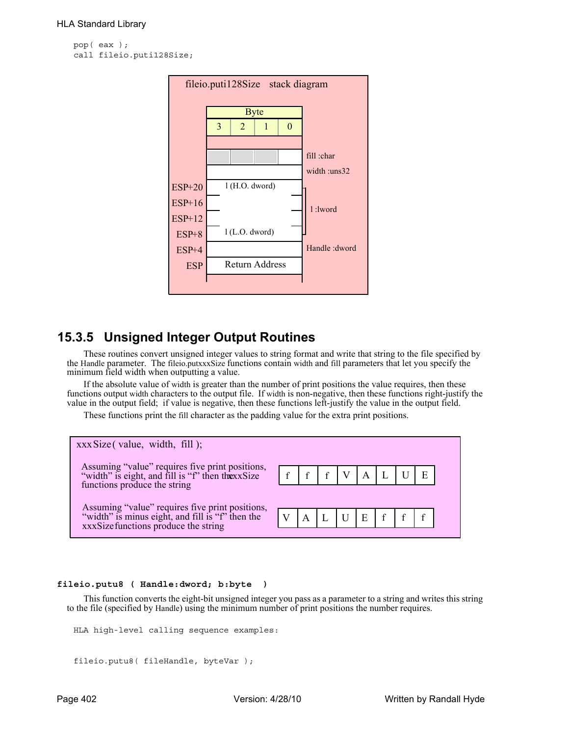```
pop( eax );
call fileio.puti128Size;
```


# **15.3.5 Unsigned Integer Output Routines**

These routines convert unsigned integer values to string format and write that string to the file specified by the Handle parameter. The fileio.putxxxSize functions contain width and fill parameters that let you specify the minimum field width when outputting a value.

If the absolute value of width is greater than the number of print positions the value requires, then these functions output width characters to the output file. If width is non-negative, then these functions right-justify the value in the output field; if value is negative, then these functions left-justify the value in the output field.

These functions print the fill character as the padding value for the extra print positions.



## **fileio.putu8 ( Handle:dword; b:byte )**

This function converts the eight-bit unsigned integer you pass as a parameter to a string and writes this string to the file (specified by Handle) using the minimum number of print positions the number requires.

```
HLA high-level calling sequence examples:
```

```
fileio.putu8( fileHandle, byteVar );
```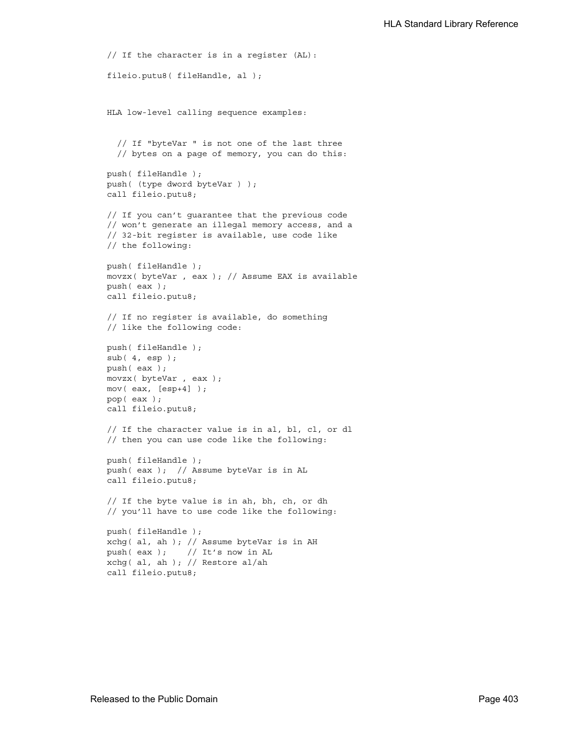```
// If the character is in a register (AL):
fileio.putu8( fileHandle, al );
HLA low-level calling sequence examples:
  // If "byteVar " is not one of the last three
  // bytes on a page of memory, you can do this:
push( fileHandle );
push( (type dword byteVar ) );
call fileio.putu8;
// If you can't guarantee that the previous code
// won't generate an illegal memory access, and a
// 32-bit register is available, use code like
// the following:
push( fileHandle );
movzx( byteVar , eax ); // Assume EAX is available
push( eax );
call fileio.putu8;
// If no register is available, do something
// like the following code:
push( fileHandle );
sub(4, esp);push( eax );
movzx( byteVar , eax );
mov( eax, [esp+4] );
pop( eax );
call fileio.putu8;
// If the character value is in al, bl, cl, or dl
// then you can use code like the following:
push( fileHandle );
push( eax ); // Assume byteVar is in AL
call fileio.putu8;
// If the byte value is in ah, bh, ch, or dh
// you'll have to use code like the following:
push( fileHandle );
xchg( al, ah ); // Assume byteVar is in AH
push( eax ); // It's now in AL
xchg( al, ah ); // Restore al/ah
call fileio.putu8;
```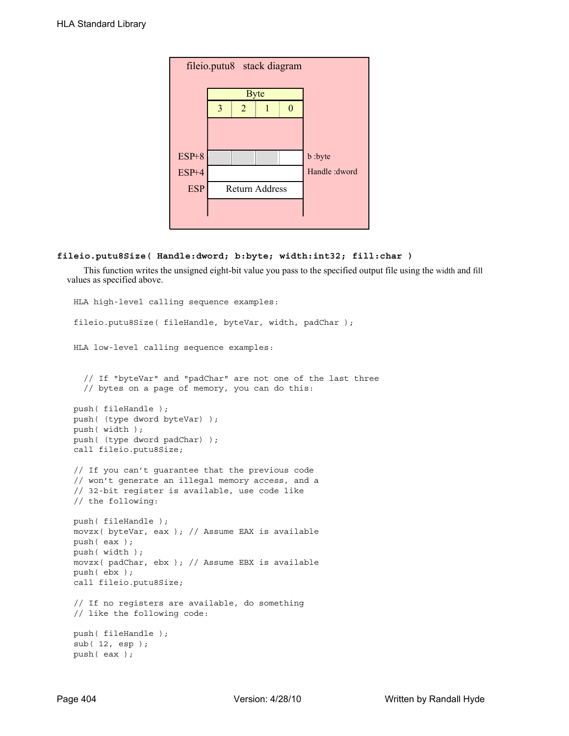| fileio.putu8 stack diagram |   |                       |  |   |                |  |  |  |
|----------------------------|---|-----------------------|--|---|----------------|--|--|--|
|                            |   | <b>Byte</b>           |  |   |                |  |  |  |
|                            | 3 | $\overline{2}$        |  | 0 |                |  |  |  |
|                            |   |                       |  |   |                |  |  |  |
|                            |   |                       |  |   |                |  |  |  |
| $ESP+8$                    |   |                       |  |   | b :byte        |  |  |  |
| $ESP+4$                    |   |                       |  |   | Handle : dword |  |  |  |
| <b>ESP</b>                 |   | <b>Return Address</b> |  |   |                |  |  |  |
|                            |   |                       |  |   |                |  |  |  |
|                            |   |                       |  |   |                |  |  |  |

# **fileio.putu8Size( Handle:dword; b:byte; width:int32; fill:char )**

This function writes the unsigned eight-bit value you pass to the specified output file using the width and fill values as specified above.

```
HLA high-level calling sequence examples:
fileio.putu8Size( fileHandle, byteVar, width, padChar );
HLA low-level calling sequence examples:
  // If "byteVar" and "padChar" are not one of the last three
  // bytes on a page of memory, you can do this:
push( fileHandle );
push( (type dword byteVar) );
push( width );
push( (type dword padChar) );
call fileio.putu8Size;
// If you can't guarantee that the previous code
// won't generate an illegal memory access, and a
// 32-bit register is available, use code like
// the following:
push( fileHandle );
movzx( byteVar, eax ); // Assume EAX is available
push( eax );
push( width );
movzx( padChar, ebx ); // Assume EBX is available
push( ebx );
call fileio.putu8Size;
// If no registers are available, do something
// like the following code:
push( fileHandle );
sub( 12, esp );
push( eax );
```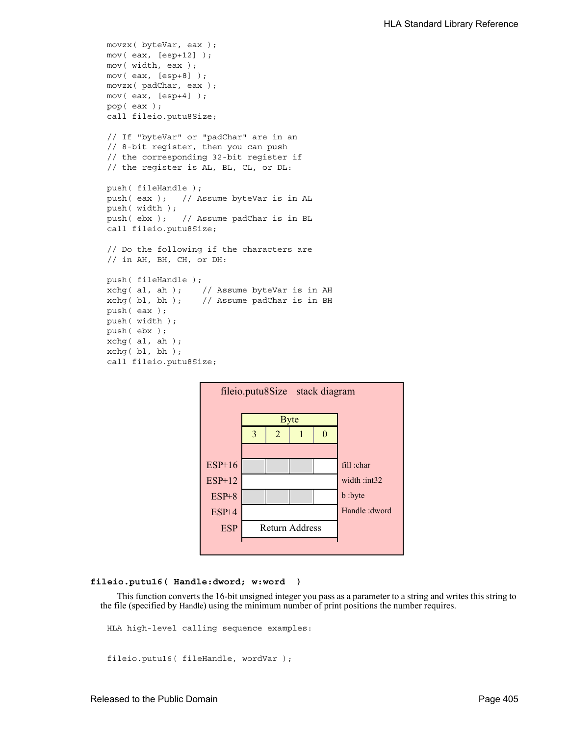```
movzx( byteVar, eax );
mov( eax, [esp+12] );
mov( width, eax );
mov( eax, [esp+8] );
movzx( padChar, eax );
mov( eax, [esp+4] );
pop( eax );
call fileio.putu8Size;
// If "byteVar" or "padChar" are in an
// 8-bit register, then you can push
// the corresponding 32-bit register if
// the register is AL, BL, CL, or DL:
push( fileHandle );
push( eax ); // Assume byteVar is in AL
push( width );
push( ebx ); // Assume padChar is in BL
call fileio.putu8Size;
// Do the following if the characters are
// in AH, BH, CH, or DH:
push( fileHandle );
xchg( al, ah ); // Assume byteVar is in AH
xchg( bl, bh ); // Assume padChar is in BH
push( eax ); 
push( width );
push( ebx );
xchg( al, ah );
xchg( bl, bh );
call fileio.putu8Size;
```


#### **fileio.putu16( Handle:dword; w:word )**

This function converts the 16-bit unsigned integer you pass as a parameter to a string and writes this string to the file (specified by Handle) using the minimum number of print positions the number requires.

HLA high-level calling sequence examples:

fileio.putu16( fileHandle, wordVar );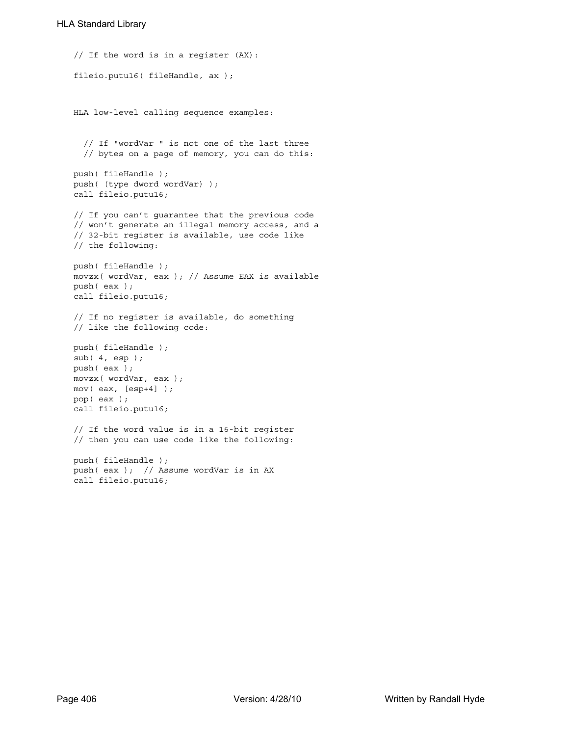```
// If the word is in a register (AX):
fileio.putu16( fileHandle, ax );
HLA low-level calling sequence examples:
  // If "wordVar " is not one of the last three
  // bytes on a page of memory, you can do this:
push( fileHandle );
push( (type dword wordVar) );
call fileio.putu16;
// If you can't guarantee that the previous code
// won't generate an illegal memory access, and a
// 32-bit register is available, use code like
// the following:
push( fileHandle );
movzx( wordVar, eax ); // Assume EAX is available
push( eax );
call fileio.putu16;
// If no register is available, do something
// like the following code:
push( fileHandle );
sub( 4, esp );
push( eax );
movzx( wordVar, eax );
mov( eax, [esp+4] );
pop( eax );
call fileio.putu16;
// If the word value is in a 16-bit register
// then you can use code like the following:
push( fileHandle );
push( eax ); // Assume wordVar is in AX
call fileio.putu16;
```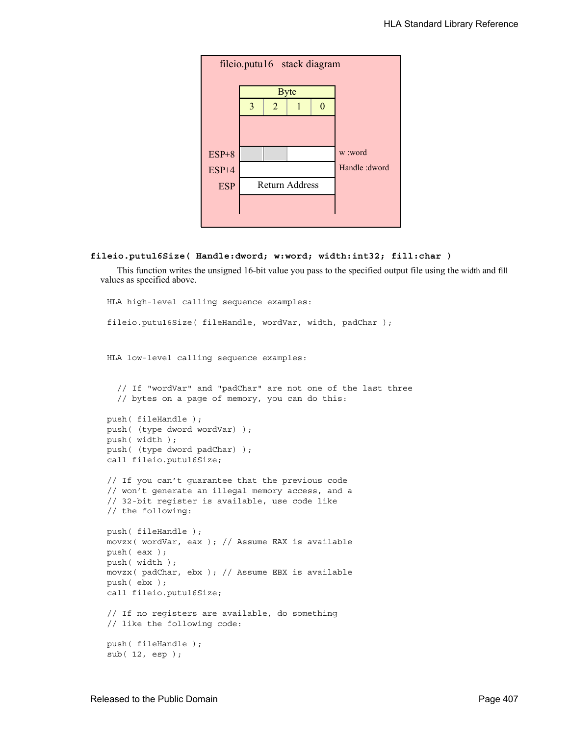| fileio.putu16 stack diagram |                |                       |             |  |                |  |  |
|-----------------------------|----------------|-----------------------|-------------|--|----------------|--|--|
|                             |                |                       | <b>Byte</b> |  |                |  |  |
|                             | $\overline{3}$ | $\overline{2}$        |             |  |                |  |  |
|                             |                |                       |             |  |                |  |  |
|                             |                |                       |             |  |                |  |  |
| $ESP+8$                     |                |                       |             |  | w :word        |  |  |
| ESP+4                       |                |                       |             |  | Handle : dword |  |  |
| <b>ESP</b>                  |                | <b>Return Address</b> |             |  |                |  |  |
|                             |                |                       |             |  |                |  |  |
|                             |                |                       |             |  |                |  |  |

# **fileio.putu16Size( Handle:dword; w:word; width:int32; fill:char )**

This function writes the unsigned 16-bit value you pass to the specified output file using the width and fill values as specified above.

```
HLA high-level calling sequence examples:
fileio.putu16Size( fileHandle, wordVar, width, padChar );
HLA low-level calling sequence examples:
  // If "wordVar" and "padChar" are not one of the last three
  // bytes on a page of memory, you can do this:
push( fileHandle );
push( (type dword wordVar) );
push( width );
push( (type dword padChar) );
call fileio.putu16Size;
// If you can't guarantee that the previous code
// won't generate an illegal memory access, and a
// 32-bit register is available, use code like
// the following:
push( fileHandle );
movzx( wordVar, eax ); // Assume EAX is available
push( eax );
push( width );
movzx( padChar, ebx ); // Assume EBX is available
push( ebx );
call fileio.putu16Size;
// If no registers are available, do something
// like the following code:
push( fileHandle );
sub( 12, esp );
```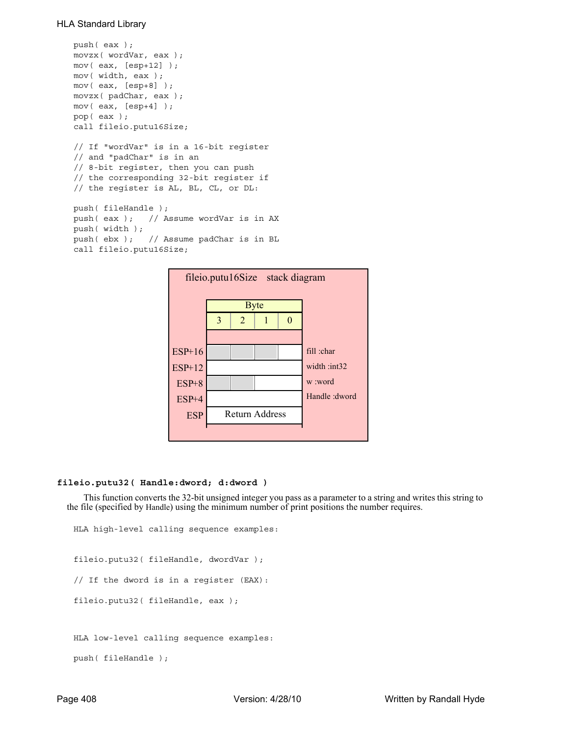```
push( eax );
movzx( wordVar, eax );
mov( eax, [esp+12] );
mov( width, eax );
mov( eax, [esp+8] );
movzx( padChar, eax );
mov( eax, [esp+4] );
pop( eax );
call fileio.putu16Size;
// If "wordVar" is in a 16-bit register
// and "padChar" is in an
// 8-bit register, then you can push
// the corresponding 32-bit register if
// the register is AL, BL, CL, or DL:
push( fileHandle );
push( eax ); // Assume wordVar is in AX
push( width );
push( ebx ); // Assume padChar is in BL
call fileio.putu16Size;
```


#### **fileio.putu32( Handle:dword; d:dword )**

This function converts the 32-bit unsigned integer you pass as a parameter to a string and writes this string to the file (specified by Handle) using the minimum number of print positions the number requires.

```
HLA high-level calling sequence examples:
fileio.putu32( fileHandle, dwordVar );
// If the dword is in a register (EAX):
fileio.putu32( fileHandle, eax );
HLA low-level calling sequence examples:
push( fileHandle );
```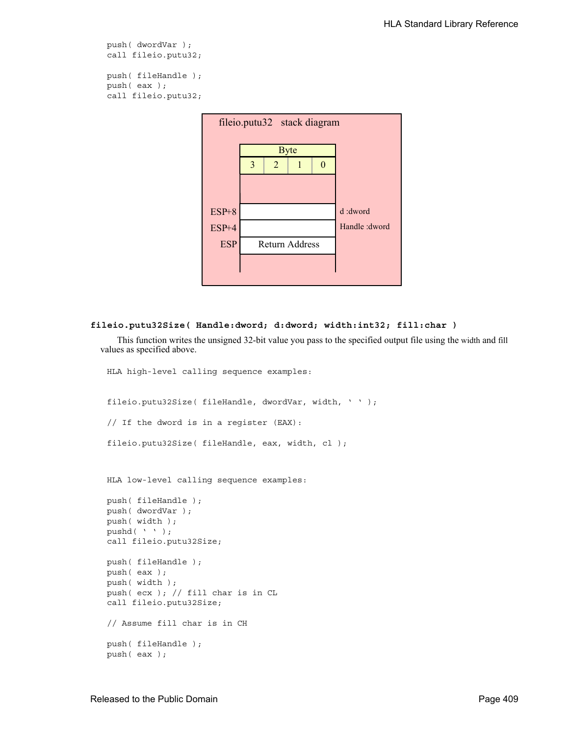```
push( dwordVar );
call fileio.putu32;
```
push( fileHandle ); push( eax ); call fileio.putu32;



#### **fileio.putu32Size( Handle:dword; d:dword; width:int32; fill:char )**

This function writes the unsigned 32-bit value you pass to the specified output file using the width and fill values as specified above.

```
HLA high-level calling sequence examples:
fileio.putu32Size( fileHandle, dwordVar, width, ' ' );
// If the dword is in a register (EAX):
fileio.putu32Size( fileHandle, eax, width, cl );
HLA low-level calling sequence examples:
push( fileHandle );
push( dwordVar );
push( width );
pushd( ' ' );
call fileio.putu32Size;
push( fileHandle );
push( eax );
push( width );
push( ecx ); // fill char is in CL
call fileio.putu32Size;
// Assume fill char is in CH
push( fileHandle );
push( eax );
```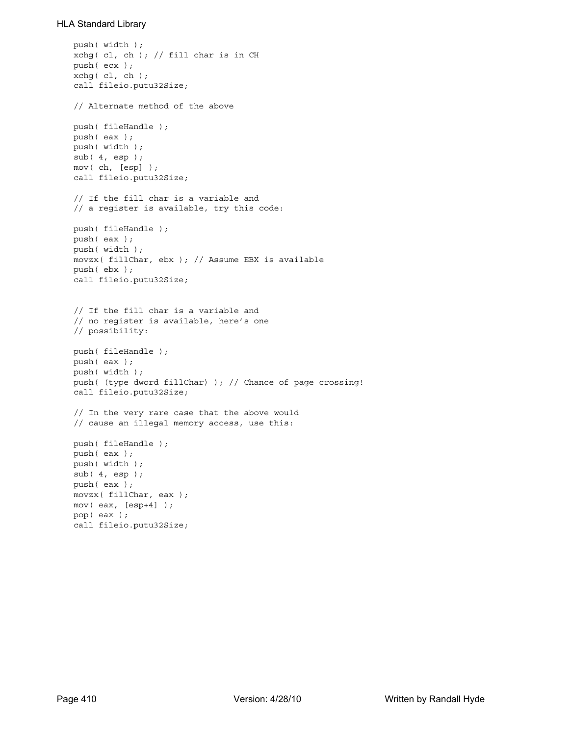```
push( width );
xchg( cl, ch ); // fill char is in CH
push( ecx ); 
xchg( cl, ch );
call fileio.putu32Size;
// Alternate method of the above
push( fileHandle );
push( eax );
push( width );
sub(4, esp);mov( ch, [esp] );
call fileio.putu32Size;
// If the fill char is a variable and
// a register is available, try this code:
push( fileHandle );
push( eax );
push( width );
movzx( fillChar, ebx ); // Assume EBX is available
push( ebx );
call fileio.putu32Size;
// If the fill char is a variable and
// no register is available, here's one
// possibility:
push( fileHandle );
push( eax );
push( width );
push( (type dword fillChar) ); // Chance of page crossing!
call fileio.putu32Size;
// In the very rare case that the above would
// cause an illegal memory access, use this:
push( fileHandle );
push( eax );
push( width );
sub( 4, esp );
push( eax );
movzx( fillChar, eax );
mov( eax, [esp+4] );
pop( eax );
call fileio.putu32Size;
```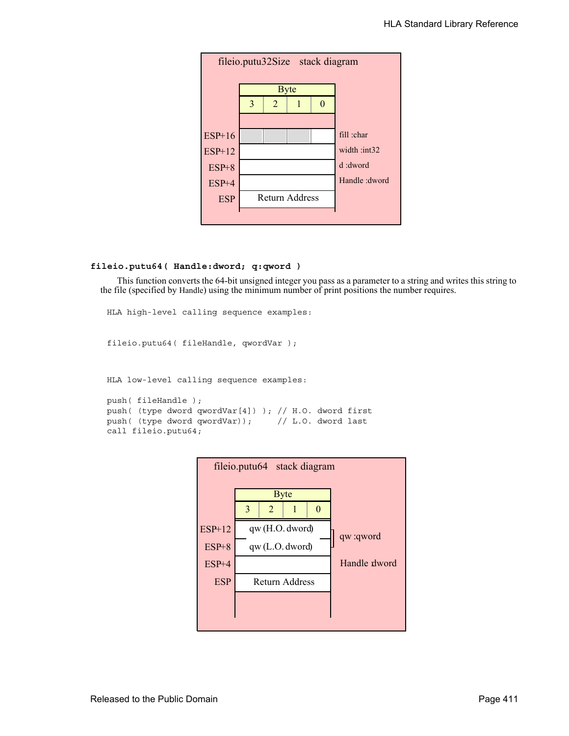

# **fileio.putu64( Handle:dword; q:qword )**

This function converts the 64-bit unsigned integer you pass as a parameter to a string and writes this string to the file (specified by Handle) using the minimum number of print positions the number requires.

```
HLA high-level calling sequence examples:
fileio.putu64( fileHandle, qwordVar );
HLA low-level calling sequence examples:
push( fileHandle );
push( (type dword qwordVar[4]) ); // H.O. dword first
push( (type dword qwordVar)); // L.O. dword last
call fileio.putu64;
```
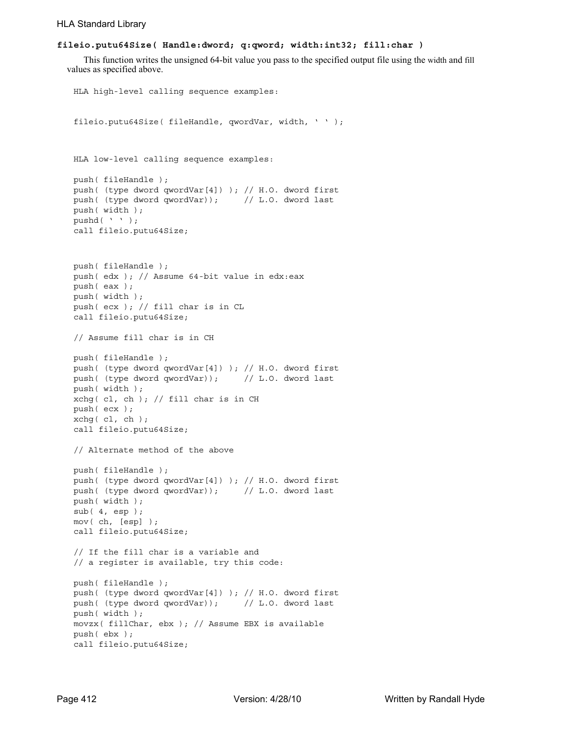## **fileio.putu64Size( Handle:dword; q:qword; width:int32; fill:char )**

This function writes the unsigned 64-bit value you pass to the specified output file using the width and fill values as specified above.

```
HLA high-level calling sequence examples:
fileio.putu64Size( fileHandle, qwordVar, width, ' ' );
HLA low-level calling sequence examples:
push( fileHandle );
push( (type dword qwordVar[4]) ); // H.O. dword first
push( (type dword qwordVar)); // L.O. dword last
push( width );
pushd( ' ' );
call fileio.putu64Size;
push( fileHandle );
push( edx ); // Assume 64-bit value in edx:eax
push( eax );
push( width );
push( ecx ); // fill char is in CL
call fileio.putu64Size;
// Assume fill char is in CH
push( fileHandle );
push( (type dword qwordVar[4]) ); // H.O. dword first
push( (type dword qwordVar)); // L.O. dword last
push( width );
xchg( cl, ch ); // fill char is in CH
push( ecx ); 
xchg(|c1, ch|);call fileio.putu64Size;
// Alternate method of the above
push( fileHandle );
push( (type dword qwordVar[4]) ); // H.O. dword first
push( (type dword qwordVar)); // L.O. dword last
push( width );
sub( 4, esp );
mov( ch, [esp] );
call fileio.putu64Size;
// If the fill char is a variable and
// a register is available, try this code:
push( fileHandle );
push( (type dword qwordVar[4]) ); // H.O. dword first
push( (type dword qwordVar)); // L.O. dword last
push( width );
movzx( fillChar, ebx ); // Assume EBX is available
push( ebx );
call fileio.putu64Size;
```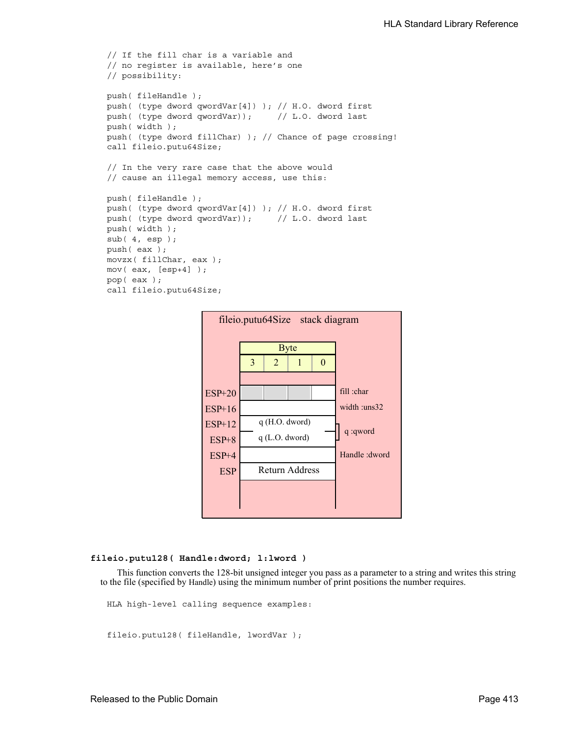```
// If the fill char is a variable and
// no register is available, here's one
// possibility:
push( fileHandle );
push( (type dword qwordVar[4]) ); // H.O. dword first
push( (type dword qwordVar)); // L.O. dword last
push( width );
push( (type dword fillChar) ); // Chance of page crossing!
call fileio.putu64Size;
// In the very rare case that the above would
// cause an illegal memory access, use this:
push( fileHandle );
push( (type dword qwordVar[4]) ); // H.O. dword first
push( (type dword qwordVar)); // L.O. dword last
push( width );
sub( 4, esp );
push( eax );
movzx( fillChar, eax );
mov( eax, [esp+4] );
pop( eax );
call fileio.putu64Size;
```


#### **fileio.putu128( Handle:dword; l:lword )**

This function converts the 128-bit unsigned integer you pass as a parameter to a string and writes this string to the file (specified by Handle) using the minimum number of print positions the number requires.

HLA high-level calling sequence examples:

fileio.putu128( fileHandle, lwordVar );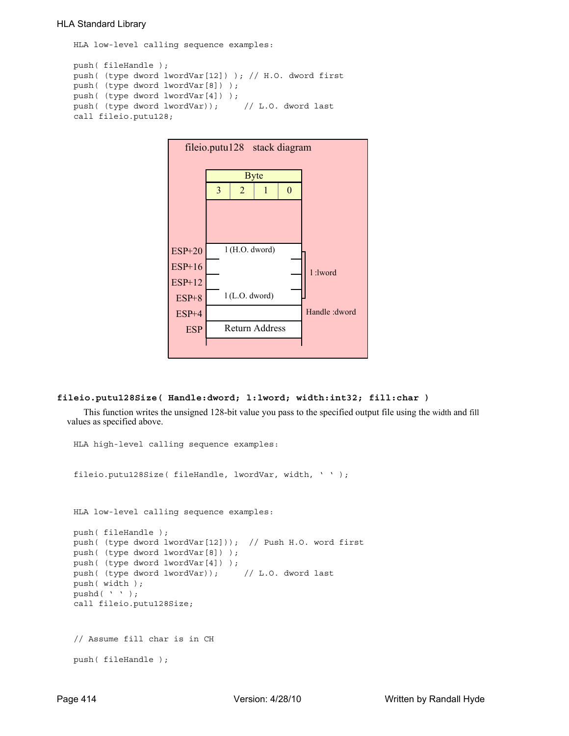#### HLA Standard Library

HLA low-level calling sequence examples:

```
push( fileHandle );
push( (type dword lwordVar[12]) ); // H.O. dword first
push( (type dword lwordVar[8]) ); 
push( (type dword lwordVar[4]) );
push( (type dword lwordVar)); // L.O. dword last
call fileio.putu128;
```


#### **fileio.putu128Size( Handle:dword; l:lword; width:int32; fill:char )**

This function writes the unsigned 128-bit value you pass to the specified output file using the width and fill values as specified above.

```
HLA high-level calling sequence examples:
fileio.putu128Size( fileHandle, lwordVar, width, ' ' );
HLA low-level calling sequence examples:
push( fileHandle );
push( (type dword lwordVar[12])); // Push H.O. word first
push( (type dword lwordVar[8]) );
push( (type dword lwordVar[4]) );
push( (type dword lwordVar)); // L.O. dword last
push( width );
pushd(' ' );
call fileio.putu128Size;
// Assume fill char is in CH
push( fileHandle );
```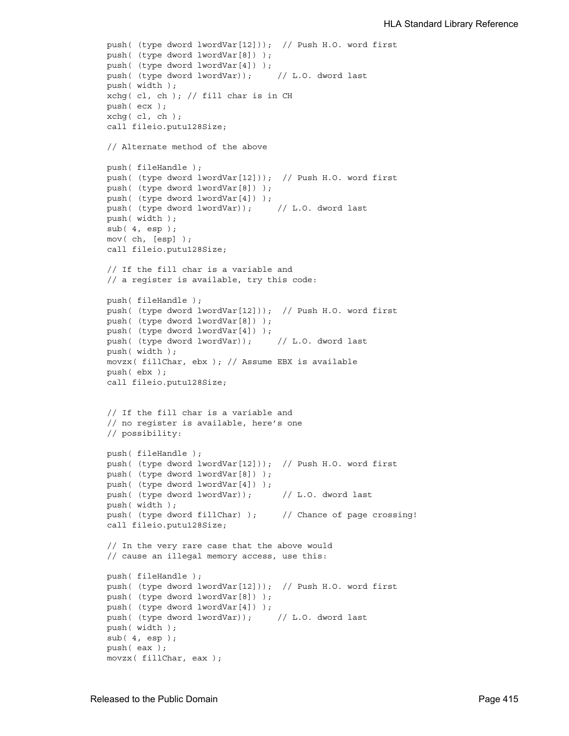```
push( (type dword lwordVar[12])); // Push H.O. word first
push( (type dword lwordVar[8]) );
push( (type dword lwordVar[4]) );
push( (type dword lwordVar)); // L.O. dword last
push( width );
xchg( cl, ch); // fill char is in CH
push( ecx ); 
xchg( cl, ch );
call fileio.putu128Size;
// Alternate method of the above
push( fileHandle );
push( (type dword lwordVar[12])); // Push H.O. word first
push( (type dword lwordVar[8]) );
push( (type dword lwordVar[4]) );
push( (type dword lwordVar)); // L.O. dword last
push( width );
sub( 4, esp );
mov( ch, [esp] );
call fileio.putu128Size;
// If the fill char is a variable and
// a register is available, try this code:
push( fileHandle );
push( (type dword lwordVar[12])); // Push H.O. word first
push( (type dword lwordVar[8]) );
push( (type dword lwordVar[4]) );
push( (type dword lwordVar)); // L.O. dword last
push( width );
movzx( fillChar, ebx ); // Assume EBX is available
push( ebx );
call fileio.putu128Size;
// If the fill char is a variable and
// no register is available, here's one
// possibility:
push( fileHandle );
push( (type dword lwordVar[12])); // Push H.O. word first
push( (type dword lwordVar[8]) );
push( (type dword lwordVar[4]) );
push( (type dword lwordVar)); // L.O. dword last
push( width );
push( (type dword fillChar) ); // Chance of page crossing!
call fileio.putu128Size;
// In the very rare case that the above would
// cause an illegal memory access, use this:
push( fileHandle );
push( (type dword lwordVar[12])); // Push H.O. word first
push( (type dword lwordVar[8]) );
push( (type dword lwordVar[4]) );
push( (type dword lwordVar)); // L.O. dword last
push( width );
sub(4, esp);push( eax );
movzx( fillChar, eax );
```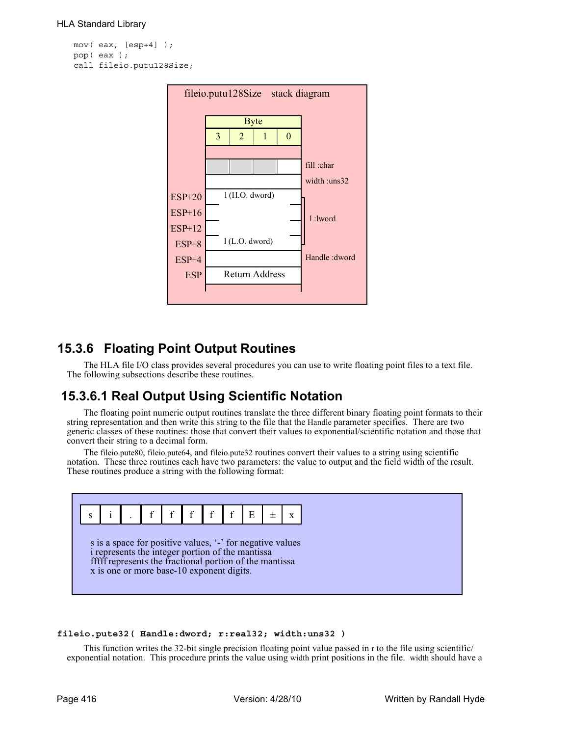```
mov( eax, [esp+4] );
pop( eax );
call fileio.putu128Size;
```


# **15.3.6 Floating Point Output Routines**

The HLA file I/O class provides several procedures you can use to write floating point files to a text file. The following subsections describe these routines.

# **15.3.6.1 Real Output Using Scientific Notation**

The floating point numeric output routines translate the three different binary floating point formats to their string representation and then write this string to the file that the Handle parameter specifies. There are two generic classes of these routines: those that convert their values to exponential/scientific notation and those that convert their string to a decimal form.

The fileio.pute80, fileio.pute64, and fileio.pute32 routines convert their values to a string using scientific notation. These three routines each have two parameters: the value to output and the field width of the result. These routines produce a string with the following format:



### **fileio.pute32( Handle:dword; r:real32; width:uns32 )**

This function writes the 32-bit single precision floating point value passed in r to the file using scientific/ exponential notation. This procedure prints the value using width print positions in the file. width should have a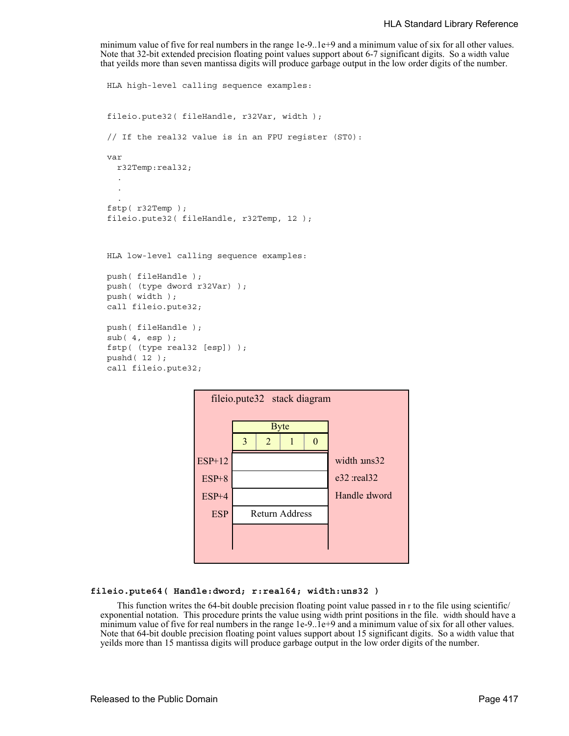minimum value of five for real numbers in the range 1e-9..1e+9 and a minimum value of six for all other values. Note that 32-bit extended precision floating point values support about 6-7 significant digits. So a width value that yeilds more than seven mantissa digits will produce garbage output in the low order digits of the number.

```
HLA high-level calling sequence examples:
fileio.pute32( fileHandle, r32Var, width );
// If the real32 value is in an FPU register (ST0):
var
  r32Temp:real32;
  .
  .
  .
fstp( r32Temp );
fileio.pute32( fileHandle, r32Temp, 12 );
HLA low-level calling sequence examples:
push( fileHandle );
push( (type dword r32Var) );
push( width );
call fileio.pute32;
push( fileHandle );
sub( 4, esp );
fstp( (type real32 [esp]) );
```

```
pushd( 12 );
call fileio.pute32;
```

| fileio.pute32 stack diagram |   |                |             |                  |  |  |  |
|-----------------------------|---|----------------|-------------|------------------|--|--|--|
|                             |   |                | <b>Byte</b> |                  |  |  |  |
|                             | 3 | 2              |             | 0                |  |  |  |
| <b>ESP+12</b>               |   |                |             | width uns32      |  |  |  |
| $ESP+8$                     |   |                |             | $e32$ :real $32$ |  |  |  |
| $ESP+4$                     |   |                |             | Handle dword     |  |  |  |
| <b>ESP</b>                  |   | Return Address |             |                  |  |  |  |
|                             |   |                |             |                  |  |  |  |
|                             |   |                |             |                  |  |  |  |

#### **fileio.pute64( Handle:dword; r:real64; width:uns32 )**

This function writes the 64-bit double precision floating point value passed in r to the file using scientific/ exponential notation. This procedure prints the value using width print positions in the file. width should have a minimum value of five for real numbers in the range 1e-9..1e+9 and a minimum value of six for all other values. Note that 64-bit double precision floating point values support about 15 significant digits. So a width value that yeilds more than 15 mantissa digits will produce garbage output in the low order digits of the number.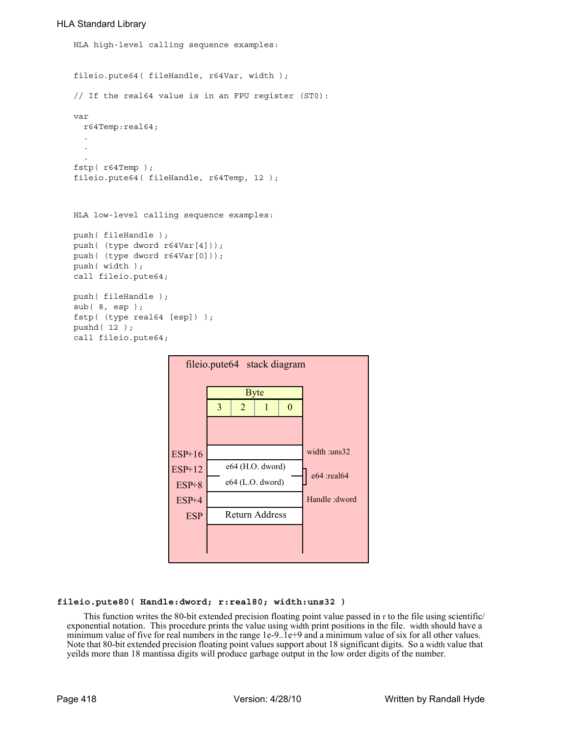## HLA Standard Library

```
HLA high-level calling sequence examples:
fileio.pute64( fileHandle, r64Var, width );
// If the real64 value is in an FPU register (ST0):
var
  r64Temp:real64;
  .
  .
  .
fstp( r64Temp );
fileio.pute64( fileHandle, r64Temp, 12 );
HLA low-level calling sequence examples:
push( fileHandle );
push( (type dword r64Var[4]));
push( (type dword r64Var[0]));
push( width );
call fileio.pute64;
push( fileHandle );
sub( 8, esp );
fstp( (type real64 [esp]) );
pushd( 12 );
call fileio.pute64;
```


### **fileio.pute80( Handle:dword; r:real80; width:uns32 )**

This function writes the 80-bit extended precision floating point value passed in r to the file using scientific/ exponential notation. This procedure prints the value using width print positions in the file. width should have a minimum value of five for real numbers in the range 1e-9..1e+9 and a minimum value of six for all other values. Note that 80-bit extended precision floating point values support about 18 significant digits. So a width value that yeilds more than 18 mantissa digits will produce garbage output in the low order digits of the number.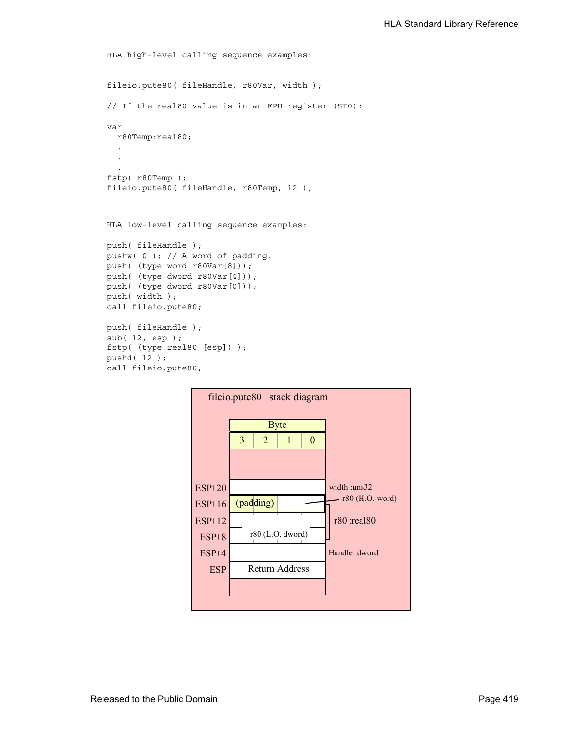```
HLA high-level calling sequence examples:
fileio.pute80( fileHandle, r80Var, width );
// If the real80 value is in an FPU register (ST0):
var
 r80Temp:real80;
  .
  .
  .
fstp( r80Temp );
fileio.pute80( fileHandle, r80Temp, 12 );
HLA low-level calling sequence examples:
push( fileHandle );
pushw( 0 ); // A word of padding.
push( (type word r80Var[8]));
push( (type dword r80Var[4]));
push( (type dword r80Var[0]));
push( width );
call fileio.pute80;
```

```
push( fileHandle );
sub( 12, esp );
fstp( (type real80 [esp]) );
pushd( 12 );
```
call fileio.pute80;

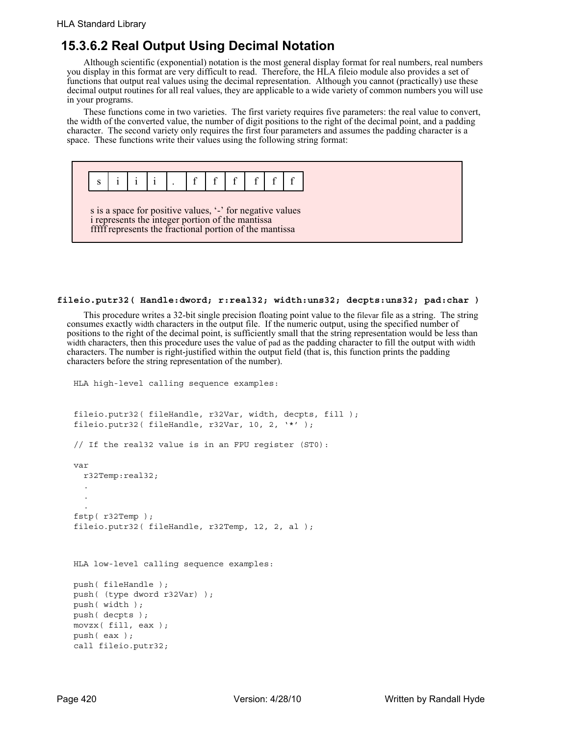## **15.3.6.2 Real Output Using Decimal Notation**

Although scientific (exponential) notation is the most general display format for real numbers, real numbers you display in this format are very difficult to read. Therefore, the HLA fileio module also provides a set of functions that output real values using the decimal representation. Although you cannot (practically) use these decimal output routines for all real values, they are applicable to a wide variety of common numbers you will use in your programs.

These functions come in two varieties. The first variety requires five parameters: the real value to convert, the width of the converted value, the number of digit positions to the right of the decimal point, and a padding character. The second variety only requires the first four parameters and assumes the padding character is a space. These functions write their values using the following string format:



#### **fileio.putr32( Handle:dword; r:real32; width:uns32; decpts:uns32; pad:char )**

This procedure writes a 32-bit single precision floating point value to the filevar file as a string. The string consumes exactly width characters in the output file. If the numeric output, using the specified number of positions to the right of the decimal point, is sufficiently small that the string representation would be less than width characters, then this procedure uses the value of pad as the padding character to fill the output with width characters. The number is right-justified within the output field (that is, this function prints the padding characters before the string representation of the number).

```
HLA high-level calling sequence examples:
fileio.putr32( fileHandle, r32Var, width, decpts, fill );
fileio.putr32( fileHandle, r32Var, 10, 2, '*' );
// If the real32 value is in an FPU register (ST0):
var
  r32Temp:real32;
  .
  .
  .
fstp( r32Temp );
fileio.putr32( fileHandle, r32Temp, 12, 2, al );
HLA low-level calling sequence examples:
push( fileHandle );
push( (type dword r32Var) );
push( width );
push( decpts );
movzx( fill, eax );
push( eax );
call fileio.putr32;
```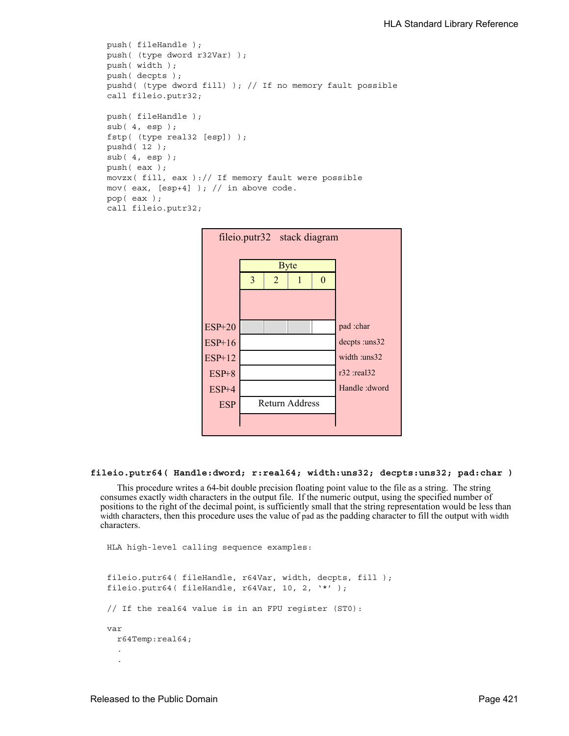```
push( fileHandle );
push( (type dword r32Var) );
push( width );
push( decpts );
pushd( (type dword fill) ); // If no memory fault possible
call fileio.putr32;
push( fileHandle );
sub( 4, esp );
fstp( (type real32 [esp]) );
pushd( 12 );
sub(4, esp);push( eax );
movzx( fill, eax ):// If memory fault were possible
mov( eax, [esp+4] ); // in above code.
pop( eax );
call fileio.putr32;
```


#### **fileio.putr64( Handle:dword; r:real64; width:uns32; decpts:uns32; pad:char )**

This procedure writes a 64-bit double precision floating point value to the file as a string. The string consumes exactly width characters in the output file. If the numeric output, using the specified number of positions to the right of the decimal point, is sufficiently small that the string representation would be less than width characters, then this procedure uses the value of pad as the padding character to fill the output with width characters.

```
HLA high-level calling sequence examples:
fileio.putr64( fileHandle, r64Var, width, decpts, fill );
fileio.putr64( fileHandle, r64Var, 10, 2, '*' );
// If the real64 value is in an FPU register (ST0):
var
  r64Temp:real64;
  .
  .
```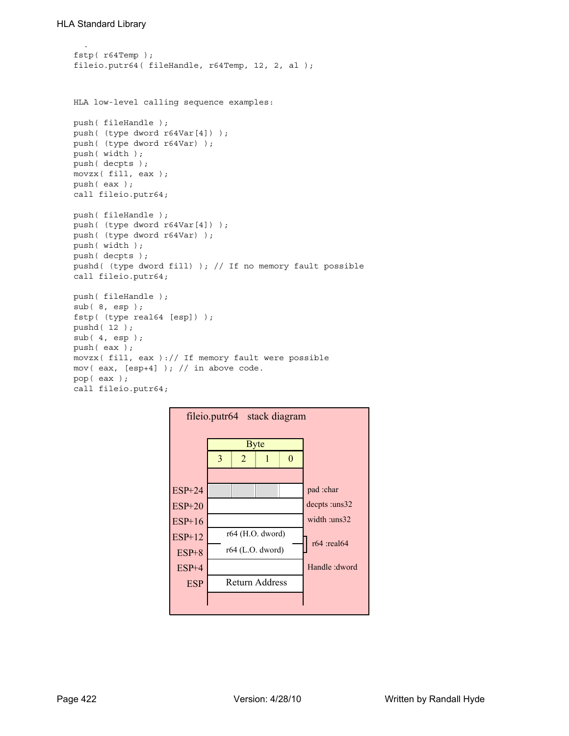```
.
fstp( r64Temp );
fileio.putr64( fileHandle, r64Temp, 12, 2, al );
HLA low-level calling sequence examples:
push( fileHandle );
push( (type dword r64Var[4]) );
push( (type dword r64Var) );
push( width );
push( decpts );
movzx( fill, eax );
push( eax );
call fileio.putr64;
push( fileHandle );
push( (type dword r64Var[4]) );
push( (type dword r64Var) );
push( width );
push( decpts );
pushd( (type dword fill) ); // If no memory fault possible
call fileio.putr64;
push( fileHandle );
sub( 8, esp );
fstp( (type real64 [esp]) );
pushd( 12 );
sub( 4, esp );
push( eax );
movzx( fill, eax ):// If memory fault were possible
mov( eax, [esp+4] ); // in above code.
pop( eax );
call fileio.putr64;
```
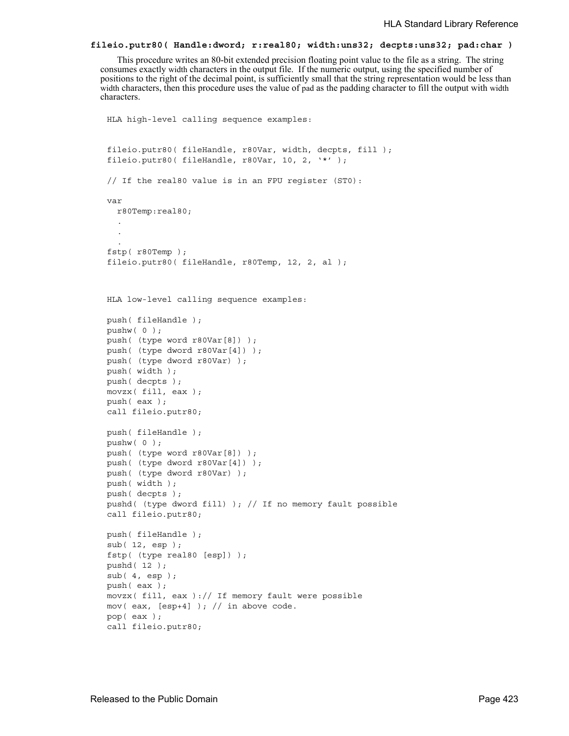#### **fileio.putr80( Handle:dword; r:real80; width:uns32; decpts:uns32; pad:char )**

This procedure writes an 80-bit extended precision floating point value to the file as a string. The string consumes exactly width characters in the output file. If the numeric output, using the specified number of positions to the right of the decimal point, is sufficiently small that the string representation would be less than width characters, then this procedure uses the value of pad as the padding character to fill the output with width characters.

```
HLA high-level calling sequence examples:
fileio.putr80( fileHandle, r80Var, width, decpts, fill );
fileio.putr80( fileHandle, r80Var, 10, 2, '*' );
// If the real80 value is in an FPU register (ST0):
var
 r80Temp:real80;
  .
  .
  .
fstp( r80Temp );
fileio.putr80( fileHandle, r80Temp, 12, 2, al );
HLA low-level calling sequence examples:
push( fileHandle );
pushw( 0 );
push( (type word r80Var[8]) );
push( (type dword r80Var[4]) );
push( (type dword r80Var) );
push( width );
push( decpts );
movzx( fill, eax );
push( eax );
call fileio.putr80;
push( fileHandle );
pushw( 0 );
push( (type word r80Var[8]) );
push( (type dword r80Var[4]) );
push( (type dword r80Var) );
push( width );
push( decpts );
pushd( (type dword fill) ); // If no memory fault possible
call fileio.putr80;
push( fileHandle );
sub( 12, esp );
fstp( (type real80 [esp]) );
pushd( 12 );
sub(4, esp);push( eax );
movzx( fill, eax):// If memory fault were possible
mov( eax, [esp+4] ); // in above code.
pop( eax );
call fileio.putr80;
```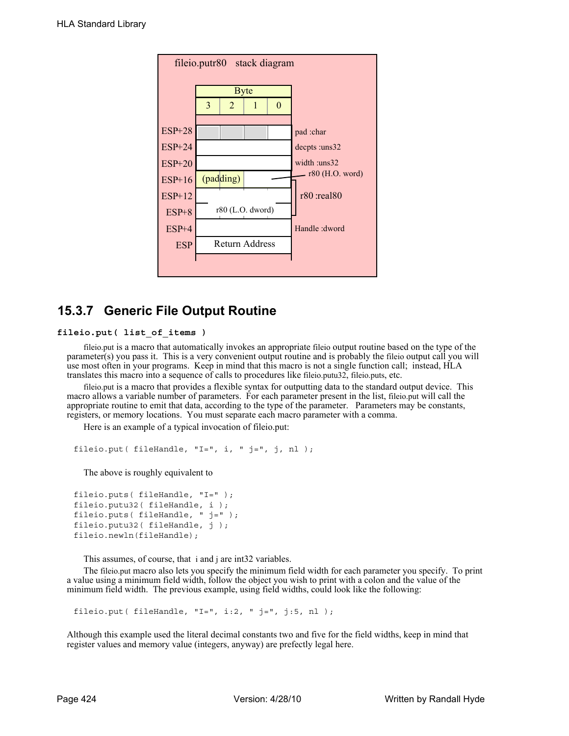

# **15.3.7 Generic File Output Routine**

#### **fileio.put( list\_of\_items )**

fileio.put is a macro that automatically invokes an appropriate fileio output routine based on the type of the parameter(s) you pass it. This is a very convenient output routine and is probably the fileio output call you will use most often in your programs. Keep in mind that this macro is not a single function call; instead, HLA translates this macro into a sequence of calls to procedures like fileio.putu32, fileio.puts, etc.

fileio.put is a macro that provides a flexible syntax for outputting data to the standard output device. This macro allows a variable number of parameters. For each parameter present in the list, fileio.put will call the appropriate routine to emit that data, according to the type of the parameter. Parameters may be constants, registers, or memory locations. You must separate each macro parameter with a comma.

Here is an example of a typical invocation of fileio.put:

```
fileio.put( fileHandle, "I=", i, " j=", j, nl );
```
The above is roughly equivalent to

```
fileio.puts( fileHandle, "I=" );
fileio.putu32( fileHandle, i );
fileio.puts( fileHandle, " j=" );
fileio.putu32(fileHandle, j);
fileio.newln(fileHandle);
```
This assumes, of course, that i and j are int32 variables.

The fileio.put macro also lets you specify the minimum field width for each parameter you specify. To print a value using a minimum field width, follow the object you wish to print with a colon and the value of the minimum field width. The previous example, using field widths, could look like the following:

fileio.put (fileHandle, "I=", i:2, " j=", j:5, nl );

Although this example used the literal decimal constants two and five for the field widths, keep in mind that register values and memory value (integers, anyway) are prefectly legal here.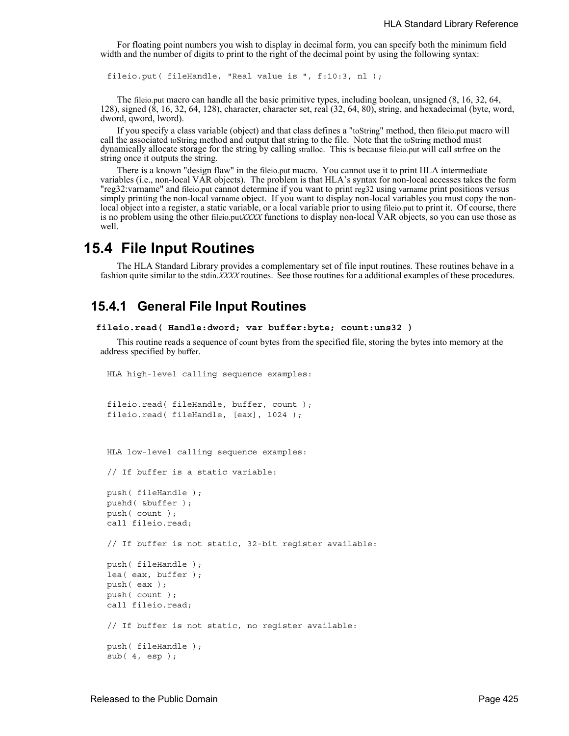For floating point numbers you wish to display in decimal form, you can specify both the minimum field width and the number of digits to print to the right of the decimal point by using the following syntax:

fileio.put( fileHandle, "Real value is ", f:10:3, nl );

The fileio.put macro can handle all the basic primitive types, including boolean, unsigned (8, 16, 32, 64, 128), signed (8, 16, 32, 64, 128), character, character set, real (32, 64, 80), string, and hexadecimal (byte, word, dword, qword, lword).

If you specify a class variable (object) and that class defines a "toString" method, then fileio.put macro will call the associated toString method and output that string to the file. Note that the toString method must dynamically allocate storage for the string by calling stralloc. This is because fileio.put will call strfree on the string once it outputs the string.

There is a known "design flaw" in the fileio.put macro. You cannot use it to print HLA intermediate variables (i.e., non-local VAR objects). The problem is that HLA's syntax for non-local accesses takes the form "reg32:varname" and fileio.put cannot determine if you want to print reg32 using varname print positions versus simply printing the non-local varname object. If you want to display non-local variables you must copy the nonlocal object into a register, a static variable, or a local variable prior to using fileio.put to print it. Of course, there is no problem using the other fileio.put*XXXX* functions to display non-local VAR objects, so you can use those as well.

## **15.4 File Input Routines**

The HLA Standard Library provides a complementary set of file input routines. These routines behave in a fashion quite similar to the stdin.*XXXX* routines. See those routines for a additional examples of these procedures.

## **15.4.1 General File Input Routines**

```
 fileio.read( Handle:dword; var buffer:byte; count:uns32 )
```
This routine reads a sequence of count bytes from the specified file, storing the bytes into memory at the address specified by buffer.

HLA high-level calling sequence examples:

```
fileio.read( fileHandle, buffer, count );
fileio.read( fileHandle, [eax], 1024 );
```

```
HLA low-level calling sequence examples:
```
// If buffer is a static variable:

```
push( fileHandle );
pushd( &buffer );
push( count );
call fileio.read;
// If buffer is not static, 32-bit register available:
push( fileHandle );
lea( eax, buffer );
push( eax );
push( count );
call fileio.read;
// If buffer is not static, no register available:
push( fileHandle );
sub(4, esp);
```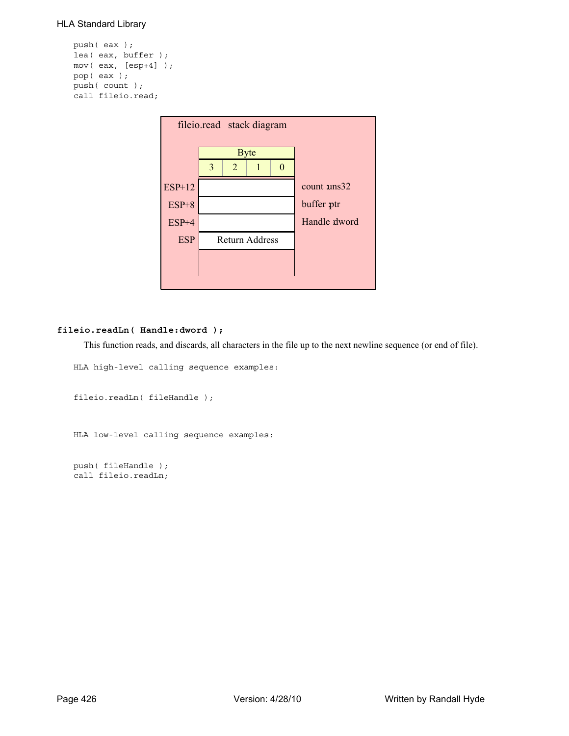### HLA Standard Library

```
push( eax );
lea( eax, buffer );
mov( eax, [esp+4] );
pop( eax );
push( count );
call fileio.read;
```

| fileio.read stack diagram |   |                |                       |                   |                      |  |  |
|---------------------------|---|----------------|-----------------------|-------------------|----------------------|--|--|
|                           |   |                |                       |                   |                      |  |  |
|                           |   |                | <b>Byte</b>           |                   |                      |  |  |
|                           | 3 | $\overline{2}$ |                       | $\mathbf{\Omega}$ |                      |  |  |
| $ESP+12$                  |   |                |                       |                   | count $\text{uns}32$ |  |  |
| $ESP+8$                   |   |                |                       | buffer ptr        |                      |  |  |
| $ESP+4$                   |   |                |                       |                   | Handle dword         |  |  |
| <b>ESP</b>                |   |                | <b>Return Address</b> |                   |                      |  |  |
|                           |   |                |                       |                   |                      |  |  |
|                           |   |                |                       |                   |                      |  |  |

## **fileio.readLn( Handle:dword );**

This function reads, and discards, all characters in the file up to the next newline sequence (or end of file).

```
HLA high-level calling sequence examples:
```

```
fileio.readLn( fileHandle );
```

```
HLA low-level calling sequence examples:
```
push( fileHandle ); call fileio.readLn;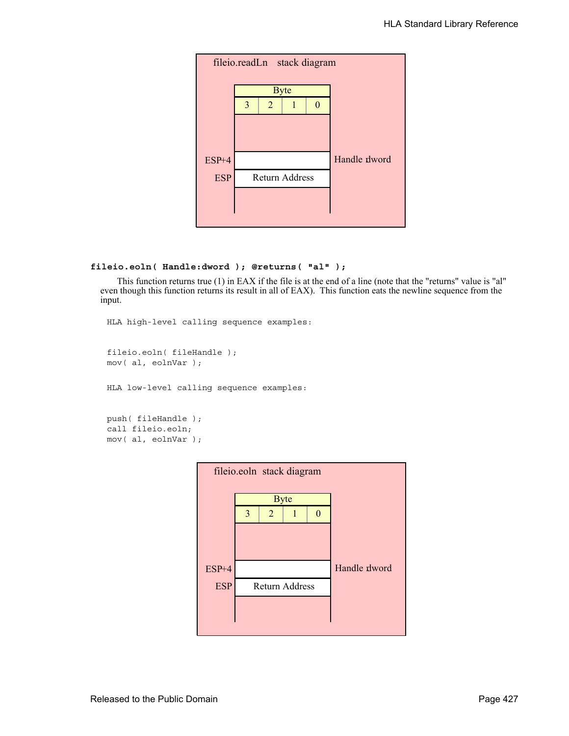

```
fileio.eoln( Handle:dword ); @returns( "al" );
```
This function returns true (1) in EAX if the file is at the end of a line (note that the "returns" value is "al" even though this function returns its result in all of EAX). This function eats the newline sequence from the input.

```
HLA high-level calling sequence examples:
```

```
fileio.eoln( fileHandle );
mov( al, eolnVar );
```
HLA low-level calling sequence examples:

```
push( fileHandle );
call fileio.eoln;
mov( al, eolnVar );
```

| fileio.eoln stack diagram |                       |             |  |   |              |  |  |
|---------------------------|-----------------------|-------------|--|---|--------------|--|--|
|                           |                       | <b>Byte</b> |  |   |              |  |  |
|                           | 3                     | 2           |  | 0 |              |  |  |
|                           |                       |             |  |   |              |  |  |
|                           |                       |             |  |   |              |  |  |
| $ESP+4$                   |                       |             |  |   | Handle dword |  |  |
| <b>ESP</b>                | <b>Return Address</b> |             |  |   |              |  |  |
|                           |                       |             |  |   |              |  |  |
|                           |                       |             |  |   |              |  |  |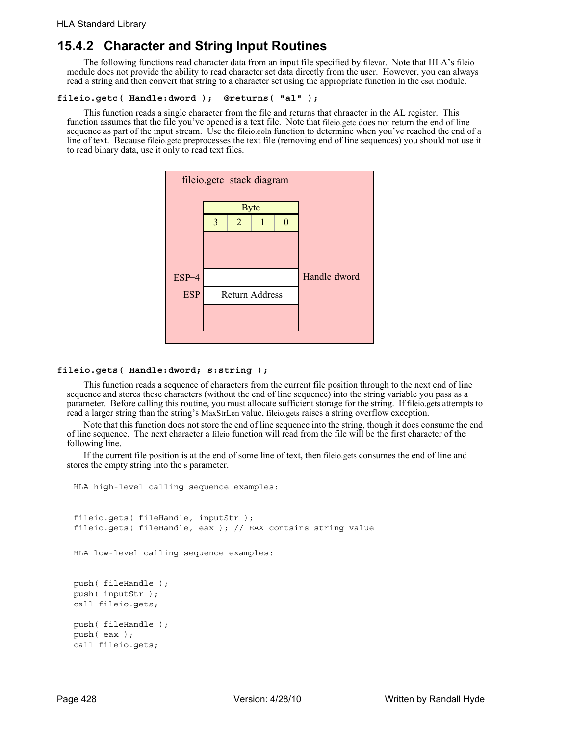## **15.4.2 Character and String Input Routines**

The following functions read character data from an input file specified by filevar. Note that HLA's fileio module does not provide the ability to read character set data directly from the user. However, you can always read a string and then convert that string to a character set using the appropriate function in the cset module.

#### **fileio.getc( Handle:dword ); @returns( "al" );**

This function reads a single character from the file and returns that chraacter in the AL register. This function assumes that the file you've opened is a text file. Note that fileio.getc does not return the end of line sequence as part of the input stream. Use the fileio.eoln function to determine when you've reached the end of a line of text. Because fileio.getc preprocesses the text file (removing end of line sequences) you should not use it to read binary data, use it only to read text files.



#### **fileio.gets( Handle:dword; s:string );**

This function reads a sequence of characters from the current file position through to the next end of line sequence and stores these characters (without the end of line sequence) into the string variable you pass as a parameter. Before calling this routine, you must allocate sufficient storage for the string. If fileio.gets attempts to read a larger string than the string's MaxStrLen value, fileio.gets raises a string overflow exception.

Note that this function does not store the end of line sequence into the string, though it does consume the end of line sequence. The next character a fileio function will read from the file will be the first character of the following line.

If the current file position is at the end of some line of text, then fileio.gets consumes the end of line and stores the empty string into the s parameter.

```
HLA high-level calling sequence examples:
fileio.gets( fileHandle, inputStr );
fileio.gets( fileHandle, eax ); // EAX contsins string value
HLA low-level calling sequence examples:
push( fileHandle );
push( inputStr );
call fileio.gets;
push( fileHandle );
```

```
push( eax );
call fileio.gets;
```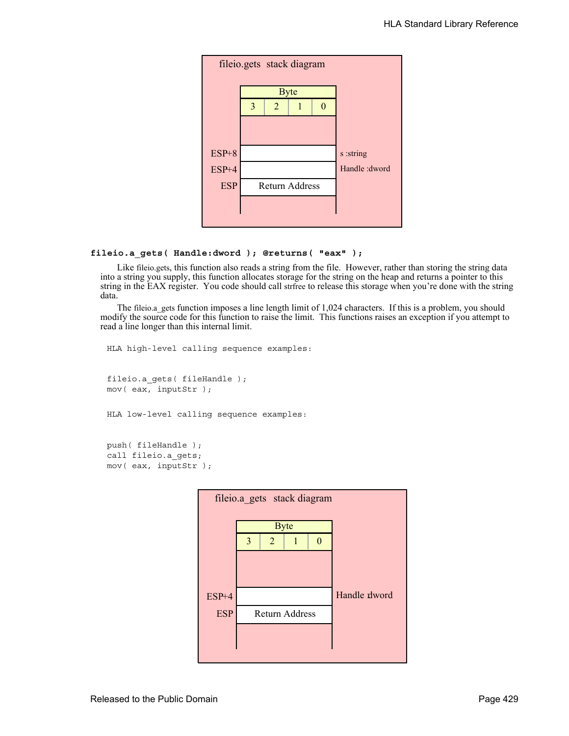

#### **fileio.a\_gets( Handle:dword ); @returns( "eax" );**

Like fileio.gets, this function also reads a string from the file. However, rather than storing the string data into a string you supply, this function allocates storage for the string on the heap and returns a pointer to this string in the EAX register. You code should call strfree to release this storage when you're done with the string data.

The fileio.a gets function imposes a line length limit of 1,024 characters. If this is a problem, you should modify the source code for this function to raise the limit. This functions raises an exception if you attempt to read a line longer than this internal limit.

```
HLA high-level calling sequence examples:
fileio.a_gets( fileHandle );
mov( eax, inputStr );
HLA low-level calling sequence examples:
push( fileHandle );
```
call fileio.a\_gets; mov( eax, inputStr );

| fileio.a gets stack diagram |   |                       |  |  |              |  |  |
|-----------------------------|---|-----------------------|--|--|--------------|--|--|
|                             |   | <b>Byte</b>           |  |  |              |  |  |
|                             | 3 | 2                     |  |  |              |  |  |
|                             |   |                       |  |  |              |  |  |
|                             |   |                       |  |  |              |  |  |
| $ESP+4$                     |   |                       |  |  | Handle dword |  |  |
| <b>ESP</b>                  |   | <b>Return Address</b> |  |  |              |  |  |
|                             |   |                       |  |  |              |  |  |
|                             |   |                       |  |  |              |  |  |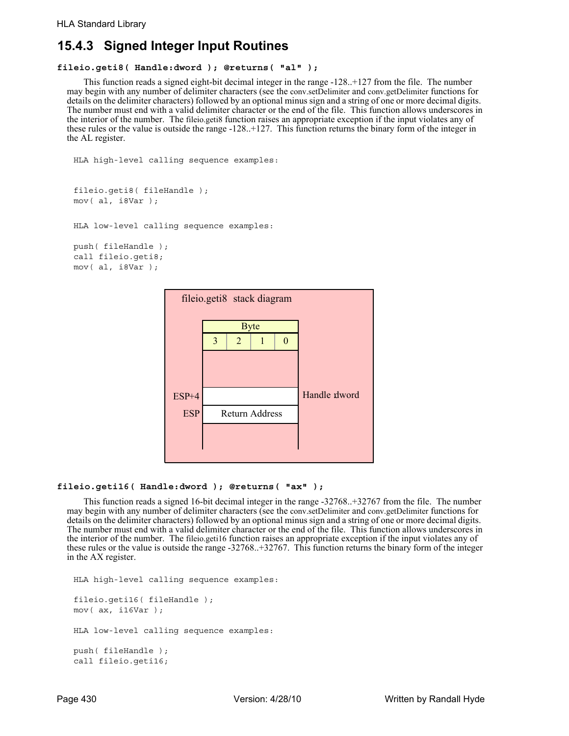# **15.4.3 Signed Integer Input Routines**

## **fileio.geti8( Handle:dword ); @returns( "al" );**

This function reads a signed eight-bit decimal integer in the range -128..+127 from the file. The number may begin with any number of delimiter characters (see the conv.setDelimiter and conv.getDelimiter functions for details on the delimiter characters) followed by an optional minus sign and a string of one or more decimal digits. The number must end with a valid delimiter character or the end of the file. This function allows underscores in the interior of the number. The fileio.geti8 function raises an appropriate exception if the input violates any of these rules or the value is outside the range -128..+127. This function returns the binary form of the integer in the AL register.

```
HLA high-level calling sequence examples:
```

```
fileio.geti8( fileHandle );
mov( al, i8Var );
```

```
HLA low-level calling sequence examples:
```

```
push( fileHandle );
call fileio.geti8;
mov( al, i8Var );
```


## **fileio.geti16( Handle:dword ); @returns( "ax" );**

This function reads a signed 16-bit decimal integer in the range -32768..+32767 from the file. The number may begin with any number of delimiter characters (see the conv.setDelimiter and conv.getDelimiter functions for details on the delimiter characters) followed by an optional minus sign and a string of one or more decimal digits. The number must end with a valid delimiter character or the end of the file. This function allows underscores in the interior of the number. The fileio.geti16 function raises an appropriate exception if the input violates any of these rules or the value is outside the range -32768..+32767. This function returns the binary form of the integer in the AX register.

```
HLA high-level calling sequence examples:
fileio.geti16( fileHandle );
mov( ax, i16Var );
HLA low-level calling sequence examples:
push( fileHandle );
call fileio.geti16;
```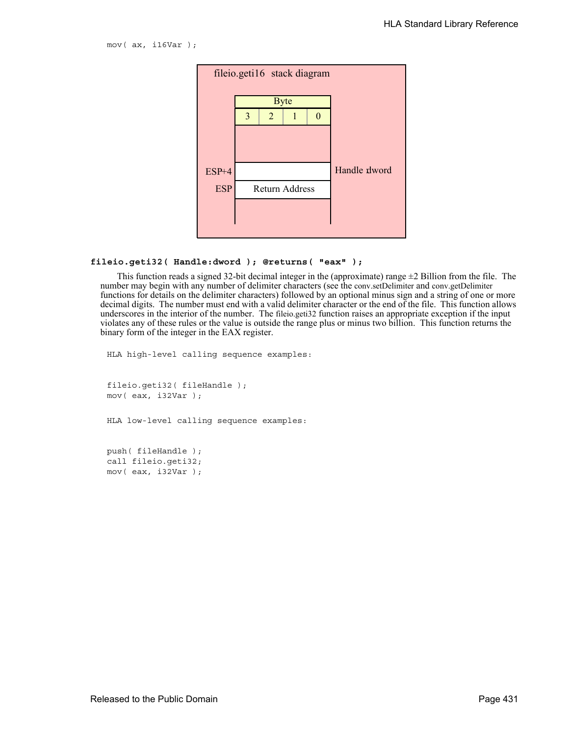mov( ax, i16Var );



#### **fileio.geti32( Handle:dword ); @returns( "eax" );**

This function reads a signed 32-bit decimal integer in the (approximate) range  $\pm 2$  Billion from the file. The number may begin with any number of delimiter characters (see the conv.setDelimiter and conv.getDelimiter functions for details on the delimiter characters) followed by an optional minus sign and a string of one or more decimal digits. The number must end with a valid delimiter character or the end of the file. This function allows underscores in the interior of the number. The fileio.geti32 function raises an appropriate exception if the input violates any of these rules or the value is outside the range plus or minus two billion. This function returns the binary form of the integer in the EAX register.

HLA high-level calling sequence examples:

fileio.geti32( fileHandle ); mov( eax, i32Var );

HLA low-level calling sequence examples:

push( fileHandle ); call fileio.geti32; mov( eax, i32Var );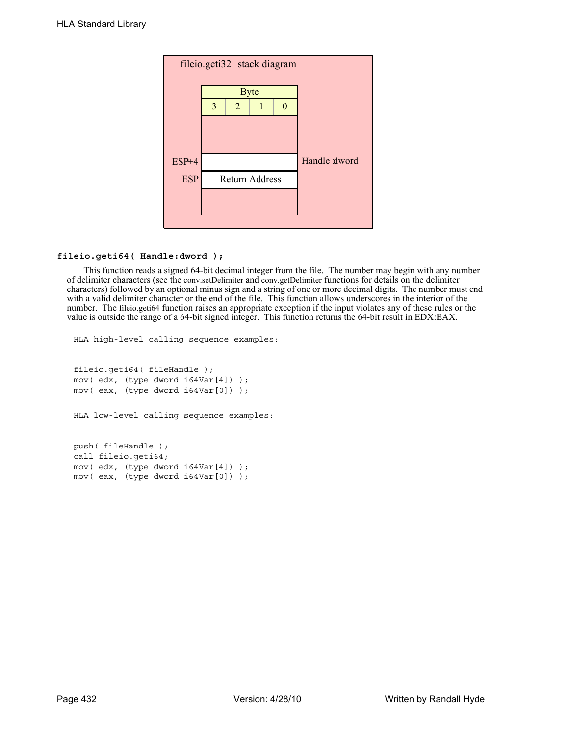

## **fileio.geti64( Handle:dword );**

This function reads a signed 64-bit decimal integer from the file. The number may begin with any number of delimiter characters (see the conv.setDelimiter and conv.getDelimiter functions for details on the delimiter characters) followed by an optional minus sign and a string of one or more decimal digits. The number must end with a valid delimiter character or the end of the file. This function allows underscores in the interior of the number. The fileio.geti64 function raises an appropriate exception if the input violates any of these rules or the value is outside the range of a 64-bit signed integer. This function returns the 64-bit result in EDX:EAX.

```
HLA high-level calling sequence examples:
fileio.geti64( fileHandle );
mov( edx, (type dword i64Var[4]) );
mov( eax, (type dword i64Var[0]) );
HLA low-level calling sequence examples:
push( fileHandle );
call fileio.geti64;
mov( edx, (type dword i64Var[4]) );
mov( eax, (type dword i64Var[0]) );
```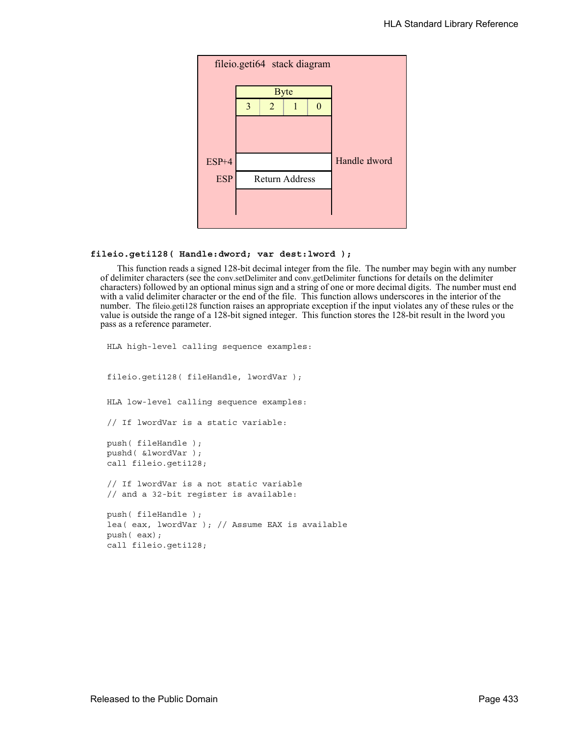

#### **fileio.geti128( Handle:dword; var dest:lword );**

This function reads a signed 128-bit decimal integer from the file. The number may begin with any number of delimiter characters (see the conv.setDelimiter and conv.getDelimiter functions for details on the delimiter characters) followed by an optional minus sign and a string of one or more decimal digits. The number must end with a valid delimiter character or the end of the file. This function allows underscores in the interior of the number. The fileio.geti128 function raises an appropriate exception if the input violates any of these rules or the value is outside the range of a 128-bit signed integer. This function stores the 128-bit result in the lword you pass as a reference parameter.

```
HLA high-level calling sequence examples:
fileio.geti128( fileHandle, lwordVar );
HLA low-level calling sequence examples:
// If lwordVar is a static variable:
push( fileHandle );
pushd( &lwordVar );
call fileio.geti128;
// If lwordVar is a not static variable
// and a 32-bit register is available:
push( fileHandle );
lea( eax, lwordVar ); // Assume EAX is available
push( eax);
call fileio.geti128;
```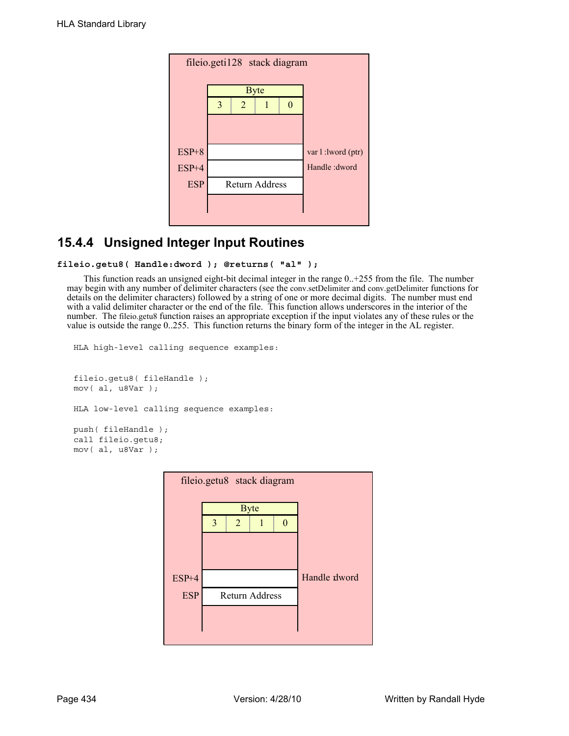| fileio.geti128 stack diagram |   |   |                       |                   |                |  |  |
|------------------------------|---|---|-----------------------|-------------------|----------------|--|--|
|                              |   |   | <b>Byte</b>           |                   |                |  |  |
|                              | 3 | 2 |                       | 0                 |                |  |  |
|                              |   |   |                       |                   |                |  |  |
|                              |   |   |                       |                   |                |  |  |
| $ESP+8$                      |   |   |                       | var 1:1word (ptr) |                |  |  |
| $ESP+4$                      |   |   |                       |                   | Handle : dword |  |  |
| <b>ESP</b>                   |   |   | <b>Return Address</b> |                   |                |  |  |
|                              |   |   |                       |                   |                |  |  |
|                              |   |   |                       |                   |                |  |  |

# **15.4.4 Unsigned Integer Input Routines**

```
fileio.getu8( Handle:dword ); @returns( "al" );
```
This function reads an unsigned eight-bit decimal integer in the range 0..+255 from the file. The number may begin with any number of delimiter characters (see the conv.setDelimiter and conv.getDelimiter functions for details on the delimiter characters) followed by a string of one or more decimal digits. The number must end with a valid delimiter character or the end of the file. This function allows underscores in the interior of the number. The fileio.getu8 function raises an appropriate exception if the input violates any of these rules or the value is outside the range 0..255. This function returns the binary form of the integer in the AL register.

```
HLA high-level calling sequence examples:
fileio.getu8( fileHandle );
mov( al, u8Var );
HLA low-level calling sequence examples:
push( fileHandle );
call fileio.getu8;
mov( al, u8Var );
```
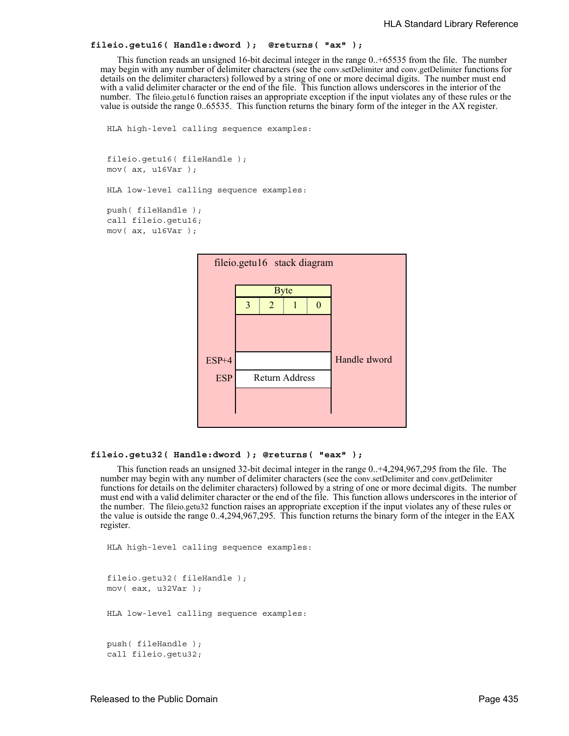```
fileio.getu16( Handle:dword ); @returns( "ax" );
```
This function reads an unsigned 16-bit decimal integer in the range 0..+65535 from the file. The number may begin with any number of delimiter characters (see the conv.setDelimiter and conv.getDelimiter functions for details on the delimiter characters) followed by a string of one or more decimal digits. The number must end with a valid delimiter character or the end of the file. This function allows underscores in the interior of the number. The fileio.getu16 function raises an appropriate exception if the input violates any of these rules or the value is outside the range 0..65535. This function returns the binary form of the integer in the AX register.

```
HLA high-level calling sequence examples:
```

```
fileio.getu16( fileHandle );
mov( ax, u16Var );
```
HLA low-level calling sequence examples:

```
push( fileHandle );
call fileio.getu16;
mov( ax, u16Var );
```


### **fileio.getu32( Handle:dword ); @returns( "eax" );**

This function reads an unsigned 32-bit decimal integer in the range 0..+4,294,967,295 from the file. The number may begin with any number of delimiter characters (see the conv.setDelimiter and conv.getDelimiter functions for details on the delimiter characters) followed by a string of one or more decimal digits. The number must end with a valid delimiter character or the end of the file. This function allows underscores in the interior of the number. The fileio.getu32 function raises an appropriate exception if the input violates any of these rules or the value is outside the range 0..4,294,967,295. This function returns the binary form of the integer in the EAX register.

```
HLA high-level calling sequence examples:
fileio.getu32( fileHandle );
mov( eax, u32Var );
HLA low-level calling sequence examples:
push( fileHandle );
call fileio.getu32;
```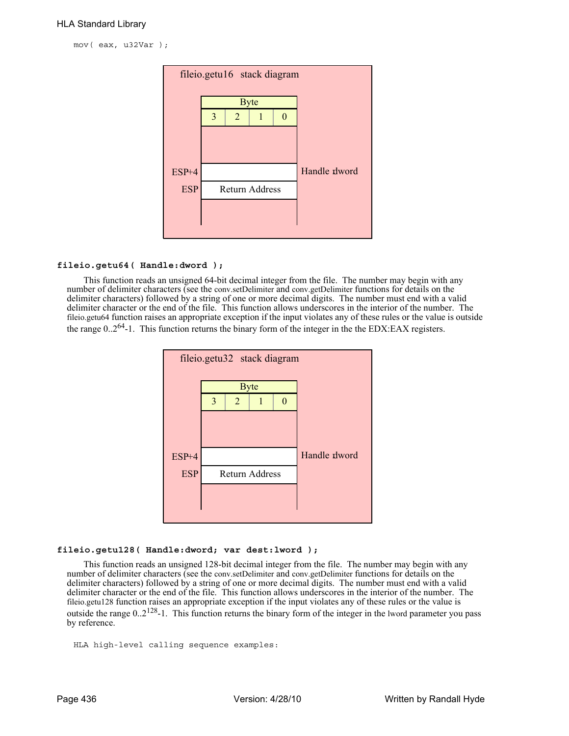mov( eax, u32Var );



## **fileio.getu64( Handle:dword );**

This function reads an unsigned 64-bit decimal integer from the file. The number may begin with any number of delimiter characters (see the conv.setDelimiter and conv.getDelimiter functions for details on the delimiter characters) followed by a string of one or more decimal digits. The number must end with a valid delimiter character or the end of the file. This function allows underscores in the interior of the number. The fileio.getu64 function raises an appropriate exception if the input violates any of these rules or the value is outside the range  $0.2^{64}$ -1. This function returns the binary form of the integer in the the EDX:EAX registers.



#### **fileio.getu128( Handle:dword; var dest:lword );**

This function reads an unsigned 128-bit decimal integer from the file. The number may begin with any number of delimiter characters (see the conv.setDelimiter and conv.getDelimiter functions for details on the delimiter characters) followed by a string of one or more decimal digits. The number must end with a valid delimiter character or the end of the file. This function allows underscores in the interior of the number. The fileio.getu128 function raises an appropriate exception if the input violates any of these rules or the value is outside the range  $0.2^{128}$ -1. This function returns the binary form of the integer in the lword parameter you pass by reference.

```
HLA high-level calling sequence examples:
```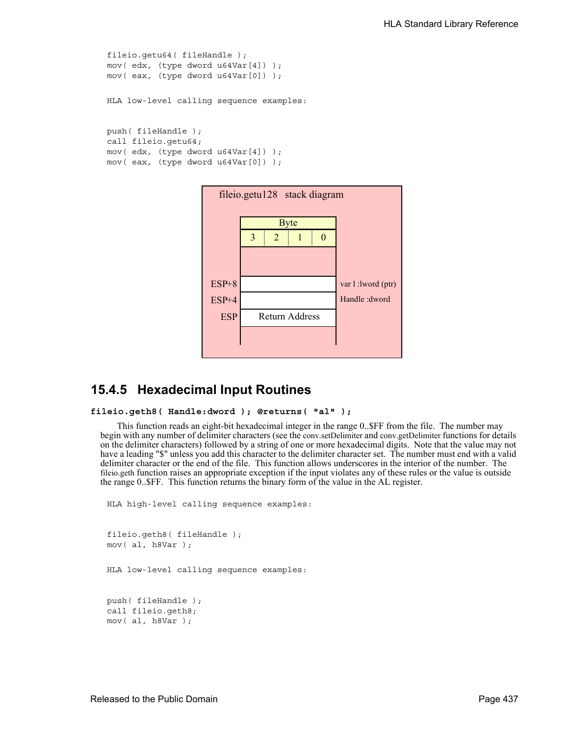```
fileio.getu64( fileHandle );
mov( edx, (type dword u64Var[4]) );
mov( eax, (type dword u64Var[0]) );
HLA low-level calling sequence examples:
push( fileHandle );
call fileio.getu64;
mov( edx, (type dword u64Var[4]) );
mov( eax, (type dword u64Var[0]) );
```


## **15.4.5 Hexadecimal Input Routines**

```
fileio.geth8( Handle:dword ); @returns( "al" );
```
This function reads an eight-bit hexadecimal integer in the range 0..\$FF from the file. The number may begin with any number of delimiter characters (see the conv.setDelimiter and conv.getDelimiter functions for details on the delimiter characters) followed by a string of one or more hexadecimal digits. Note that the value may not have a leading "\$" unless you add this character to the delimiter character set. The number must end with a valid delimiter character or the end of the file. This function allows underscores in the interior of the number. The fileio.geth function raises an appropriate exception if the input violates any of these rules or the value is outside the range 0..\$FF. This function returns the binary form of the value in the AL register.

```
HLA high-level calling sequence examples:
fileio.geth8( fileHandle );
mov( al, h8Var );
HLA low-level calling sequence examples:
push( fileHandle );
call fileio.geth8;
mov( al, h8Var );
```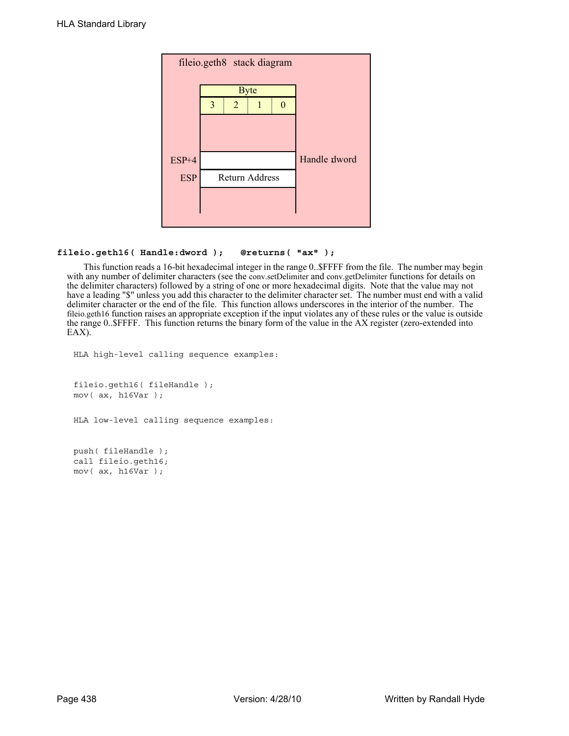

## **fileio.geth16( Handle:dword ); @returns( "ax" );**

This function reads a 16-bit hexadecimal integer in the range 0..\$FFFF from the file. The number may begin with any number of delimiter characters (see the conv.setDelimiter and conv.getDelimiter functions for details on the delimiter characters) followed by a string of one or more hexadecimal digits. Note that the value may not have a leading "\$" unless you add this character to the delimiter character set. The number must end with a valid delimiter character or the end of the file. This function allows underscores in the interior of the number. The fileio.geth16 function raises an appropriate exception if the input violates any of these rules or the value is outside the range 0..\$FFFF. This function returns the binary form of the value in the AX register (zero-extended into EAX).

```
HLA high-level calling sequence examples:
fileio.geth16( fileHandle );
mov( ax, h16Var );
HLA low-level calling sequence examples:
push( fileHandle );
call fileio.geth16;
```
mov( ax, h16Var );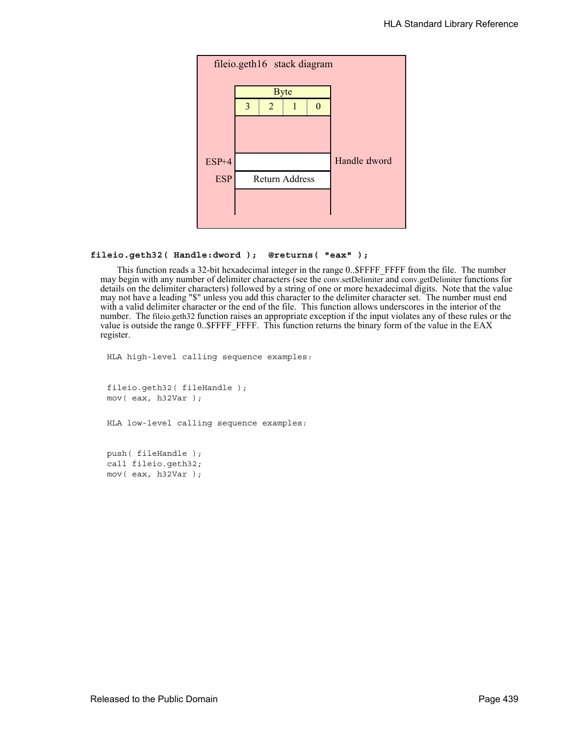

#### **fileio.geth32( Handle:dword ); @returns( "eax" );**

This function reads a 32-bit hexadecimal integer in the range 0..\$FFFF\_FFFF from the file. The number may begin with any number of delimiter characters (see the conv.setDelimiter and conv.getDelimiter functions for details on the delimiter characters) followed by a string of one or more hexadecimal digits. Note that the value may not have a leading "\$" unless you add this character to the delimiter character set. The number must end with a valid delimiter character or the end of the file. This function allows underscores in the interior of the number. The fileio.geth32 function raises an appropriate exception if the input violates any of these rules or the value is outside the range 0..\$FFFF\_FFFF. This function returns the binary form of the value in the EAX register.

HLA high-level calling sequence examples:

fileio.geth32( fileHandle ); mov( eax, h32Var );

HLA low-level calling sequence examples:

push( fileHandle ); call fileio.geth32; mov( eax, h32Var );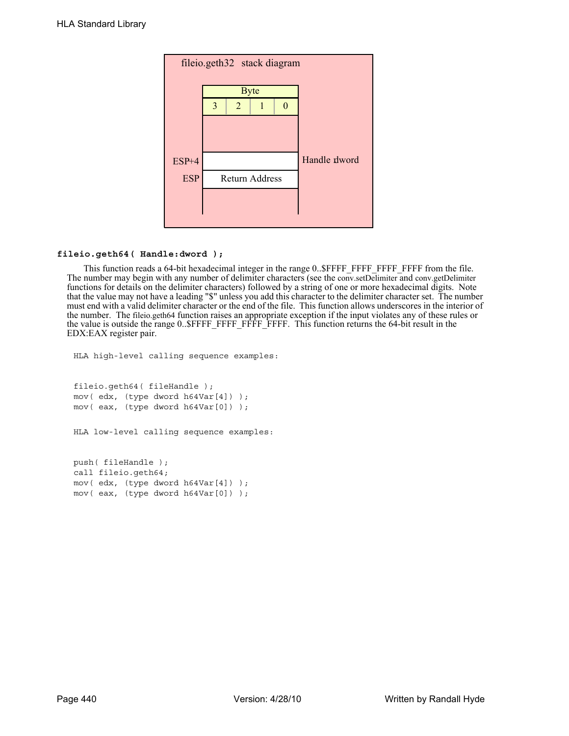

### **fileio.geth64( Handle:dword );**

This function reads a 64-bit hexadecimal integer in the range 0..\$FFFF\_FFFF\_FFFF\_FFFF from the file. The number may begin with any number of delimiter characters (see the conv.setDelimiter and conv.getDelimiter functions for details on the delimiter characters) followed by a string of one or more hexadecimal digits. Note that the value may not have a leading "\$" unless you add this character to the delimiter character set. The number must end with a valid delimiter character or the end of the file. This function allows underscores in the interior of the number. The fileio.geth64 function raises an appropriate exception if the input violates any of these rules or the value is outside the range 0..\$FFFF\_FFFF\_FFFF\_FFFF. This function returns the 64-bit result in the EDX:EAX register pair.

```
HLA high-level calling sequence examples:
fileio.geth64( fileHandle );
mov( edx, (type dword h64Var[4]) );
mov( eax, (type dword h64Var[0]) );
HLA low-level calling sequence examples:
push( fileHandle );
call fileio.geth64;
mov( edx, (type dword h64Var[4]) );
mov( eax, (type dword h64Var[0]) );
```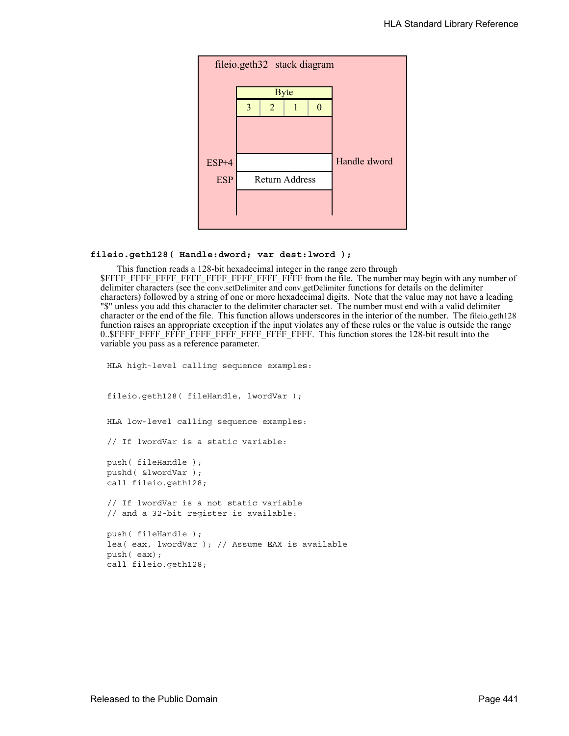

#### **fileio.geth128( Handle:dword; var dest:lword );**

This function reads a 128-bit hexadecimal integer in the range zero through \$FFFF\_FFFF\_FFFF\_FFFF\_FFFF\_FFFF\_FFFF\_FFFF from the file. The number may begin with any number of delimiter characters (see the conv.setDelimiter and conv.getDelimiter functions for details on the delimiter characters) followed by a string of one or more hexadecimal digits. Note that the value may not have a leading "\$" unless you add this character to the delimiter character set. The number must end with a valid delimiter character or the end of the file. This function allows underscores in the interior of the number. The fileio.geth128 function raises an appropriate exception if the input violates any of these rules or the value is outside the range 0..\$FFFF\_FFFF\_FFFF\_FFFF\_FFFF\_FFFF\_FFFF\_FFFF. This function stores the 128-bit result into the variable you pass as a reference parameter.

HLA high-level calling sequence examples: fileio.geth128( fileHandle, lwordVar ); HLA low-level calling sequence examples: // If lwordVar is a static variable: push( fileHandle ); pushd( &lwordVar ); call fileio.geth128; // If lwordVar is a not static variable // and a 32-bit register is available: push( fileHandle ); lea( eax, lwordVar ); // Assume EAX is available push( eax); call fileio.geth128;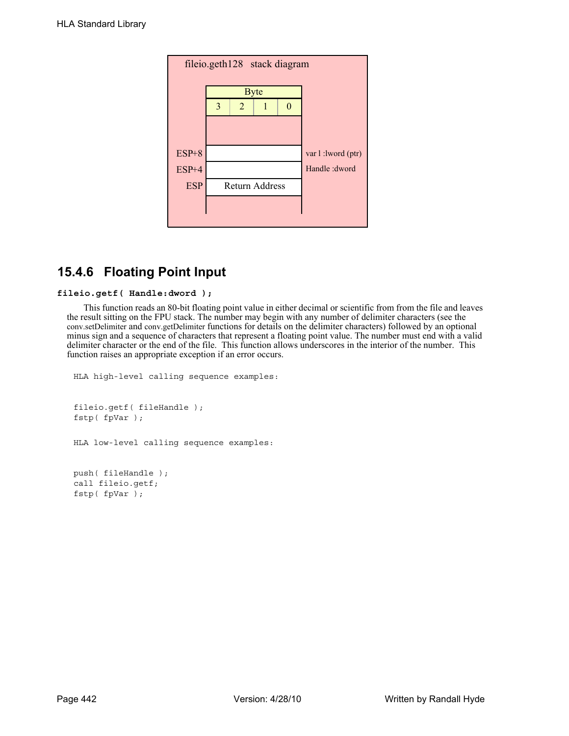

# **15.4.6 Floating Point Input**

### **fileio.getf( Handle:dword );**

This function reads an 80-bit floating point value in either decimal or scientific from from the file and leaves the result sitting on the FPU stack. The number may begin with any number of delimiter characters (see the conv.setDelimiter and conv.getDelimiter functions for details on the delimiter characters) followed by an optional minus sign and a sequence of characters that represent a floating point value. The number must end with a valid delimiter character or the end of the file. This function allows underscores in the interior of the number. This function raises an appropriate exception if an error occurs.

```
HLA high-level calling sequence examples:
fileio.getf( fileHandle );
fstp( fpVar );
HLA low-level calling sequence examples:
push( fileHandle );
call fileio.getf;
fstp( fpVar );
```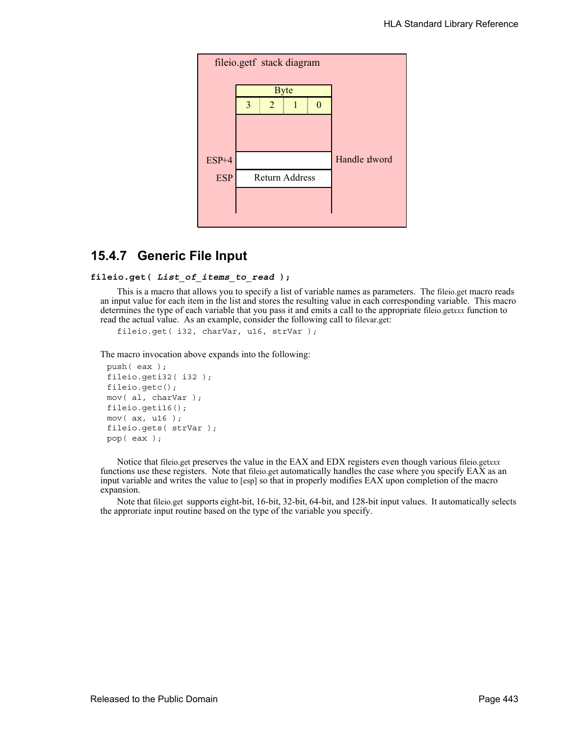

## **15.4.7 Generic File Input**

```
fileio.get( List_of_items_to_read );
```
This is a macro that allows you to specify a list of variable names as parameters. The fileio.get macro reads an input value for each item in the list and stores the resulting value in each corresponding variable. This macro determines the type of each variable that you pass it and emits a call to the appropriate fileio.get*xxx* function to read the actual value. As an example, consider the following call to filevar.get:

fileio.get( i32, charVar, u16, strVar );

The macro invocation above expands into the following:

```
push( eax );
fileio.geti32( i32 );
fileio.getc();
mov( al, charVar );
fileio.geti16();
mov( ax, u16 );
fileio.gets( strVar );
pop( eax );
```
Notice that fileio.get preserves the value in the EAX and EDX registers even though various fileio.get*xxx* functions use these registers. Note that fileio.get automatically handles the case where you specify EAX as an input variable and writes the value to [esp] so that in properly modifies EAX upon completion of the macro expansion.

Note that fileio.get supports eight-bit, 16-bit, 32-bit, 64-bit, and 128-bit input values. It automatically selects the approriate input routine based on the type of the variable you specify.